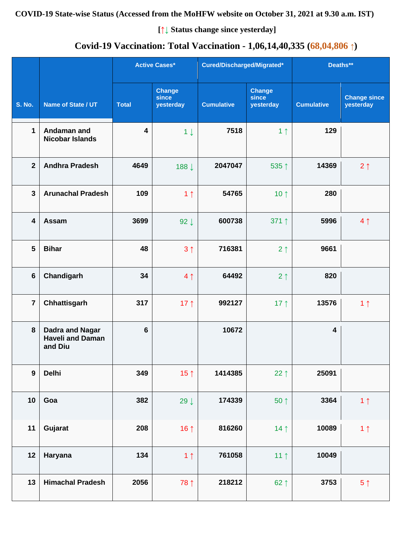#### **COVID-19 State-wise Status (Accessed from the MoHFW website on October 31, 2021 at 9.30 a.m. IST)**

**[↑↓ Status change since yesterday]**

# **Covid-19 Vaccination: Total Vaccination - 1,06,14,40,335 (68,04,806 ↑)**

|                         |                                                              |                | <b>Active Cases*</b>                | Cured/Discharged/Migrated* |                                     | Deaths**                |                                  |
|-------------------------|--------------------------------------------------------------|----------------|-------------------------------------|----------------------------|-------------------------------------|-------------------------|----------------------------------|
| <b>S. No.</b>           | Name of State / UT                                           | <b>Total</b>   | <b>Change</b><br>since<br>yesterday | <b>Cumulative</b>          | <b>Change</b><br>since<br>yesterday | <b>Cumulative</b>       | <b>Change since</b><br>yesterday |
| $\mathbf{1}$            | Andaman and<br><b>Nicobar Islands</b>                        | 4              | $1 \downarrow$                      | 7518                       | 1 <sub>1</sub>                      | 129                     |                                  |
| $\overline{2}$          | <b>Andhra Pradesh</b>                                        | 4649           | 188↓                                | 2047047                    | 535↑                                | 14369                   | $2 \uparrow$                     |
| $\overline{\mathbf{3}}$ | <b>Arunachal Pradesh</b>                                     | 109            | 1 <sub>1</sub>                      | 54765                      | 10 $\uparrow$                       | 280                     |                                  |
| $\overline{\mathbf{4}}$ | Assam                                                        | 3699           | $92 \downarrow$                     | 600738                     | 371 ↑                               | 5996                    | 4 <sub>1</sub>                   |
| $5\phantom{1}$          | <b>Bihar</b>                                                 | 48             | 3 <sub>1</sub>                      | 716381                     | 2 <sub>1</sub>                      | 9661                    |                                  |
| $\bf 6$                 | Chandigarh                                                   | 34             | 4 <sub>1</sub>                      | 64492                      | 2 <sub>1</sub>                      | 820                     |                                  |
| $\overline{7}$          | Chhattisgarh                                                 | 317            | 17 $\uparrow$                       | 992127                     | 17 $\uparrow$                       | 13576                   | 1 <sub>1</sub>                   |
| 8                       | <b>Dadra and Nagar</b><br><b>Haveli and Daman</b><br>and Diu | $6\phantom{1}$ |                                     | 10672                      |                                     | $\overline{\mathbf{4}}$ |                                  |
| $\boldsymbol{9}$        | <b>Delhi</b>                                                 | 349            | 15 <sub>1</sub>                     | 1414385                    | 22 $\uparrow$                       | 25091                   |                                  |
| 10                      | Goa                                                          | 382            | 29 $\downarrow$                     | 174339                     | $50 \uparrow$                       | 3364                    | 1 <sub>1</sub>                   |
| 11                      | Gujarat                                                      | 208            | 16 $\uparrow$                       | 816260                     | 14 <sub>1</sub>                     | 10089                   | 1 <sub>1</sub>                   |
| 12                      | Haryana                                                      | 134            | 1 <sub>1</sub>                      | 761058                     | 11 <sup>†</sup>                     | 10049                   |                                  |
| 13                      | <b>Himachal Pradesh</b>                                      | 2056           | 78 ↑                                | 218212                     | $62 \uparrow$                       | 3753                    | 5 <sup>†</sup>                   |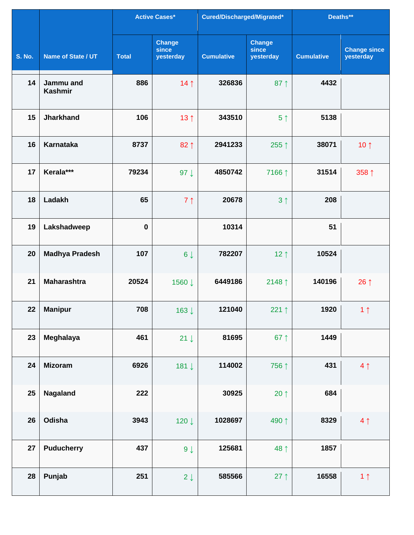|               |                             |              | <b>Active Cases*</b>                | Cured/Discharged/Migrated* |                                     | Deaths**          |                                  |
|---------------|-----------------------------|--------------|-------------------------------------|----------------------------|-------------------------------------|-------------------|----------------------------------|
| <b>S. No.</b> | Name of State / UT          | <b>Total</b> | <b>Change</b><br>since<br>yesterday | <b>Cumulative</b>          | <b>Change</b><br>since<br>yesterday | <b>Cumulative</b> | <b>Change since</b><br>yesterday |
| 14            | Jammu and<br><b>Kashmir</b> | 886          | 14 <sub>1</sub>                     | 326836                     | $87$ ↑                              | 4432              |                                  |
| 15            | <b>Jharkhand</b>            | 106          | 13 <sub>1</sub>                     | 343510                     | 5 <sup>†</sup>                      | 5138              |                                  |
| 16            | <b>Karnataka</b>            | 8737         | 82 1                                | 2941233                    | 255 ↑                               | 38071             | 10 $\uparrow$                    |
| 17            | Kerala***                   | 79234        | $97 \downarrow$                     | 4850742                    | 7166 ↑                              | 31514             | 358 ↑                            |
| 18            | Ladakh                      | 65           | 7 <sub>1</sub>                      | 20678                      | 3 <sub>1</sub>                      | 208               |                                  |
| 19            | Lakshadweep                 | $\bf{0}$     |                                     | 10314                      |                                     | 51                |                                  |
| 20            | <b>Madhya Pradesh</b>       | 107          | $6 \downarrow$                      | 782207                     | 12 $\uparrow$                       | 10524             |                                  |
| 21            | <b>Maharashtra</b>          | 20524        | 1560 ↓                              | 6449186                    | 2148 1                              | 140196            | $26 \uparrow$                    |
| 22            | <b>Manipur</b>              | 708          | 163↓                                | 121040                     | 221 $\uparrow$                      | 1920              | 1 <sub>1</sub>                   |
| 23            | Meghalaya                   | 461          | $21 \downarrow$                     | 81695                      | 67 $\uparrow$                       | 1449              |                                  |
| 24            | <b>Mizoram</b>              | 6926         | 181↓                                | 114002                     | 756 ↑                               | 431               | 4 <sub>1</sub>                   |
| 25            | Nagaland                    | 222          |                                     | 30925                      | 20 $\uparrow$                       | 684               |                                  |
| 26            | Odisha                      | 3943         | 120↓                                | 1028697                    | 490 ↑                               | 8329              | 4 <sub>1</sub>                   |
| 27            | <b>Puducherry</b>           | 437          | $9 \downarrow$                      | 125681                     | 48 ↑                                | 1857              |                                  |
| 28            | Punjab                      | 251          | $2 \downarrow$                      | 585566                     | $27$ ↑                              | 16558             | 1 <sub>1</sub>                   |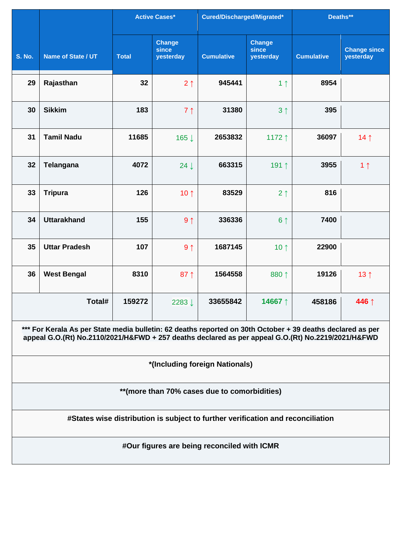|               | <b>Active Cases*</b>                                                                                                                                                                                             |              |                              | Cured/Discharged/Migrated*                  |                                     | Deaths**          |                                  |  |  |  |
|---------------|------------------------------------------------------------------------------------------------------------------------------------------------------------------------------------------------------------------|--------------|------------------------------|---------------------------------------------|-------------------------------------|-------------------|----------------------------------|--|--|--|
| <b>S. No.</b> | Name of State / UT                                                                                                                                                                                               | <b>Total</b> | Change<br>since<br>yesterday | <b>Cumulative</b>                           | <b>Change</b><br>since<br>yesterday | <b>Cumulative</b> | <b>Change since</b><br>yesterday |  |  |  |
| 29            | Rajasthan                                                                                                                                                                                                        | 32           | 2 <sub>1</sub>               | 945441                                      | 1 <sub>1</sub>                      | 8954              |                                  |  |  |  |
| 30            | <b>Sikkim</b>                                                                                                                                                                                                    | 183          | 7 <sub>1</sub>               | 31380                                       | 3 <sub>1</sub>                      | 395               |                                  |  |  |  |
| 31            | <b>Tamil Nadu</b>                                                                                                                                                                                                | 11685        | 165↓                         | 2653832                                     | 1172↑                               | 36097             | 14 <sub>1</sub>                  |  |  |  |
| 32            | Telangana                                                                                                                                                                                                        | 4072         | $24 \downarrow$              | 663315                                      | 191↑                                | 3955              | 1 <sub>1</sub>                   |  |  |  |
| 33            | <b>Tripura</b>                                                                                                                                                                                                   | 126          | 10 $\uparrow$                | 83529                                       | 2 <sub>1</sub>                      | 816               |                                  |  |  |  |
| 34            | <b>Uttarakhand</b>                                                                                                                                                                                               | 155          | 9 <sub>1</sub>               | 336336                                      | 6 <sup>†</sup>                      | 7400              |                                  |  |  |  |
| 35            | <b>Uttar Pradesh</b>                                                                                                                                                                                             | 107          | 9 <sub>1</sub>               | 1687145                                     | 10 $\uparrow$                       | 22900             |                                  |  |  |  |
| 36            | <b>West Bengal</b>                                                                                                                                                                                               | 8310         | $87 \uparrow$                | 1564558                                     | 880 1                               | 19126             | 13 <sub>1</sub>                  |  |  |  |
|               | Total#                                                                                                                                                                                                           | 159272       | 2283↓                        | 33655842                                    | 14667↑                              | 458186            | 446 ↑                            |  |  |  |
|               | *** For Kerala As per State media bulletin: 62 deaths reported on 30th October + 39 deaths declared as per<br>appeal G.O.(Rt) No.2110/2021/H&FWD + 257 deaths declared as per appeal G.O.(Rt) No.2219/2021/H&FWD |              |                              |                                             |                                     |                   |                                  |  |  |  |
|               |                                                                                                                                                                                                                  |              |                              | *(Including foreign Nationals)              |                                     |                   |                                  |  |  |  |
|               | **(more than 70% cases due to comorbidities)                                                                                                                                                                     |              |                              |                                             |                                     |                   |                                  |  |  |  |
|               | #States wise distribution is subject to further verification and reconciliation                                                                                                                                  |              |                              |                                             |                                     |                   |                                  |  |  |  |
|               |                                                                                                                                                                                                                  |              |                              | #Our figures are being reconciled with ICMR |                                     |                   |                                  |  |  |  |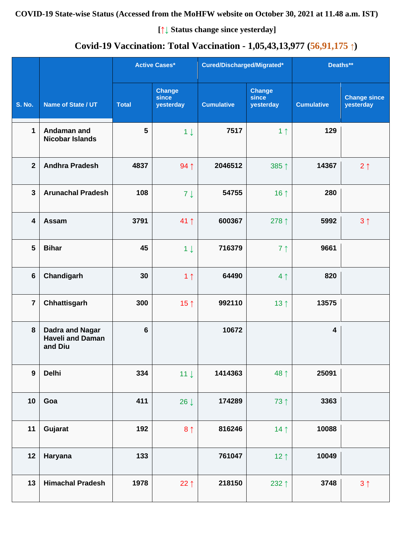# **Covid-19 Vaccination: Total Vaccination - 1,05,43,13,977 (56,91,175 ↑)**

|                  |                                                              |                | <b>Active Cases*</b>                | Cured/Discharged/Migrated* |                                     | Deaths**                |                                  |
|------------------|--------------------------------------------------------------|----------------|-------------------------------------|----------------------------|-------------------------------------|-------------------------|----------------------------------|
| <b>S. No.</b>    | Name of State / UT                                           | <b>Total</b>   | <b>Change</b><br>since<br>yesterday | <b>Cumulative</b>          | <b>Change</b><br>since<br>yesterday | <b>Cumulative</b>       | <b>Change since</b><br>yesterday |
| $\mathbf 1$      | Andaman and<br><b>Nicobar Islands</b>                        | $5\phantom{1}$ | $1 \downarrow$                      | 7517                       | 1 <sub>1</sub>                      | 129                     |                                  |
| $\overline{2}$   | <b>Andhra Pradesh</b>                                        | 4837           | 94 1                                | 2046512                    | 385↑                                | 14367                   | $2 \uparrow$                     |
| $\mathbf{3}$     | <b>Arunachal Pradesh</b>                                     | 108            | $7 \downarrow$                      | 54755                      | 16 $\uparrow$                       | 280                     |                                  |
| 4                | Assam                                                        | 3791           | 41 1                                | 600367                     | 278 ↑                               | 5992                    | 3 <sup>1</sup>                   |
| 5                | <b>Bihar</b>                                                 | 45             | $1 \downarrow$                      | 716379                     | 7 <sup>1</sup>                      | 9661                    |                                  |
| $6\phantom{1}$   | Chandigarh                                                   | 30             | 1 <sub>1</sub>                      | 64490                      | 4 <sub>1</sub>                      | 820                     |                                  |
| $\overline{7}$   | Chhattisgarh                                                 | 300            | 15 $\uparrow$                       | 992110                     | 13 <sup>†</sup>                     | 13575                   |                                  |
| 8                | <b>Dadra and Nagar</b><br><b>Haveli and Daman</b><br>and Diu | $6\phantom{1}$ |                                     | 10672                      |                                     | $\overline{\mathbf{4}}$ |                                  |
| $\boldsymbol{9}$ | <b>Delhi</b>                                                 | 334            | $11 \downarrow$                     | 1414363                    | 48 ↑                                | 25091                   |                                  |
| 10               | Goa                                                          | 411            | $26 \downarrow$                     | 174289                     | 73 ↑                                | 3363                    |                                  |
| 11               | Gujarat                                                      | 192            | 8 <sub>1</sub>                      | 816246                     | 14 <sub>1</sub>                     | 10088                   |                                  |
| 12               | Haryana                                                      | 133            |                                     | 761047                     | 12 <sub>1</sub>                     | 10049                   |                                  |
| 13               | <b>Himachal Pradesh</b>                                      | 1978           | 22 $\uparrow$                       | 218150                     | 232 1                               | 3748                    | 3 <sub>1</sub>                   |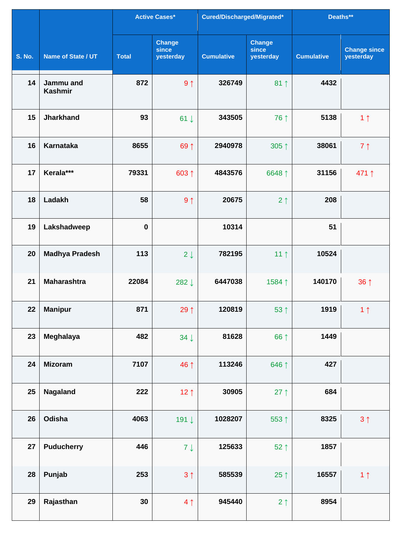|               |                             |              | <b>Active Cases*</b>                | Cured/Discharged/Migrated* |                                     | Deaths**          |                                  |
|---------------|-----------------------------|--------------|-------------------------------------|----------------------------|-------------------------------------|-------------------|----------------------------------|
| <b>S. No.</b> | Name of State / UT          | <b>Total</b> | <b>Change</b><br>since<br>yesterday | <b>Cumulative</b>          | <b>Change</b><br>since<br>yesterday | <b>Cumulative</b> | <b>Change since</b><br>yesterday |
| 14            | Jammu and<br><b>Kashmir</b> | 872          | 9 <sub>1</sub>                      | 326749                     | $81 \uparrow$                       | 4432              |                                  |
| 15            | <b>Jharkhand</b>            | 93           | $61 \downarrow$                     | 343505                     | 76 1                                | 5138              | 1 <sub>1</sub>                   |
| 16            | <b>Karnataka</b>            | 8655         | 69 ↑                                | 2940978                    | $305$ ↑                             | 38061             | $7 \uparrow$                     |
| 17            | Kerala***                   | 79331        | 603 ↑                               | 4843576                    | 6648 ↑                              | 31156             | 471↑                             |
| 18            | Ladakh                      | 58           | 9 <sub>1</sub>                      | 20675                      | 2 <sub>1</sub>                      | 208               |                                  |
| 19            | Lakshadweep                 | $\mathbf 0$  |                                     | 10314                      |                                     | 51                |                                  |
| 20            | <b>Madhya Pradesh</b>       | 113          | $2 \downarrow$                      | 782195                     | 11 $\uparrow$                       | 10524             |                                  |
| 21            | <b>Maharashtra</b>          | 22084        | 282↓                                | 6447038                    | 1584↑                               | 140170            | $36 \uparrow$                    |
| 22            | <b>Manipur</b>              | 871          | 29↑                                 | 120819                     | $53$ ↑                              | 1919              | 1 <sub>1</sub>                   |
| 23            | Meghalaya                   | 482          | $34 \downarrow$                     | 81628                      | 66 ↑                                | 1449              |                                  |
| 24            | <b>Mizoram</b>              | 7107         | 46 ↑                                | 113246                     | 646 1                               | 427               |                                  |
| 25            | Nagaland                    | 222          | 12 $\uparrow$                       | 30905                      | 27 $\uparrow$                       | 684               |                                  |
| 26            | Odisha                      | 4063         | 191↓                                | 1028207                    | 553↑                                | 8325              | 3 <sup>1</sup>                   |
| 27            | <b>Puducherry</b>           | 446          | $7 \downarrow$                      | 125633                     | 52↑                                 | 1857              |                                  |
| 28            | Punjab                      | 253          | 3 <sup>1</sup>                      | 585539                     | 25 $\uparrow$                       | 16557             | 1 <sub>1</sub>                   |
| 29            | Rajasthan                   | 30           | 4 <sub>1</sub>                      | 945440                     | $2 \uparrow$                        | 8954              |                                  |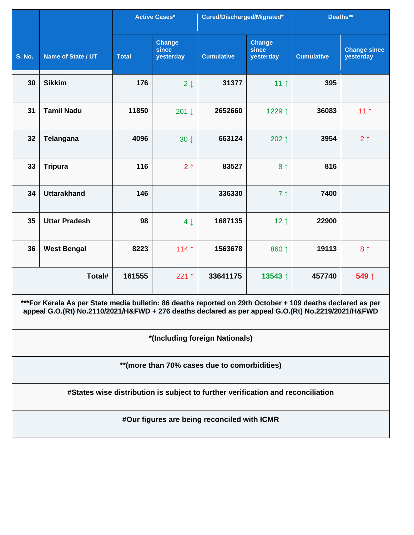|               |                                                                                                                                                                                                                  | <b>Active Cases*</b> | Cured/Discharged/Migrated*          |                                             | Deaths**                                   |                   |                                  |  |  |  |
|---------------|------------------------------------------------------------------------------------------------------------------------------------------------------------------------------------------------------------------|----------------------|-------------------------------------|---------------------------------------------|--------------------------------------------|-------------------|----------------------------------|--|--|--|
| <b>S. No.</b> | <b>Name of State / UT</b>                                                                                                                                                                                        | <b>Total</b>         | <b>Change</b><br>since<br>yesterday | <b>Cumulative</b>                           | <b>Change</b><br><b>since</b><br>yesterday | <b>Cumulative</b> | <b>Change since</b><br>yesterday |  |  |  |
| 30            | <b>Sikkim</b>                                                                                                                                                                                                    | 176                  | $2 \downarrow$                      | 31377                                       | 11 <sub>1</sub>                            | 395               |                                  |  |  |  |
| 31            | <b>Tamil Nadu</b>                                                                                                                                                                                                | 11850                | $201 \downarrow$                    | 2652660                                     | 1229↑                                      | 36083             | 11 $\uparrow$                    |  |  |  |
| 32            | Telangana                                                                                                                                                                                                        | 4096                 | $30 \downarrow$                     | 663124                                      | 202 $\uparrow$                             | 3954              | $2 \uparrow$                     |  |  |  |
| 33            | <b>Tripura</b>                                                                                                                                                                                                   | 116                  | 2 <sub>1</sub>                      | 83527                                       | 8 <sup>†</sup>                             | 816               |                                  |  |  |  |
| 34            | <b>Uttarakhand</b>                                                                                                                                                                                               | 146                  |                                     | 336330                                      | 7 <sup>1</sup>                             | 7400              |                                  |  |  |  |
| 35            | <b>Uttar Pradesh</b>                                                                                                                                                                                             | 98                   | $4 \downarrow$                      | 1687135                                     | $12 \uparrow$                              | 22900             |                                  |  |  |  |
| 36            | <b>West Bengal</b>                                                                                                                                                                                               | 8223                 | 114 $\uparrow$                      | 1563678                                     | 860 ↑                                      | 19113             | 8 <sub>1</sub>                   |  |  |  |
|               | Total#                                                                                                                                                                                                           | 161555               | 221 $\uparrow$                      | 33641175                                    | 13543 ↑                                    | 457740            | 549 ↑                            |  |  |  |
|               | ***For Kerala As per State media bulletin: 86 deaths reported on 29th October + 109 deaths declared as per<br>appeal G.O.(Rt) No.2110/2021/H&FWD + 276 deaths declared as per appeal G.O.(Rt) No.2219/2021/H&FWD |                      |                                     |                                             |                                            |                   |                                  |  |  |  |
|               |                                                                                                                                                                                                                  |                      |                                     | *(Including foreign Nationals)              |                                            |                   |                                  |  |  |  |
|               | ** (more than 70% cases due to comorbidities)                                                                                                                                                                    |                      |                                     |                                             |                                            |                   |                                  |  |  |  |
|               | #States wise distribution is subject to further verification and reconciliation                                                                                                                                  |                      |                                     |                                             |                                            |                   |                                  |  |  |  |
|               |                                                                                                                                                                                                                  |                      |                                     | #Our figures are being reconciled with ICMR |                                            |                   |                                  |  |  |  |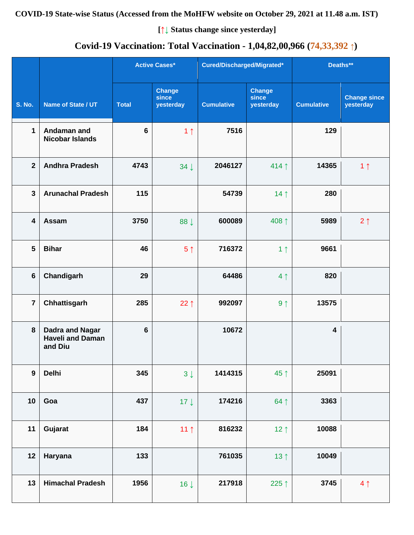# **Covid-19 Vaccination: Total Vaccination - 1,04,82,00,966 (74,33,392 ↑)**

|                  |                                                              |                 | <b>Active Cases*</b>                | Cured/Discharged/Migrated* |                                     | Deaths**                |                                  |
|------------------|--------------------------------------------------------------|-----------------|-------------------------------------|----------------------------|-------------------------------------|-------------------------|----------------------------------|
| <b>S. No.</b>    | Name of State / UT                                           | <b>Total</b>    | <b>Change</b><br>since<br>yesterday | <b>Cumulative</b>          | <b>Change</b><br>since<br>yesterday | <b>Cumulative</b>       | <b>Change since</b><br>yesterday |
| $\mathbf 1$      | Andaman and<br><b>Nicobar Islands</b>                        | $6\phantom{1}6$ | 1 <sub>1</sub>                      | 7516                       |                                     | 129                     |                                  |
| $\overline{2}$   | <b>Andhra Pradesh</b>                                        | 4743            | $34 \downarrow$                     | 2046127                    | 414 1                               | 14365                   | 1 <sub>1</sub>                   |
| $\mathbf{3}$     | <b>Arunachal Pradesh</b>                                     | 115             |                                     | 54739                      | 14 <sub>1</sub>                     | 280                     |                                  |
| 4                | Assam                                                        | 3750            | 88 J                                | 600089                     | 408 ↑                               | 5989                    | $2 \uparrow$                     |
| $5\phantom{1}$   | <b>Bihar</b>                                                 | 46              | 5 <sup>†</sup>                      | 716372                     | 1 <sub>1</sub>                      | 9661                    |                                  |
| $6\phantom{1}$   | Chandigarh                                                   | 29              |                                     | 64486                      | 4 <sub>1</sub>                      | 820                     |                                  |
| $\overline{7}$   | Chhattisgarh                                                 | 285             | 22 $\uparrow$                       | 992097                     | 9 <sub>1</sub>                      | 13575                   |                                  |
| 8                | <b>Dadra and Nagar</b><br><b>Haveli and Daman</b><br>and Diu | $6\phantom{1}$  |                                     | 10672                      |                                     | $\overline{\mathbf{4}}$ |                                  |
| $\boldsymbol{9}$ | <b>Delhi</b>                                                 | 345             | $3\downarrow$                       | 1414315                    | 45 ↑                                | 25091                   |                                  |
| 10               | Goa                                                          | 437             | $17 \downarrow$                     | 174216                     | 64 1                                | 3363                    |                                  |
| 11               | Gujarat                                                      | 184             | 11 <sub>1</sub>                     | 816232                     | 12 <sub>1</sub>                     | 10088                   |                                  |
| 12               | Haryana                                                      | 133             |                                     | 761035                     | 13 <sup>†</sup>                     | 10049                   |                                  |
| 13               | <b>Himachal Pradesh</b>                                      | 1956            | $16 \downarrow$                     | 217918                     | 225↑                                | 3745                    | 4 <sub>1</sub>                   |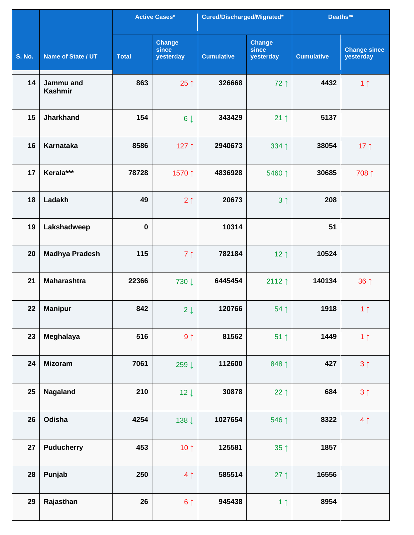|               |                             |              | <b>Active Cases*</b>                | Cured/Discharged/Migrated* |                                     | Deaths**          |                                  |
|---------------|-----------------------------|--------------|-------------------------------------|----------------------------|-------------------------------------|-------------------|----------------------------------|
| <b>S. No.</b> | Name of State / UT          | <b>Total</b> | <b>Change</b><br>since<br>yesterday | <b>Cumulative</b>          | <b>Change</b><br>since<br>yesterday | <b>Cumulative</b> | <b>Change since</b><br>yesterday |
| 14            | Jammu and<br><b>Kashmir</b> | 863          | $25 \uparrow$                       | 326668                     | 72 1                                | 4432              | 1 <sub>1</sub>                   |
| 15            | <b>Jharkhand</b>            | 154          | $6 \downarrow$                      | 343429                     | $21 \uparrow$                       | 5137              |                                  |
| 16            | <b>Karnataka</b>            | 8586         | 127↑                                | 2940673                    | 334 1                               | 38054             | 17 $\uparrow$                    |
| 17            | Kerala***                   | 78728        | 1570↑                               | 4836928                    | 5460 ↑                              | 30685             | 708 ↑                            |
| 18            | Ladakh                      | 49           | 2 <sub>1</sub>                      | 20673                      | 3 <sub>1</sub>                      | 208               |                                  |
| 19            | Lakshadweep                 | $\mathbf 0$  |                                     | 10314                      |                                     | 51                |                                  |
| 20            | <b>Madhya Pradesh</b>       | 115          | 7 <sub>1</sub>                      | 782184                     | 12 $\uparrow$                       | 10524             |                                  |
| 21            | <b>Maharashtra</b>          | 22366        | 730 ↓                               | 6445454                    | 2112 $\uparrow$                     | 140134            | $36 \uparrow$                    |
| 22            | <b>Manipur</b>              | 842          | $2\downarrow$                       | 120766                     | 54↑                                 | 1918              | 1 <sub>1</sub>                   |
| 23            | Meghalaya                   | 516          | $9 \uparrow$                        | 81562                      | $51$ ↑                              | 1449              | 1 <sub>1</sub>                   |
| 24            | <b>Mizoram</b>              | 7061         | 259↓                                | 112600                     | 848↑                                | 427               | 3 <sup>1</sup>                   |
| 25            | Nagaland                    | 210          | $12 \downarrow$                     | 30878                      | 22 $\uparrow$                       | 684               | $3 \uparrow$                     |
| 26            | Odisha                      | 4254         | 138↓                                | 1027654                    | 546 ↑                               | 8322              | 4 <sub>1</sub>                   |
| 27            | <b>Puducherry</b>           | 453          | 10 $\uparrow$                       | 125581                     | $35 \uparrow$                       | 1857              |                                  |
| 28            | Punjab                      | 250          | 4 <sub>1</sub>                      | 585514                     | $27$ ↑                              | 16556             |                                  |
| 29            | Rajasthan                   | 26           | 6 <sup>1</sup>                      | 945438                     | 1 <sub>1</sub>                      | 8954              |                                  |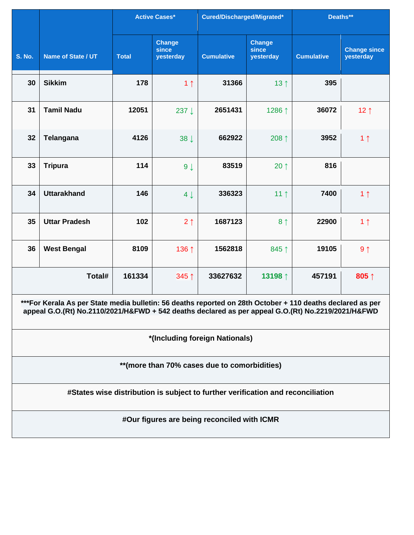|               |                                                                                                                                                                                                                  |              | <b>Active Cases*</b>                | Cured/Discharged/Migrated*                                                      |                                     | Deaths**          |                                  |  |  |  |
|---------------|------------------------------------------------------------------------------------------------------------------------------------------------------------------------------------------------------------------|--------------|-------------------------------------|---------------------------------------------------------------------------------|-------------------------------------|-------------------|----------------------------------|--|--|--|
| <b>S. No.</b> | <b>Name of State / UT</b>                                                                                                                                                                                        | <b>Total</b> | <b>Change</b><br>since<br>yesterday | <b>Cumulative</b>                                                               | <b>Change</b><br>since<br>yesterday | <b>Cumulative</b> | <b>Change since</b><br>yesterday |  |  |  |
| 30            | <b>Sikkim</b>                                                                                                                                                                                                    | 178          | 1 <sub>1</sub>                      | 31366                                                                           | 13 $\uparrow$                       | 395               |                                  |  |  |  |
| 31            | <b>Tamil Nadu</b>                                                                                                                                                                                                | 12051        | 237↓                                | 2651431                                                                         | 1286 ↑                              | 36072             | 12 $\uparrow$                    |  |  |  |
| 32            | Telangana                                                                                                                                                                                                        | 4126         | $38 \downarrow$                     | 662922                                                                          | 208 ↑                               | 3952              | 1 <sub>1</sub>                   |  |  |  |
| 33            | <b>Tripura</b>                                                                                                                                                                                                   | 114          | $9 \downarrow$                      | 83519                                                                           | 20 $\uparrow$                       | 816               |                                  |  |  |  |
| 34            | <b>Uttarakhand</b>                                                                                                                                                                                               | 146          | $4 \downarrow$                      | 336323                                                                          | 11 <sup>†</sup>                     | 7400              | 1 <sub>1</sub>                   |  |  |  |
| 35            | <b>Uttar Pradesh</b>                                                                                                                                                                                             | 102          | 2 <sub>1</sub>                      | 1687123                                                                         | 8 <sup>†</sup>                      | 22900             | 1 <sub>1</sub>                   |  |  |  |
| 36            | <b>West Bengal</b>                                                                                                                                                                                               | 8109         | 136 ↑                               | 1562818                                                                         | 845↑                                | 19105             | $9 \uparrow$                     |  |  |  |
|               | Total#                                                                                                                                                                                                           | 161334       | 345↑                                | 33627632                                                                        | 13198 1                             | 457191            | 805↑                             |  |  |  |
|               | ***For Kerala As per State media bulletin: 56 deaths reported on 28th October + 110 deaths declared as per<br>appeal G.O.(Rt) No.2110/2021/H&FWD + 542 deaths declared as per appeal G.O.(Rt) No.2219/2021/H&FWD |              |                                     |                                                                                 |                                     |                   |                                  |  |  |  |
|               |                                                                                                                                                                                                                  |              |                                     | *(Including foreign Nationals)                                                  |                                     |                   |                                  |  |  |  |
|               | ** (more than 70% cases due to comorbidities)                                                                                                                                                                    |              |                                     |                                                                                 |                                     |                   |                                  |  |  |  |
|               |                                                                                                                                                                                                                  |              |                                     | #States wise distribution is subject to further verification and reconciliation |                                     |                   |                                  |  |  |  |
|               |                                                                                                                                                                                                                  |              |                                     | #Our figures are being reconciled with ICMR                                     |                                     |                   |                                  |  |  |  |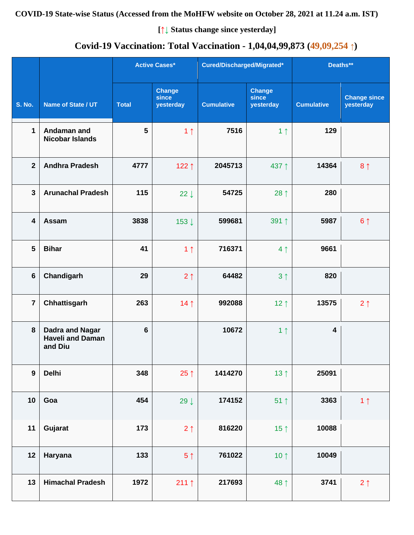# **Covid-19 Vaccination: Total Vaccination - 1,04,04,99,873 (49,09,254 ↑)**

|                         |                                                       |                | <b>Active Cases*</b>                |                   | Cured/Discharged/Migrated*          |                         | Deaths**                         |  |
|-------------------------|-------------------------------------------------------|----------------|-------------------------------------|-------------------|-------------------------------------|-------------------------|----------------------------------|--|
| <b>S. No.</b>           | Name of State / UT                                    | <b>Total</b>   | <b>Change</b><br>since<br>yesterday | <b>Cumulative</b> | <b>Change</b><br>since<br>yesterday | <b>Cumulative</b>       | <b>Change since</b><br>yesterday |  |
| $\mathbf{1}$            | Andaman and<br><b>Nicobar Islands</b>                 | $5\phantom{1}$ | 1 <sub>1</sub>                      | 7516              | 1 <sub>1</sub>                      | 129                     |                                  |  |
| $\overline{2}$          | <b>Andhra Pradesh</b>                                 | 4777           | 122↑                                | 2045713           | 437↑                                | 14364                   | 8 <sup>1</sup>                   |  |
| $\overline{\mathbf{3}}$ | <b>Arunachal Pradesh</b>                              | 115            | $22 \downarrow$                     | 54725             | 28 $\uparrow$                       | 280                     |                                  |  |
| 4                       | Assam                                                 | 3838           | 153↓                                | 599681            | 391↑                                | 5987                    | 6 <sup>1</sup>                   |  |
| 5                       | <b>Bihar</b>                                          | 41             | 1 <sub>1</sub>                      | 716371            | 4 <sub>1</sub>                      | 9661                    |                                  |  |
| $6\phantom{1}$          | Chandigarh                                            | 29             | 2 <sub>1</sub>                      | 64482             | 3 <sup>†</sup>                      | 820                     |                                  |  |
| $\overline{7}$          | Chhattisgarh                                          | 263            | 14 <sub>1</sub>                     | 992088            | $12 \uparrow$                       | 13575                   | $2 \uparrow$                     |  |
| $\pmb{8}$               | Dadra and Nagar<br><b>Haveli and Daman</b><br>and Diu | $\bf 6$        |                                     | 10672             | 1 <sub>1</sub>                      | $\overline{\mathbf{4}}$ |                                  |  |
| $\boldsymbol{9}$        | <b>Delhi</b>                                          | 348            | 25 $\uparrow$                       | 1414270           | 13 <sup>†</sup>                     | 25091                   |                                  |  |
| 10                      | Goa                                                   | 454            | 29 $\downarrow$                     | 174152            | $51$ ↑                              | 3363                    | 1 <sub>1</sub>                   |  |
| 11                      | Gujarat                                               | 173            | 2 <sub>1</sub>                      | 816220            | 15 $\uparrow$                       | 10088                   |                                  |  |
| 12                      | Haryana                                               | 133            | 5 <sup>1</sup>                      | 761022            | 10 $\uparrow$                       | 10049                   |                                  |  |
| 13                      | <b>Himachal Pradesh</b>                               | 1972           | 211 $\uparrow$                      | 217693            | 48 ↑                                | 3741                    | $2 \uparrow$                     |  |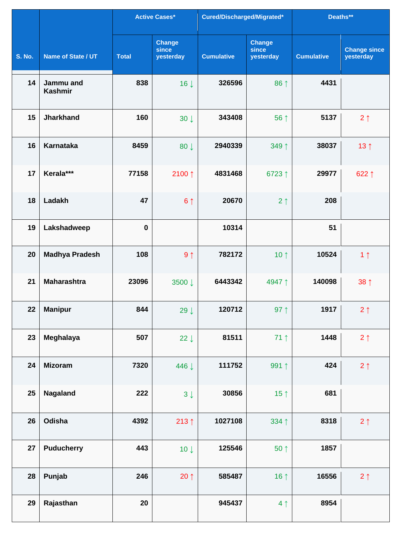|               |                                    |              | <b>Active Cases*</b>                | Cured/Discharged/Migrated* |                                     | Deaths**          |                                  |
|---------------|------------------------------------|--------------|-------------------------------------|----------------------------|-------------------------------------|-------------------|----------------------------------|
| <b>S. No.</b> | Name of State / UT                 | <b>Total</b> | <b>Change</b><br>since<br>yesterday | <b>Cumulative</b>          | <b>Change</b><br>since<br>yesterday | <b>Cumulative</b> | <b>Change since</b><br>yesterday |
| 14            | <b>Jammu</b> and<br><b>Kashmir</b> | 838          | 16 <sup>1</sup>                     | 326596                     | 86 ↑                                | 4431              |                                  |
| 15            | <b>Jharkhand</b>                   | 160          | $30 \downarrow$                     | 343408                     | 56 ↑                                | 5137              | $2 \uparrow$                     |
| 16            | <b>Karnataka</b>                   | 8459         | 80 $\downarrow$                     | 2940339                    | 349 1                               | 38037             | 13 <sup>†</sup>                  |
| 17            | Kerala***                          | 77158        | 2100↑                               | 4831468                    | 6723↑                               | 29977             | 622↑                             |
| 18            | Ladakh                             | 47           | 6 <sup>1</sup>                      | 20670                      | 2 <sub>1</sub>                      | 208               |                                  |
| 19            | Lakshadweep                        | $\bf{0}$     |                                     | 10314                      |                                     | 51                |                                  |
| 20            | <b>Madhya Pradesh</b>              | 108          | 9 <sub>1</sub>                      | 782172                     | 10 $\uparrow$                       | 10524             | 1 <sub>1</sub>                   |
| 21            | <b>Maharashtra</b>                 | 23096        | 3500 ↓                              | 6443342                    | 4947↑                               | 140098            | 38 <sup>†</sup>                  |
| 22            | <b>Manipur</b>                     | 844          | 29 $\downarrow$                     | 120712                     | 97 $\uparrow$                       | 1917              | $2 \uparrow$                     |
| 23            | Meghalaya                          | 507          | 22 $\downarrow$                     | 81511                      | $71$ ↑                              | 1448              | $2 \uparrow$                     |
| 24            | <b>Mizoram</b>                     | 7320         | 446 ↓                               | 111752                     | 991 1                               | 424               | $2 \uparrow$                     |
| 25            | <b>Nagaland</b>                    | 222          | $3 \downarrow$                      | 30856                      | 15 <sup>†</sup>                     | 681               |                                  |
| 26            | Odisha                             | 4392         | 213 $\uparrow$                      | 1027108                    | 334 1                               | 8318              | $2 \uparrow$                     |
| 27            | <b>Puducherry</b>                  | 443          | $10 \downarrow$                     | 125546                     | $50 \uparrow$                       | 1857              |                                  |
| 28            | Punjab                             | 246          | $20 \uparrow$                       | 585487                     | 16 $\uparrow$                       | 16556             | 2 <sub>1</sub>                   |
| 29            | Rajasthan                          | 20           |                                     | 945437                     | 4 <sub>1</sub>                      | 8954              |                                  |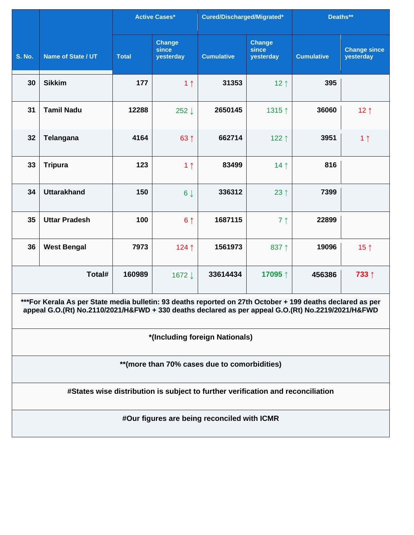|               |                                                                                                                                                                                                                  |              | <b>Active Cases*</b>                | Cured/Discharged/Migrated*                  |                                     | Deaths**          |                                  |  |  |  |
|---------------|------------------------------------------------------------------------------------------------------------------------------------------------------------------------------------------------------------------|--------------|-------------------------------------|---------------------------------------------|-------------------------------------|-------------------|----------------------------------|--|--|--|
| <b>S. No.</b> | Name of State / UT                                                                                                                                                                                               | <b>Total</b> | <b>Change</b><br>since<br>yesterday | <b>Cumulative</b>                           | <b>Change</b><br>since<br>yesterday | <b>Cumulative</b> | <b>Change since</b><br>yesterday |  |  |  |
| 30            | <b>Sikkim</b>                                                                                                                                                                                                    | 177          | 1 <sub>1</sub>                      | 31353                                       | $12 \uparrow$                       | 395               |                                  |  |  |  |
| 31            | <b>Tamil Nadu</b>                                                                                                                                                                                                | 12288        | 252↓                                | 2650145                                     | 1315↑                               | 36060             | $12 \uparrow$                    |  |  |  |
| 32            | <b>Telangana</b>                                                                                                                                                                                                 | 4164         | 63 ↑                                | 662714                                      | 122 $\uparrow$                      | 3951              | 1 <sub>1</sub>                   |  |  |  |
| 33            | <b>Tripura</b>                                                                                                                                                                                                   | 123          | 1 <sub>1</sub>                      | 83499                                       | 14 <sub>1</sub>                     | 816               |                                  |  |  |  |
| 34            | <b>Uttarakhand</b>                                                                                                                                                                                               | 150          | $6 \downarrow$                      | 336312                                      | 23 $\uparrow$                       | 7399              |                                  |  |  |  |
| 35            | <b>Uttar Pradesh</b>                                                                                                                                                                                             | 100          | 6 <sup>†</sup>                      | 1687115                                     | 7 <sub>1</sub>                      | 22899             |                                  |  |  |  |
| 36            | <b>West Bengal</b>                                                                                                                                                                                               | 7973         | 124↑                                | 1561973                                     | 837 1                               | 19096             | 15 $\uparrow$                    |  |  |  |
|               | Total#                                                                                                                                                                                                           | 160989       | 1672↓                               | 33614434                                    | 17095↑                              | 456386            | 733↑                             |  |  |  |
|               | ***For Kerala As per State media bulletin: 93 deaths reported on 27th October + 199 deaths declared as per<br>appeal G.O.(Rt) No.2110/2021/H&FWD + 330 deaths declared as per appeal G.O.(Rt) No.2219/2021/H&FWD |              |                                     |                                             |                                     |                   |                                  |  |  |  |
|               |                                                                                                                                                                                                                  |              |                                     | *(Including foreign Nationals)              |                                     |                   |                                  |  |  |  |
|               | ** (more than 70% cases due to comorbidities)                                                                                                                                                                    |              |                                     |                                             |                                     |                   |                                  |  |  |  |
|               | #States wise distribution is subject to further verification and reconciliation                                                                                                                                  |              |                                     |                                             |                                     |                   |                                  |  |  |  |
|               |                                                                                                                                                                                                                  |              |                                     | #Our figures are being reconciled with ICMR |                                     |                   |                                  |  |  |  |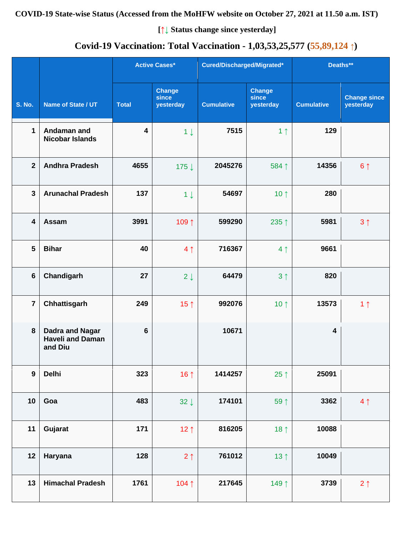# **Covid-19 Vaccination: Total Vaccination - 1,03,53,25,577 (55,89,124 ↑)**

|                         |                                                              |                 | <b>Active Cases*</b>                | Cured/Discharged/Migrated* |                                     | Deaths**                |                                  |
|-------------------------|--------------------------------------------------------------|-----------------|-------------------------------------|----------------------------|-------------------------------------|-------------------------|----------------------------------|
| <b>S. No.</b>           | Name of State / UT                                           | <b>Total</b>    | <b>Change</b><br>since<br>yesterday | <b>Cumulative</b>          | <b>Change</b><br>since<br>yesterday | <b>Cumulative</b>       | <b>Change since</b><br>yesterday |
| $\mathbf 1$             | Andaman and<br><b>Nicobar Islands</b>                        | 4               | $1 \downarrow$                      | 7515                       | 1 <sub>1</sub>                      | 129                     |                                  |
| $\overline{2}$          | <b>Andhra Pradesh</b>                                        | 4655            | 175↓                                | 2045276                    | 584 1                               | 14356                   | 6 <sup>1</sup>                   |
| $\overline{3}$          | <b>Arunachal Pradesh</b>                                     | 137             | $1 \downarrow$                      | 54697                      | 10 $\uparrow$                       | 280                     |                                  |
| $\overline{\mathbf{4}}$ | Assam                                                        | 3991            | 109↑                                | 599290                     | 235 ↑                               | 5981                    | 3 <sub>1</sub>                   |
| $5\phantom{1}$          | <b>Bihar</b>                                                 | 40              | 4 <sub>1</sub>                      | 716367                     | 4 <sub>1</sub>                      | 9661                    |                                  |
| $\bf 6$                 | Chandigarh                                                   | 27              | $2 \downarrow$                      | 64479                      | 3 <sub>1</sub>                      | 820                     |                                  |
| $\overline{7}$          | Chhattisgarh                                                 | 249             | 15 $\uparrow$                       | 992076                     | 10 $\uparrow$                       | 13573                   | 1 <sub>1</sub>                   |
| 8                       | <b>Dadra and Nagar</b><br><b>Haveli and Daman</b><br>and Diu | $6\phantom{1}6$ |                                     | 10671                      |                                     | $\overline{\mathbf{4}}$ |                                  |
| $\boldsymbol{9}$        | <b>Delhi</b>                                                 | 323             | 16 $\uparrow$                       | 1414257                    | 25 $\uparrow$                       | 25091                   |                                  |
| 10                      | Goa                                                          | 483             | $32 \downarrow$                     | 174101                     | 59 1                                | 3362                    | 4 <sub>1</sub>                   |
| 11                      | Gujarat                                                      | 171             | 12 $\uparrow$                       | 816205                     | 18 $\uparrow$                       | 10088                   |                                  |
| 12                      | Haryana                                                      | 128             | $2 \uparrow$                        | 761012                     | 13 <sup>†</sup>                     | 10049                   |                                  |
| 13                      | <b>Himachal Pradesh</b>                                      | 1761            | 104↑                                | 217645                     | 149↑                                | 3739                    | $2 \uparrow$                     |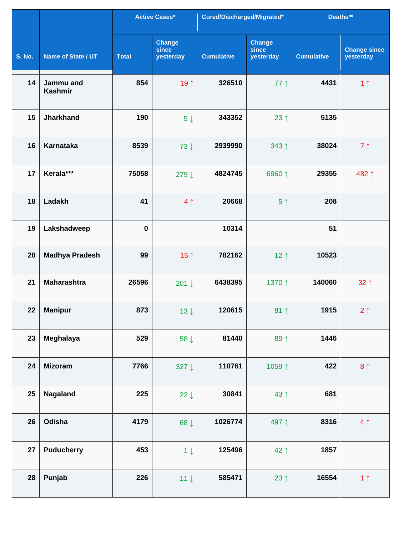|               |                             |              | <b>Active Cases*</b>                | Cured/Discharged/Migrated* |                                     | Deaths**          |                                  |
|---------------|-----------------------------|--------------|-------------------------------------|----------------------------|-------------------------------------|-------------------|----------------------------------|
| <b>S. No.</b> | Name of State / UT          | <b>Total</b> | <b>Change</b><br>since<br>yesterday | <b>Cumulative</b>          | <b>Change</b><br>since<br>yesterday | <b>Cumulative</b> | <b>Change since</b><br>yesterday |
| 14            | Jammu and<br><b>Kashmir</b> | 854          | 19 ↑                                | 326510                     | $77$ $\uparrow$                     | 4431              | 1 <sub>1</sub>                   |
| 15            | <b>Jharkhand</b>            | 190          | 5 <sup>1</sup>                      | 343352                     | 23 $\uparrow$                       | 5135              |                                  |
| 16            | <b>Karnataka</b>            | 8539         | 73↓                                 | 2939990                    | 343 ↑                               | 38024             | $7 \uparrow$                     |
| 17            | Kerala***                   | 75058        | 279 ↓                               | 4824745                    | 6960↑                               | 29355             | 482↑                             |
| 18            | Ladakh                      | 41           | 4 <sub>1</sub>                      | 20668                      | 5 <sup>†</sup>                      | 208               |                                  |
| 19            | Lakshadweep                 | $\bf{0}$     |                                     | 10314                      |                                     | 51                |                                  |
| 20            | <b>Madhya Pradesh</b>       | 99           | 15 $\uparrow$                       | 782162                     | $12 \uparrow$                       | 10523             |                                  |
| 21            | <b>Maharashtra</b>          | 26596        | 201↓                                | 6438395                    | 1370 ↑                              | 140060            | $32 \uparrow$                    |
| 22            | <b>Manipur</b>              | 873          | $13 \downarrow$                     | 120615                     | 81 $\uparrow$                       | 1915              | $2 \uparrow$                     |
| 23            | Meghalaya                   | 529          | 58 $\downarrow$                     | 81440                      | 89 ↑                                | 1446              |                                  |
| 24            | <b>Mizoram</b>              | 7766         | 327 $\downarrow$                    | 110761                     | 1059↑                               | 422               | $8 \uparrow$                     |
| 25            | Nagaland                    | 225          | 22 $\downarrow$                     | 30841                      | 43↑                                 | 681               |                                  |
| 26            | Odisha                      | 4179         | 68 ↓                                | 1026774                    | 497↑                                | 8316              | 4 <sub>1</sub>                   |
| 27            | <b>Puducherry</b>           | 453          | $1 \downarrow$                      | 125496                     | 42↑                                 | 1857              |                                  |
| 28            | Punjab                      | 226          | $11 \downarrow$                     | 585471                     | 23 $\uparrow$                       | 16554             | 1 <sub>1</sub>                   |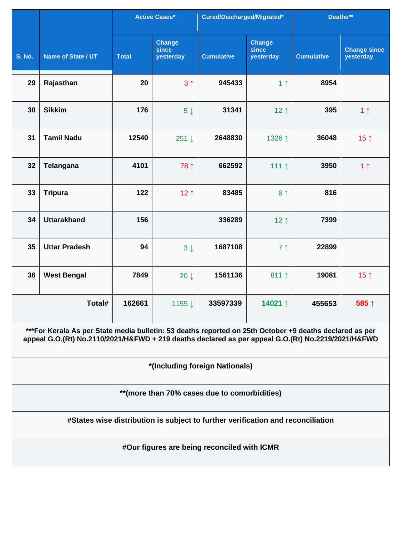|                                              |                                                                                                                                                                                                               | <b>Active Cases*</b> | Cured/Discharged/Migrated*          |                                             | Deaths**                            |                   |                                  |  |  |  |
|----------------------------------------------|---------------------------------------------------------------------------------------------------------------------------------------------------------------------------------------------------------------|----------------------|-------------------------------------|---------------------------------------------|-------------------------------------|-------------------|----------------------------------|--|--|--|
| <b>S. No.</b>                                | Name of State / UT                                                                                                                                                                                            | <b>Total</b>         | <b>Change</b><br>since<br>yesterday | <b>Cumulative</b>                           | <b>Change</b><br>since<br>yesterday | <b>Cumulative</b> | <b>Change since</b><br>yesterday |  |  |  |
| 29                                           | Rajasthan                                                                                                                                                                                                     | 20                   | 3 <sub>1</sub>                      | 945433                                      | 1 <sub>1</sub>                      | 8954              |                                  |  |  |  |
| 30                                           | <b>Sikkim</b>                                                                                                                                                                                                 | 176                  | $5 \downarrow$                      | 31341                                       | 12 <sub>1</sub>                     | 395               | 1 <sub>1</sub>                   |  |  |  |
| 31                                           | <b>Tamil Nadu</b>                                                                                                                                                                                             | 12540                | $251 \downarrow$                    | 2648830                                     | 1326 ↑                              | 36048             | 15 $\uparrow$                    |  |  |  |
| 32                                           | Telangana                                                                                                                                                                                                     | 4101                 | 78 1                                | 662592                                      | 111 $\uparrow$                      | 3950              | 1 <sub>1</sub>                   |  |  |  |
| 33                                           | <b>Tripura</b>                                                                                                                                                                                                | 122                  | 12 $\uparrow$                       | 83485                                       | 6 <sup>†</sup>                      | 816               |                                  |  |  |  |
| 34                                           | <b>Uttarakhand</b>                                                                                                                                                                                            | 156                  |                                     | 336289                                      | 12 $\uparrow$                       | 7399              |                                  |  |  |  |
| 35                                           | <b>Uttar Pradesh</b>                                                                                                                                                                                          | 94                   | $3 \downarrow$                      | 1687108                                     | 7 <sub>1</sub>                      | 22899             |                                  |  |  |  |
| 36                                           | <b>West Bengal</b>                                                                                                                                                                                            | 7849                 | $20 \downarrow$                     | 1561136                                     | 811 $\uparrow$                      | 19081             | 15 $\uparrow$                    |  |  |  |
|                                              | Total#                                                                                                                                                                                                        | 162661               | 1155↓                               | 33597339                                    | 14021 ↑                             | 455653            | 585↑                             |  |  |  |
|                                              | ***For Kerala As per State media bulletin: 53 deaths reported on 25th October +9 deaths declared as per<br>appeal G.O.(Rt) No.2110/2021/H&FWD + 219 deaths declared as per appeal G.O.(Rt) No.2219/2021/H&FWD |                      |                                     |                                             |                                     |                   |                                  |  |  |  |
|                                              |                                                                                                                                                                                                               |                      |                                     | *(Including foreign Nationals)              |                                     |                   |                                  |  |  |  |
| **(more than 70% cases due to comorbidities) |                                                                                                                                                                                                               |                      |                                     |                                             |                                     |                   |                                  |  |  |  |
|                                              | #States wise distribution is subject to further verification and reconciliation                                                                                                                               |                      |                                     |                                             |                                     |                   |                                  |  |  |  |
|                                              |                                                                                                                                                                                                               |                      |                                     | #Our figures are being reconciled with ICMR |                                     |                   |                                  |  |  |  |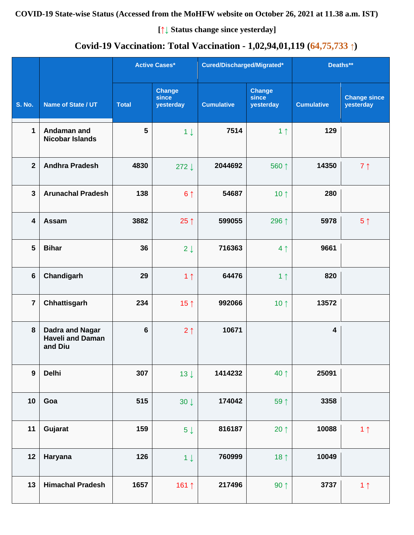# **Covid-19 Vaccination: Total Vaccination - 1,02,94,01,119 (64,75,733 ↑)**

|                         |                                                       |                | <b>Active Cases*</b>                | Cured/Discharged/Migrated* |                                     | Deaths**                |                                  |
|-------------------------|-------------------------------------------------------|----------------|-------------------------------------|----------------------------|-------------------------------------|-------------------------|----------------------------------|
| <b>S. No.</b>           | Name of State / UT                                    | <b>Total</b>   | <b>Change</b><br>since<br>yesterday | <b>Cumulative</b>          | <b>Change</b><br>since<br>yesterday | <b>Cumulative</b>       | <b>Change since</b><br>yesterday |
| $\mathbf 1$             | Andaman and<br><b>Nicobar Islands</b>                 | 5              | $1 \downarrow$                      | 7514                       | 1 <sub>1</sub>                      | 129                     |                                  |
| $\overline{2}$          | <b>Andhra Pradesh</b>                                 | 4830           | $272 \downarrow$                    | 2044692                    | 560 ↑                               | 14350                   | 7 <sub>1</sub>                   |
| $\mathbf{3}$            | <b>Arunachal Pradesh</b>                              | 138            | 6 <sup>1</sup>                      | 54687                      | 10 $\uparrow$                       | 280                     |                                  |
| $\overline{\mathbf{4}}$ | Assam                                                 | 3882           | 25 $\uparrow$                       | 599055                     | 296 ↑                               | 5978                    | 5 <sup>†</sup>                   |
| $5\phantom{1}$          | <b>Bihar</b>                                          | 36             | $2 \downarrow$                      | 716363                     | 4 <sub>1</sub>                      | 9661                    |                                  |
| $6\phantom{a}$          | Chandigarh                                            | 29             | 1 <sub>1</sub>                      | 64476                      | 1 <sub>1</sub>                      | 820                     |                                  |
| $\overline{7}$          | Chhattisgarh                                          | 234            | 15 $\uparrow$                       | 992066                     | 10 $\uparrow$                       | 13572                   |                                  |
| 8                       | Dadra and Nagar<br><b>Haveli and Daman</b><br>and Diu | $6\phantom{1}$ | 2 <sub>1</sub>                      | 10671                      |                                     | $\overline{\mathbf{4}}$ |                                  |
| $\boldsymbol{9}$        | Delhi                                                 | 307            | $13 \downarrow$                     | 1414232                    | 40 ↑                                | 25091                   |                                  |
| 10                      | Goa                                                   | 515            | $30 \downarrow$                     | 174042                     | 59 1                                | 3358                    |                                  |
| 11                      | Gujarat                                               | 159            | $5\downarrow$                       | 816187                     | 20 $\uparrow$                       | 10088                   | 1 <sub>1</sub>                   |
| 12                      | Haryana                                               | 126            | $1 \downarrow$                      | 760999                     | 18 $\uparrow$                       | 10049                   |                                  |
| 13                      | <b>Himachal Pradesh</b>                               | 1657           | 161 ↑                               | 217496                     | $90 \uparrow$                       | 3737                    | 1 <sub>1</sub>                   |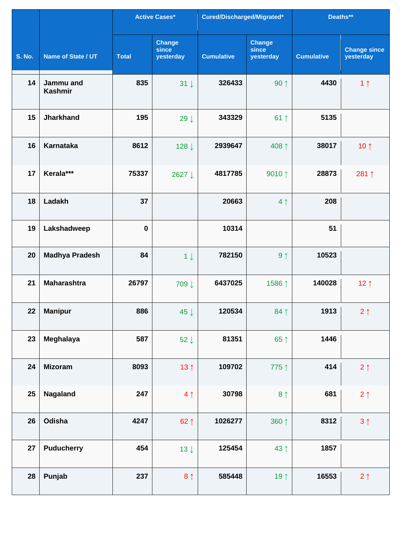|               |                             |              | <b>Active Cases*</b>                | Cured/Discharged/Migrated* |                                     | Deaths**          |                                  |
|---------------|-----------------------------|--------------|-------------------------------------|----------------------------|-------------------------------------|-------------------|----------------------------------|
| <b>S. No.</b> | Name of State / UT          | <b>Total</b> | <b>Change</b><br>since<br>yesterday | <b>Cumulative</b>          | <b>Change</b><br>since<br>yesterday | <b>Cumulative</b> | <b>Change since</b><br>yesterday |
| 14            | Jammu and<br><b>Kashmir</b> | 835          | $31 \downarrow$                     | 326433                     | $90 \uparrow$                       | 4430              | 1 <sub>1</sub>                   |
| 15            | <b>Jharkhand</b>            | 195          | 29 $\downarrow$                     | 343329                     | $61$ ↑                              | 5135              |                                  |
| 16            | <b>Karnataka</b>            | 8612         | 128↓                                | 2939647                    | 408↑                                | 38017             | 10 $\uparrow$                    |
| 17            | Kerala***                   | 75337        | 2627↓                               | 4817785                    | 9010 $\uparrow$                     | 28873             | 281↑                             |
| 18            | Ladakh                      | 37           |                                     | 20663                      | 4 <sub>1</sub>                      | 208               |                                  |
| 19            | Lakshadweep                 | $\bf{0}$     |                                     | 10314                      |                                     | 51                |                                  |
| 20            | <b>Madhya Pradesh</b>       | 84           | $1 \downarrow$                      | 782150                     | 9 <sub>1</sub>                      | 10523             |                                  |
| 21            | <b>Maharashtra</b>          | 26797        | 709↓                                | 6437025                    | 1586↑                               | 140028            | 12 $\uparrow$                    |
| 22            | <b>Manipur</b>              | 886          | 45 $\downarrow$                     | 120534                     | $84$ ↑                              | 1913              | $2 \uparrow$                     |
| 23            | Meghalaya                   | 587          | 52 $\downarrow$                     | 81351                      | $65$ ↑                              | 1446              |                                  |
| 24            | <b>Mizoram</b>              | 8093         | 13 $\uparrow$                       | 109702                     | 775 ↑                               | 414               | $2 \uparrow$                     |
| 25            | <b>Nagaland</b>             | 247          | 4 <sub>1</sub>                      | 30798                      | 8 <sup>1</sup>                      | 681               | $2 \uparrow$                     |
| 26            | Odisha                      | 4247         | $62 \uparrow$                       | 1026277                    | 360 1                               | 8312              | $3 \uparrow$                     |
| 27            | <b>Puducherry</b>           | 454          | $13 \downarrow$                     | 125454                     | 43 ↑                                | 1857              |                                  |
| 28            | Punjab                      | 237          | 8 <sup>1</sup>                      | 585448                     | 19 $\uparrow$                       | 16553             | $2 \uparrow$                     |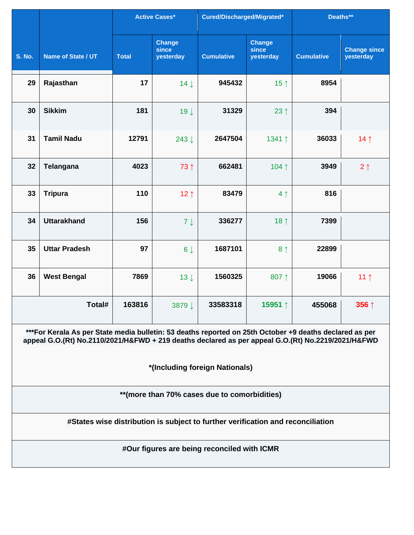|               |                                                                                                                                                                                                               | <b>Active Cases*</b> | Cured/Discharged/Migrated*          |                                             | Deaths**                            |                   |                                  |  |  |  |
|---------------|---------------------------------------------------------------------------------------------------------------------------------------------------------------------------------------------------------------|----------------------|-------------------------------------|---------------------------------------------|-------------------------------------|-------------------|----------------------------------|--|--|--|
| <b>S. No.</b> | Name of State / UT                                                                                                                                                                                            | <b>Total</b>         | <b>Change</b><br>since<br>yesterday | <b>Cumulative</b>                           | <b>Change</b><br>since<br>yesterday | <b>Cumulative</b> | <b>Change since</b><br>yesterday |  |  |  |
| 29            | Rajasthan                                                                                                                                                                                                     | 17                   | $14 \downarrow$                     | 945432                                      | 15 $\uparrow$                       | 8954              |                                  |  |  |  |
| 30            | <b>Sikkim</b>                                                                                                                                                                                                 | 181                  | $19 \downarrow$                     | 31329                                       | 23 $\uparrow$                       | 394               |                                  |  |  |  |
| 31            | <b>Tamil Nadu</b>                                                                                                                                                                                             | 12791                | 243↓                                | 2647504                                     | 1341 ↑                              | 36033             | 14 <sub>1</sub>                  |  |  |  |
| 32            | Telangana                                                                                                                                                                                                     | 4023                 | 73 ↑                                | 662481                                      | 104↑                                | 3949              | $2 \uparrow$                     |  |  |  |
| 33            | <b>Tripura</b>                                                                                                                                                                                                | 110                  | 12 $\uparrow$                       | 83479                                       | 4 <sub>1</sub>                      | 816               |                                  |  |  |  |
| 34            | <b>Uttarakhand</b>                                                                                                                                                                                            | 156                  | $7 \downarrow$                      | 336277                                      | 18 $\uparrow$                       | 7399              |                                  |  |  |  |
| 35            | <b>Uttar Pradesh</b>                                                                                                                                                                                          | 97                   | $6\downarrow$                       | 1687101                                     | 8 <sup>1</sup>                      | 22899             |                                  |  |  |  |
| 36            | <b>West Bengal</b>                                                                                                                                                                                            | 7869                 | $13 \downarrow$                     | 1560325                                     | 807 1                               | 19066             | 11 $\uparrow$                    |  |  |  |
|               | Total#                                                                                                                                                                                                        | 163816               | 3879↓                               | 33583318                                    | 15951 ↑                             | 455068            | 356 ↑                            |  |  |  |
|               | ***For Kerala As per State media bulletin: 53 deaths reported on 25th October +9 deaths declared as per<br>appeal G.O.(Rt) No.2110/2021/H&FWD + 219 deaths declared as per appeal G.O.(Rt) No.2219/2021/H&FWD |                      |                                     |                                             |                                     |                   |                                  |  |  |  |
|               |                                                                                                                                                                                                               |                      |                                     | *(Including foreign Nationals)              |                                     |                   |                                  |  |  |  |
|               | **(more than 70% cases due to comorbidities)                                                                                                                                                                  |                      |                                     |                                             |                                     |                   |                                  |  |  |  |
|               | #States wise distribution is subject to further verification and reconciliation                                                                                                                               |                      |                                     |                                             |                                     |                   |                                  |  |  |  |
|               |                                                                                                                                                                                                               |                      |                                     | #Our figures are being reconciled with ICMR |                                     |                   |                                  |  |  |  |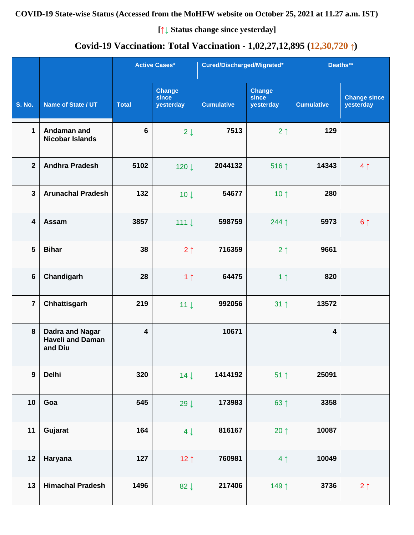# **Covid-19 Vaccination: Total Vaccination - 1,02,27,12,895 (12,30,720 ↑)**

|                         |                                                              |                         | <b>Active Cases*</b>                | Cured/Discharged/Migrated* |                                     | Deaths**          |                                  |
|-------------------------|--------------------------------------------------------------|-------------------------|-------------------------------------|----------------------------|-------------------------------------|-------------------|----------------------------------|
| <b>S. No.</b>           | Name of State / UT                                           | <b>Total</b>            | <b>Change</b><br>since<br>yesterday | <b>Cumulative</b>          | <b>Change</b><br>since<br>yesterday | <b>Cumulative</b> | <b>Change since</b><br>yesterday |
| $\mathbf{1}$            | Andaman and<br><b>Nicobar Islands</b>                        | $6\phantom{1}6$         | $2 \downarrow$                      | 7513                       | 2 <sub>1</sub>                      | 129               |                                  |
| $\overline{2}$          | <b>Andhra Pradesh</b>                                        | 5102                    | 120↓                                | 2044132                    | 516↑                                | 14343             | 4 <sub>1</sub>                   |
| $\overline{3}$          | <b>Arunachal Pradesh</b>                                     | 132                     | 10 <sup>1</sup>                     | 54677                      | 10 $\uparrow$                       | 280               |                                  |
| $\overline{\mathbf{4}}$ | Assam                                                        | 3857                    | 111 $\downarrow$                    | 598759                     | 244 1                               | 5973              | 6 <sup>1</sup>                   |
| 5                       | <b>Bihar</b>                                                 | 38                      | 2 <sub>1</sub>                      | 716359                     | 2 <sub>1</sub>                      | 9661              |                                  |
| $\bf 6$                 | Chandigarh                                                   | 28                      | 1 <sub>1</sub>                      | 64475                      | 1 <sub>1</sub>                      | 820               |                                  |
| $\overline{7}$          | Chhattisgarh                                                 | 219                     | $11 \downarrow$                     | 992056                     | $31 \uparrow$                       | 13572             |                                  |
| 8                       | <b>Dadra and Nagar</b><br><b>Haveli and Daman</b><br>and Diu | $\overline{\mathbf{4}}$ |                                     | 10671                      |                                     | $\overline{4}$    |                                  |
| $\boldsymbol{9}$        | <b>Delhi</b>                                                 | 320                     | $14 \downarrow$                     | 1414192                    | $51$ ↑                              | 25091             |                                  |
| 10                      | Goa                                                          | 545                     | 29 $\downarrow$                     | 173983                     | 63 ↑                                | 3358              |                                  |
| 11                      | Gujarat                                                      | 164                     | $4 \downarrow$                      | 816167                     | $20 \uparrow$                       | 10087             |                                  |
| 12                      | Haryana                                                      | 127                     | 12 $\uparrow$                       | 760981                     | 4 <sub>1</sub>                      | 10049             |                                  |
| 13                      | <b>Himachal Pradesh</b>                                      | 1496                    | 82 $\downarrow$                     | 217406                     | 149 1                               | 3736              | $2 \uparrow$                     |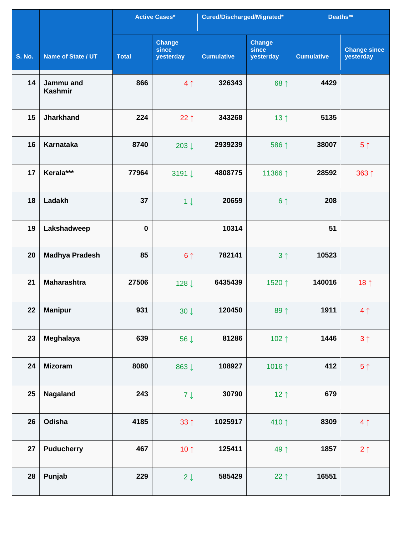|               |                             |              | <b>Active Cases*</b>                | Cured/Discharged/Migrated* |                                     | Deaths**          |                                  |
|---------------|-----------------------------|--------------|-------------------------------------|----------------------------|-------------------------------------|-------------------|----------------------------------|
| <b>S. No.</b> | Name of State / UT          | <b>Total</b> | <b>Change</b><br>since<br>yesterday | <b>Cumulative</b>          | <b>Change</b><br>since<br>yesterday | <b>Cumulative</b> | <b>Change since</b><br>yesterday |
| 14            | Jammu and<br><b>Kashmir</b> | 866          | 4 <sub>1</sub>                      | 326343                     | 68 ↑                                | 4429              |                                  |
| 15            | <b>Jharkhand</b>            | 224          | 22 $\uparrow$                       | 343268                     | 13 $\uparrow$                       | 5135              |                                  |
| 16            | <b>Karnataka</b>            | 8740         | 203 $\downarrow$                    | 2939239                    | 586 1                               | 38007             | 5 <sup>†</sup>                   |
| 17            | Kerala***                   | 77964        | 3191↓                               | 4808775                    | 11366 ↑                             | 28592             | 363↑                             |
| 18            | Ladakh                      | 37           | $1 \downarrow$                      | 20659                      | 6 <sup>1</sup>                      | 208               |                                  |
| 19            | Lakshadweep                 | $\bf{0}$     |                                     | 10314                      |                                     | 51                |                                  |
| 20            | <b>Madhya Pradesh</b>       | 85           | 6 <sup>1</sup>                      | 782141                     | 3 <sub>1</sub>                      | 10523             |                                  |
| 21            | <b>Maharashtra</b>          | 27506        | 128↓                                | 6435439                    | 1520 ↑                              | 140016            | 18 <sup>†</sup>                  |
| 22            | <b>Manipur</b>              | 931          | $30 \downarrow$                     | 120450                     | 89 1                                | 1911              | 4 <sub>1</sub>                   |
| 23            | Meghalaya                   | 639          | 56 $\downarrow$                     | 81286                      | 102 $\uparrow$                      | 1446              | 3 <sub>1</sub>                   |
| 24            | <b>Mizoram</b>              | 8080         | 863↓                                | 108927                     | 1016 1                              | 412               | $5 \uparrow$                     |
| 25            | <b>Nagaland</b>             | 243          | $7 \downarrow$                      | 30790                      | 12 $\uparrow$                       | 679               |                                  |
| 26            | Odisha                      | 4185         | $33 \uparrow$                       | 1025917                    | 410↑                                | 8309              | 4 <sub>1</sub>                   |
| 27            | <b>Puducherry</b>           | 467          | 10 $\uparrow$                       | 125411                     | 49↑                                 | 1857              | $2 \uparrow$                     |
| 28            | Punjab                      | 229          | $2 \downarrow$                      | 585429                     | $22 \uparrow$                       | 16551             |                                  |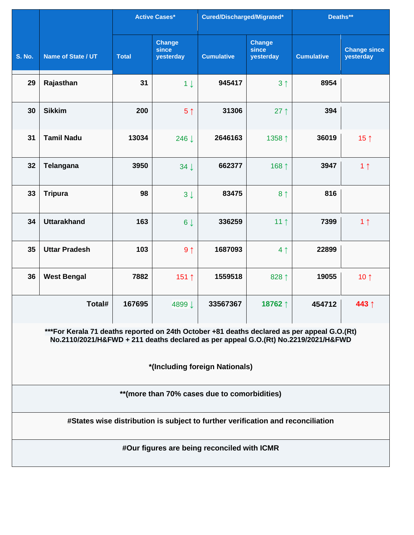|               |                                                                                                                                                                                   |              | <b>Active Cases*</b>                | Cured/Discharged/Migrated*                                                      |                                     | Deaths**          |                                  |  |  |  |
|---------------|-----------------------------------------------------------------------------------------------------------------------------------------------------------------------------------|--------------|-------------------------------------|---------------------------------------------------------------------------------|-------------------------------------|-------------------|----------------------------------|--|--|--|
| <b>S. No.</b> | Name of State / UT                                                                                                                                                                | <b>Total</b> | <b>Change</b><br>since<br>yesterday | <b>Cumulative</b>                                                               | <b>Change</b><br>since<br>yesterday | <b>Cumulative</b> | <b>Change since</b><br>yesterday |  |  |  |
| 29            | Rajasthan                                                                                                                                                                         | 31           | $1 \downarrow$                      | 945417                                                                          | 3 <sup>1</sup>                      | 8954              |                                  |  |  |  |
| 30            | <b>Sikkim</b>                                                                                                                                                                     | 200          | 5 <sup>†</sup>                      | 31306                                                                           | $27 \uparrow$                       | 394               |                                  |  |  |  |
| 31            | <b>Tamil Nadu</b>                                                                                                                                                                 | 13034        | 246 ↓                               | 2646163                                                                         | 1358 ↑                              | 36019             | 15 $\uparrow$                    |  |  |  |
| 32            | <b>Telangana</b>                                                                                                                                                                  | 3950         | $34 \downarrow$                     | 662377                                                                          | 168 ↑                               | 3947              | 1 <sub>1</sub>                   |  |  |  |
| 33            | <b>Tripura</b>                                                                                                                                                                    | 98           | $3\downarrow$                       | 83475                                                                           | 8 <sup>1</sup>                      | 816               |                                  |  |  |  |
| 34            | <b>Uttarakhand</b>                                                                                                                                                                | 163          | $6\downarrow$                       | 336259                                                                          | 11 $\uparrow$                       | 7399              | 1 <sub>1</sub>                   |  |  |  |
| 35            | <b>Uttar Pradesh</b>                                                                                                                                                              | 103          | 9 <sub>1</sub>                      | 1687093                                                                         | 4 <sub>1</sub>                      | 22899             |                                  |  |  |  |
| 36            | <b>West Bengal</b>                                                                                                                                                                | 7882         | 151↑                                | 1559518                                                                         | 828↑                                | 19055             | 10 $\uparrow$                    |  |  |  |
|               | Total#                                                                                                                                                                            | 167695       | 4899↓                               | 33567367                                                                        | 18762 ↑                             | 454712            | 443↑                             |  |  |  |
|               | ***For Kerala 71 deaths reported on 24th October +81 deaths declared as per appeal G.O.(Rt)<br>No.2110/2021/H&FWD + 211 deaths declared as per appeal G.O.(Rt) No.2219/2021/H&FWD |              |                                     |                                                                                 |                                     |                   |                                  |  |  |  |
|               |                                                                                                                                                                                   |              |                                     | *(Including foreign Nationals)                                                  |                                     |                   |                                  |  |  |  |
|               | **(more than 70% cases due to comorbidities)                                                                                                                                      |              |                                     |                                                                                 |                                     |                   |                                  |  |  |  |
|               |                                                                                                                                                                                   |              |                                     | #States wise distribution is subject to further verification and reconciliation |                                     |                   |                                  |  |  |  |
|               |                                                                                                                                                                                   |              |                                     | #Our figures are being reconciled with ICMR                                     |                                     |                   |                                  |  |  |  |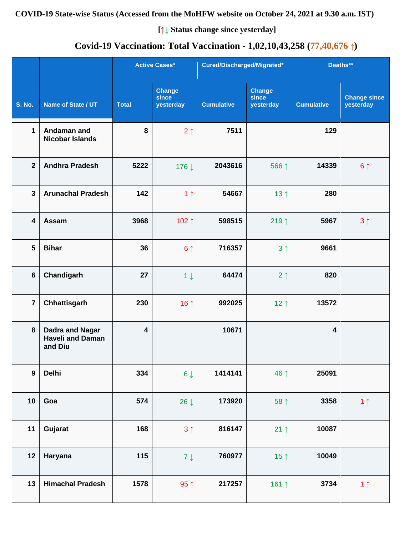#### **COVID-19 State-wise Status (Accessed from the MoHFW website on October 24, 2021 at 9.30 a.m. IST)**

**[↑↓ Status change since yesterday]**

# **Covid-19 Vaccination: Total Vaccination - 1,02,10,43,258 (77,40,676 ↑)**

|                  |                                                              |                         | <b>Active Cases*</b>                | Cured/Discharged/Migrated* |                                     | Deaths**                |                                  |
|------------------|--------------------------------------------------------------|-------------------------|-------------------------------------|----------------------------|-------------------------------------|-------------------------|----------------------------------|
| <b>S. No.</b>    | Name of State / UT                                           | <b>Total</b>            | <b>Change</b><br>since<br>yesterday | <b>Cumulative</b>          | <b>Change</b><br>since<br>yesterday | <b>Cumulative</b>       | <b>Change since</b><br>yesterday |
| $\mathbf 1$      | Andaman and<br><b>Nicobar Islands</b>                        | 8                       | 2 <sub>1</sub>                      | 7511                       |                                     | 129                     |                                  |
| $\mathbf{2}$     | <b>Andhra Pradesh</b>                                        | 5222                    | 176↓                                | 2043616                    | 566 ↑                               | 14339                   | 6 <sup>1</sup>                   |
| $\mathbf{3}$     | <b>Arunachal Pradesh</b>                                     | 142                     | 1 <sub>1</sub>                      | 54667                      | 13 $\uparrow$                       | 280                     |                                  |
| 4                | Assam                                                        | 3968                    | 102↑                                | 598515                     | 219 $\uparrow$                      | 5967                    | 3 <sup>1</sup>                   |
| 5                | <b>Bihar</b>                                                 | 36                      | 6 <sup>1</sup>                      | 716357                     | 3 <sup>1</sup>                      | 9661                    |                                  |
| $6\phantom{1}$   | Chandigarh                                                   | 27                      | $1 \downarrow$                      | 64474                      | 2 <sub>1</sub>                      | 820                     |                                  |
| $\overline{7}$   | Chhattisgarh                                                 | 230                     | 16 $\uparrow$                       | 992025                     | $12 \uparrow$                       | 13572                   |                                  |
| 8                | <b>Dadra and Nagar</b><br><b>Haveli and Daman</b><br>and Diu | $\overline{\mathbf{4}}$ |                                     | 10671                      |                                     | $\overline{\mathbf{4}}$ |                                  |
| $\boldsymbol{9}$ | <b>Delhi</b>                                                 | 334                     | $6\downarrow$                       | 1414141                    | 46 ↑                                | 25091                   |                                  |
| 10               | Goa                                                          | 574                     | 26 $\downarrow$                     | 173920                     | 58 ↑                                | 3358                    | 1 <sub>1</sub>                   |
| 11               | Gujarat                                                      | 168                     | 3 <sub>1</sub>                      | 816147                     | $21 \uparrow$                       | 10087                   |                                  |
| 12               | Haryana                                                      | 115                     | $7 \downarrow$                      | 760977                     | 15 $\uparrow$                       | 10049                   |                                  |
| 13               | <b>Himachal Pradesh</b>                                      | 1578                    | 95 $\uparrow$                       | 217257                     | 161 $\uparrow$                      | 3734                    | 1 <sub>1</sub>                   |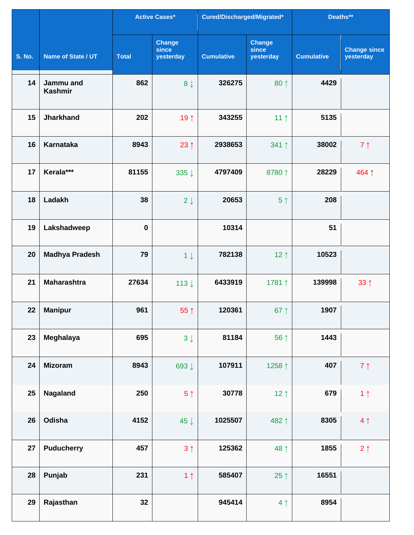|               |                             |              | Active Cases*                       | Cured/Discharged/Migrated* |                                     | Deaths**          |                                  |
|---------------|-----------------------------|--------------|-------------------------------------|----------------------------|-------------------------------------|-------------------|----------------------------------|
| <b>S. No.</b> | Name of State / UT          | <b>Total</b> | <b>Change</b><br>since<br>yesterday | <b>Cumulative</b>          | <b>Change</b><br>since<br>yesterday | <b>Cumulative</b> | <b>Change since</b><br>yesterday |
| 14            | Jammu and<br><b>Kashmir</b> | 862          | 8 <sub>1</sub>                      | 326275                     | 80 1                                | 4429              |                                  |
| 15            | <b>Jharkhand</b>            | 202          | 19 $\uparrow$                       | 343255                     | 11 $\uparrow$                       | 5135              |                                  |
| 16            | <b>Karnataka</b>            | 8943         | 23 $\uparrow$                       | 2938653                    | 341 ↑                               | 38002             | $7 \uparrow$                     |
| 17            | Kerala***                   | 81155        | 335 ↓                               | 4797409                    | 8780↑                               | 28229             | 464↑                             |
| 18            | Ladakh                      | 38           | $2 \downarrow$                      | 20653                      | 5 <sup>†</sup>                      | 208               |                                  |
| 19            | Lakshadweep                 | $\bf{0}$     |                                     | 10314                      |                                     | 51                |                                  |
| 20            | <b>Madhya Pradesh</b>       | 79           | $1 \downarrow$                      | 782138                     | 12 $\uparrow$                       | 10523             |                                  |
| 21            | <b>Maharashtra</b>          | 27634        | 113 $\downarrow$                    | 6433919                    | 1781↑                               | 139998            | $33 \uparrow$                    |
| 22            | <b>Manipur</b>              | 961          | 55 $\uparrow$                       | 120361                     | 67 $\uparrow$                       | 1907              |                                  |
| 23            | Meghalaya                   | 695          | $3 \downarrow$                      | 81184                      | 56 ↑                                | 1443              |                                  |
| 24            | <b>Mizoram</b>              | 8943         | 693↓                                | 107911                     | 1258 ↑                              | 407               | $7 \uparrow$                     |
| 25            | Nagaland                    | 250          | 5 <sup>†</sup>                      | 30778                      | 12 <sub>1</sub>                     | 679               | 1 <sub>1</sub>                   |
| 26            | Odisha                      | 4152         | 45 $\downarrow$                     | 1025507                    | 482↑                                | 8305              | 4 <sub>1</sub>                   |
| 27            | <b>Puducherry</b>           | 457          | 3 <sub>1</sub>                      | 125362                     | 48 1                                | 1855              | $2 \uparrow$                     |
| 28            | Punjab                      | 231          | 1 <sub>1</sub>                      | 585407                     | 25 $\uparrow$                       | 16551             |                                  |
| 29            | Rajasthan                   | 32           |                                     | 945414                     | 4 <sub>1</sub>                      | 8954              |                                  |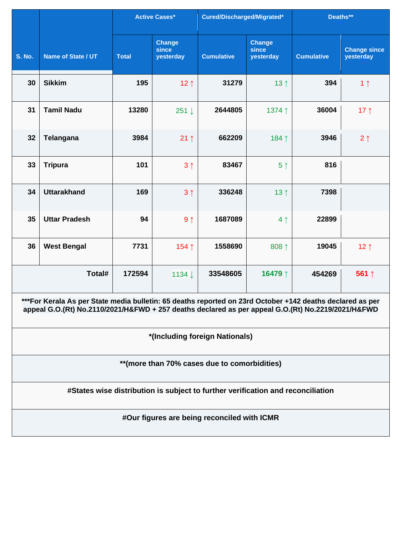|               |                                                                                                                                                                                                                 |              | <b>Active Cases*</b>                | Cured/Discharged/Migrated*                  |                              | Deaths**          |                                  |  |  |  |
|---------------|-----------------------------------------------------------------------------------------------------------------------------------------------------------------------------------------------------------------|--------------|-------------------------------------|---------------------------------------------|------------------------------|-------------------|----------------------------------|--|--|--|
| <b>S. No.</b> | Name of State / UT                                                                                                                                                                                              | <b>Total</b> | <b>Change</b><br>since<br>yesterday | <b>Cumulative</b>                           | Change<br>since<br>yesterday | <b>Cumulative</b> | <b>Change since</b><br>yesterday |  |  |  |
| 30            | <b>Sikkim</b>                                                                                                                                                                                                   | 195          | 12 <sub>1</sub>                     | 31279                                       | 13 <sup>†</sup>              | 394               | 1 <sub>1</sub>                   |  |  |  |
| 31            | <b>Tamil Nadu</b>                                                                                                                                                                                               | 13280        | 251 ↓                               | 2644805                                     | 1374↑                        | 36004             | 17 $\uparrow$                    |  |  |  |
| 32            | <b>Telangana</b>                                                                                                                                                                                                | 3984         | $21 \uparrow$                       | 662209                                      | 184↑                         | 3946              | $2 \uparrow$                     |  |  |  |
| 33            | <b>Tripura</b>                                                                                                                                                                                                  | 101          | 3 <sub>1</sub>                      | 83467                                       | 5 <sup>†</sup>               | 816               |                                  |  |  |  |
| 34            | <b>Uttarakhand</b>                                                                                                                                                                                              | 169          | 3 <sub>1</sub>                      | 336248                                      | 13 $\uparrow$                | 7398              |                                  |  |  |  |
| 35            | <b>Uttar Pradesh</b>                                                                                                                                                                                            | 94           | 9 <sub>1</sub>                      | 1687089                                     | 4 <sub>1</sub>               | 22899             |                                  |  |  |  |
| 36            | <b>West Bengal</b>                                                                                                                                                                                              | 7731         | 154↑                                | 1558690                                     | 808 ↑                        | 19045             | 12 <sub>1</sub>                  |  |  |  |
|               | Total#                                                                                                                                                                                                          | 172594       | 1134↓                               | 33548605                                    | 16479↑                       | 454269            | 561 $\uparrow$                   |  |  |  |
|               | ***For Kerala As per State media bulletin: 65 deaths reported on 23rd October +142 deaths declared as per<br>appeal G.O.(Rt) No.2110/2021/H&FWD + 257 deaths declared as per appeal G.O.(Rt) No.2219/2021/H&FWD |              |                                     |                                             |                              |                   |                                  |  |  |  |
|               |                                                                                                                                                                                                                 |              |                                     | *(Including foreign Nationals)              |                              |                   |                                  |  |  |  |
|               | ** (more than 70% cases due to comorbidities)                                                                                                                                                                   |              |                                     |                                             |                              |                   |                                  |  |  |  |
|               | #States wise distribution is subject to further verification and reconciliation                                                                                                                                 |              |                                     |                                             |                              |                   |                                  |  |  |  |
|               |                                                                                                                                                                                                                 |              |                                     | #Our figures are being reconciled with ICMR |                              |                   |                                  |  |  |  |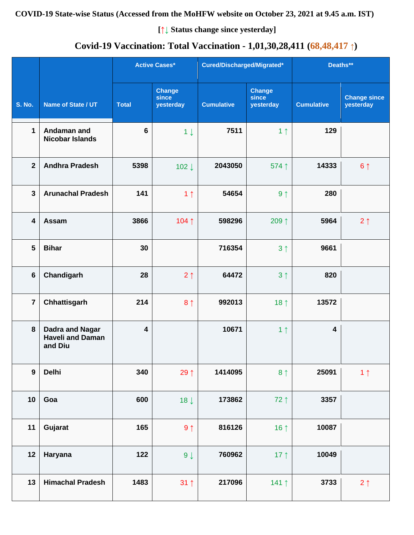# **Covid-19 Vaccination: Total Vaccination - 1,01,30,28,411 (68,48,417 ↑)**

|                  |                                                              |                         | <b>Active Cases*</b>                | Cured/Discharged/Migrated* |                                     | Deaths**                |                                  |
|------------------|--------------------------------------------------------------|-------------------------|-------------------------------------|----------------------------|-------------------------------------|-------------------------|----------------------------------|
| <b>S. No.</b>    | Name of State / UT                                           | <b>Total</b>            | <b>Change</b><br>since<br>yesterday | <b>Cumulative</b>          | <b>Change</b><br>since<br>yesterday | <b>Cumulative</b>       | <b>Change since</b><br>yesterday |
| $\mathbf{1}$     | Andaman and<br><b>Nicobar Islands</b>                        | $6\phantom{1}6$         | $1 \downarrow$                      | 7511                       | 1 <sub>1</sub>                      | 129                     |                                  |
| $\overline{2}$   | <b>Andhra Pradesh</b>                                        | 5398                    | 102 $\downarrow$                    | 2043050                    | 574 1                               | 14333                   | 6 <sup>1</sup>                   |
| $\mathbf{3}$     | <b>Arunachal Pradesh</b>                                     | 141                     | 1 <sub>1</sub>                      | 54654                      | 9 <sub>1</sub>                      | 280                     |                                  |
| 4                | Assam                                                        | 3866                    | 104↑                                | 598296                     | 209 $\uparrow$                      | 5964                    | $2 \uparrow$                     |
| 5                | <b>Bihar</b>                                                 | 30                      |                                     | 716354                     | 3 <sup>1</sup>                      | 9661                    |                                  |
| $6\phantom{1}$   | Chandigarh                                                   | 28                      | 2 <sub>1</sub>                      | 64472                      | 3 <sup>†</sup>                      | 820                     |                                  |
| $\overline{7}$   | Chhattisgarh                                                 | 214                     | 8 <sub>1</sub>                      | 992013                     | 18 $\uparrow$                       | 13572                   |                                  |
| 8                | <b>Dadra and Nagar</b><br><b>Haveli and Daman</b><br>and Diu | $\overline{\mathbf{4}}$ |                                     | 10671                      | 1 <sub>1</sub>                      | $\overline{\mathbf{4}}$ |                                  |
| $\boldsymbol{9}$ | <b>Delhi</b>                                                 | 340                     | 29 1                                | 1414095                    | 8 <sup>†</sup>                      | 25091                   | 1 <sub>1</sub>                   |
| 10               | Goa                                                          | 600                     | $18 \downarrow$                     | 173862                     | 72↑                                 | 3357                    |                                  |
| 11               | Gujarat                                                      | 165                     | $9 \uparrow$                        | 816126                     | 16 $\uparrow$                       | 10087                   |                                  |
| 12               | Haryana                                                      | 122                     | $9 \downarrow$                      | 760962                     | 17 $\uparrow$                       | 10049                   |                                  |
| 13               | <b>Himachal Pradesh</b>                                      | 1483                    | $31 \uparrow$                       | 217096                     | 141 $\uparrow$                      | 3733                    | $2 \uparrow$                     |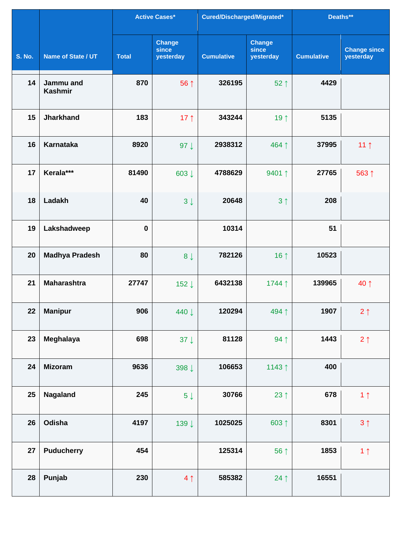|               |                             |              | <b>Active Cases*</b>                       | Cured/Discharged/Migrated* |                                     | Deaths**          |                                  |
|---------------|-----------------------------|--------------|--------------------------------------------|----------------------------|-------------------------------------|-------------------|----------------------------------|
| <b>S. No.</b> | Name of State / UT          | <b>Total</b> | <b>Change</b><br><b>since</b><br>yesterday | <b>Cumulative</b>          | <b>Change</b><br>since<br>yesterday | <b>Cumulative</b> | <b>Change since</b><br>yesterday |
| 14            | Jammu and<br><b>Kashmir</b> | 870          | 56 ↑                                       | 326195                     | $52 \uparrow$                       | 4429              |                                  |
| 15            | <b>Jharkhand</b>            | 183          | 17 $\uparrow$                              | 343244                     | 19 1                                | 5135              |                                  |
| 16            | Karnataka                   | 8920         | 97 $\downarrow$                            | 2938312                    | 464 ↑                               | 37995             | 11 <sub>1</sub>                  |
| 17            | Kerala***                   | 81490        | 603↓                                       | 4788629                    | 9401 1                              | 27765             | 563↑                             |
| 18            | Ladakh                      | 40           | $3 \downarrow$                             | 20648                      | 3 <sup>1</sup>                      | 208               |                                  |
| 19            | Lakshadweep                 | $\pmb{0}$    |                                            | 10314                      |                                     | 51                |                                  |
| 20            | <b>Madhya Pradesh</b>       | 80           | $8 \downarrow$                             | 782126                     | 16 $\uparrow$                       | 10523             |                                  |
| 21            | <b>Maharashtra</b>          | 27747        | 152↓                                       | 6432138                    | 1744↑                               | 139965            | 40 ↑                             |
| 22            | <b>Manipur</b>              | 906          | 440 ↓                                      | 120294                     | 494↑                                | 1907              | $2 \uparrow$                     |
| 23            | Meghalaya                   | 698          | 37 $\downarrow$                            | 81128                      | 94 1                                | 1443              | $2 \uparrow$                     |
| 24            | <b>Mizoram</b>              | 9636         | 398↓                                       | 106653                     | 1143 1                              | 400               |                                  |
| 25            | Nagaland                    | 245          | $5\downarrow$                              | 30766                      | 23 $\uparrow$                       | 678               | 1 <sub>1</sub>                   |
| 26            | Odisha                      | 4197         | 139↓                                       | 1025025                    | 603 1                               | 8301              | $3 \uparrow$                     |
| 27            | <b>Puducherry</b>           | 454          |                                            | 125314                     | 56 ↑                                | 1853              | 1 <sub>1</sub>                   |
| 28            | Punjab                      | 230          | 4 <sub>1</sub>                             | 585382                     | $24$ ↑                              | 16551             |                                  |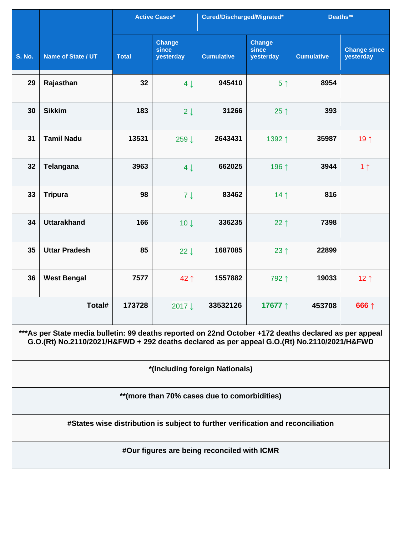|               |                                                                                                                                                                                                      |              | <b>Active Cases*</b>                | Cured/Discharged/Migrated*                                                      |                                     | Deaths**          |                                  |  |  |  |
|---------------|------------------------------------------------------------------------------------------------------------------------------------------------------------------------------------------------------|--------------|-------------------------------------|---------------------------------------------------------------------------------|-------------------------------------|-------------------|----------------------------------|--|--|--|
| <b>S. No.</b> | Name of State / UT                                                                                                                                                                                   | <b>Total</b> | <b>Change</b><br>since<br>yesterday | <b>Cumulative</b>                                                               | <b>Change</b><br>since<br>yesterday | <b>Cumulative</b> | <b>Change since</b><br>yesterday |  |  |  |
| 29            | Rajasthan                                                                                                                                                                                            | 32           | $4 \downarrow$                      | 945410                                                                          | 5 <sup>†</sup>                      | 8954              |                                  |  |  |  |
| 30            | <b>Sikkim</b>                                                                                                                                                                                        | 183          | $2 \downarrow$                      | 31266                                                                           | 25 $\uparrow$                       | 393               |                                  |  |  |  |
| 31            | <b>Tamil Nadu</b>                                                                                                                                                                                    | 13531        | 259↓                                | 2643431                                                                         | 1392↑                               | 35987             | 19 1                             |  |  |  |
| 32            | <b>Telangana</b>                                                                                                                                                                                     | 3963         | $4 \downarrow$                      | 662025                                                                          | 196↑                                | 3944              | 1 <sub>1</sub>                   |  |  |  |
| 33            | <b>Tripura</b>                                                                                                                                                                                       | 98           | $7 \downarrow$                      | 83462                                                                           | 14 <sub>1</sub>                     | 816               |                                  |  |  |  |
| 34            | <b>Uttarakhand</b>                                                                                                                                                                                   | 166          | $10 \downarrow$                     | 336235                                                                          | 22 $\uparrow$                       | 7398              |                                  |  |  |  |
| 35            | <b>Uttar Pradesh</b>                                                                                                                                                                                 | 85           | $22 \downarrow$                     | 1687085                                                                         | 23 $\uparrow$                       | 22899             |                                  |  |  |  |
| 36            | <b>West Bengal</b>                                                                                                                                                                                   | 7577         | 42↑                                 | 1557882                                                                         | 792↑                                | 19033             | 12 $\uparrow$                    |  |  |  |
|               | Total#                                                                                                                                                                                               | 173728       | 2017↓                               | 33532126                                                                        | 17677 ↑                             | 453708            | 666 ↑                            |  |  |  |
|               | ***As per State media bulletin: 99 deaths reported on 22nd October +172 deaths declared as per appeal<br>G.O.(Rt) No.2110/2021/H&FWD + 292 deaths declared as per appeal G.O.(Rt) No.2110/2021/H&FWD |              |                                     |                                                                                 |                                     |                   |                                  |  |  |  |
|               |                                                                                                                                                                                                      |              |                                     | *(Including foreign Nationals)                                                  |                                     |                   |                                  |  |  |  |
|               | ** (more than 70% cases due to comorbidities)                                                                                                                                                        |              |                                     |                                                                                 |                                     |                   |                                  |  |  |  |
|               |                                                                                                                                                                                                      |              |                                     | #States wise distribution is subject to further verification and reconciliation |                                     |                   |                                  |  |  |  |
|               |                                                                                                                                                                                                      |              |                                     | #Our figures are being reconciled with ICMR                                     |                                     |                   |                                  |  |  |  |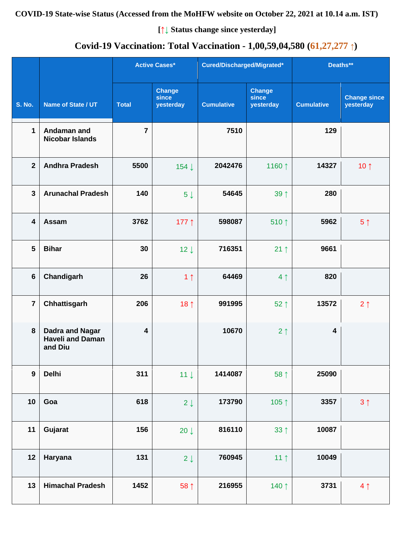#### **COVID-19 State-wise Status (Accessed from the MoHFW website on October 22, 2021 at 10.14 a.m. IST)**

**[↑↓ Status change since yesterday]**

# **Covid-19 Vaccination: Total Vaccination - 1,00,59,04,580 (61,27,277 ↑)**

|                         |                                                              |                         | <b>Active Cases*</b>                |                   | Cured/Discharged/Migrated*          |                         | Deaths**                         |  |
|-------------------------|--------------------------------------------------------------|-------------------------|-------------------------------------|-------------------|-------------------------------------|-------------------------|----------------------------------|--|
| <b>S. No.</b>           | Name of State / UT                                           | <b>Total</b>            | <b>Change</b><br>since<br>yesterday | <b>Cumulative</b> | <b>Change</b><br>since<br>yesterday | <b>Cumulative</b>       | <b>Change since</b><br>yesterday |  |
| $\mathbf 1$             | Andaman and<br><b>Nicobar Islands</b>                        | $\overline{7}$          |                                     | 7510              |                                     | 129                     |                                  |  |
| $\mathbf{2}$            | <b>Andhra Pradesh</b>                                        | 5500                    | 154 ↓                               | 2042476           | 1160 ↑                              | 14327                   | 10 $\uparrow$                    |  |
| $\mathbf{3}$            | <b>Arunachal Pradesh</b>                                     | 140                     | $5 \downarrow$                      | 54645             | 39 <sub>1</sub>                     | 280                     |                                  |  |
| $\overline{\mathbf{4}}$ | Assam                                                        | 3762                    | 177 $\uparrow$                      | 598087            | 510 $\uparrow$                      | 5962                    | 5 <sup>†</sup>                   |  |
| 5                       | <b>Bihar</b>                                                 | 30                      | $12 \downarrow$                     | 716351            | $21 \uparrow$                       | 9661                    |                                  |  |
| $6\phantom{1}$          | Chandigarh                                                   | 26                      | 1 <sub>1</sub>                      | 64469             | 4 <sub>1</sub>                      | 820                     |                                  |  |
| $\overline{7}$          | Chhattisgarh                                                 | 206                     | 18 $\uparrow$                       | 991995            | $52 \uparrow$                       | 13572                   | $2 \uparrow$                     |  |
| 8                       | <b>Dadra and Nagar</b><br><b>Haveli and Daman</b><br>and Diu | $\overline{\mathbf{4}}$ |                                     | 10670             | 2 <sub>1</sub>                      | $\overline{\mathbf{4}}$ |                                  |  |
| $\mathbf{9}$            | <b>Delhi</b>                                                 | 311                     | $11 \downarrow$                     | 1414087           | 58 ↑                                | 25090                   |                                  |  |
| 10                      | Goa                                                          | 618                     | $2 \downarrow$                      | 173790            | 105 $\uparrow$                      | 3357                    | 3 <sup>1</sup>                   |  |
| 11                      | Gujarat                                                      | 156                     | 20 $\downarrow$                     | 816110            | $33 \uparrow$                       | 10087                   |                                  |  |
| 12                      | Haryana                                                      | 131                     | $2 \downarrow$                      | 760945            | 11 <sub>1</sub>                     | 10049                   |                                  |  |
| 13                      | <b>Himachal Pradesh</b>                                      | 1452                    | 58 ↑                                | 216955            | 140 1                               | 3731                    | 4 <sub>1</sub>                   |  |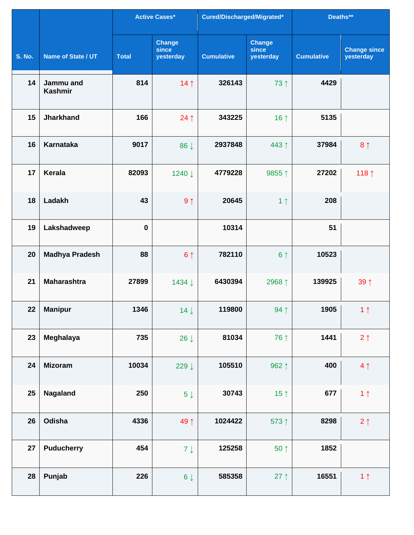|               |                             |              | <b>Active Cases*</b>                | Cured/Discharged/Migrated* |                                     | Deaths**          |                                  |
|---------------|-----------------------------|--------------|-------------------------------------|----------------------------|-------------------------------------|-------------------|----------------------------------|
| <b>S. No.</b> | Name of State / UT          | <b>Total</b> | <b>Change</b><br>since<br>yesterday | <b>Cumulative</b>          | <b>Change</b><br>since<br>yesterday | <b>Cumulative</b> | <b>Change since</b><br>yesterday |
| 14            | Jammu and<br><b>Kashmir</b> | 814          | 14 <sub>1</sub>                     | 326143                     | 73 1                                | 4429              |                                  |
| 15            | <b>Jharkhand</b>            | 166          | $24 \uparrow$                       | 343225                     | 16 1                                | 5135              |                                  |
| 16            | <b>Karnataka</b>            | 9017         | 86 J                                | 2937848                    | 443↑                                | 37984             | 8 <sub>1</sub>                   |
| 17            | Kerala                      | 82093        | 1240 ↓                              | 4779228                    | 9855↑                               | 27202             | 118 1                            |
| 18            | Ladakh                      | 43           | 9 <sub>1</sub>                      | 20645                      | 1 <sub>1</sub>                      | 208               |                                  |
| 19            | Lakshadweep                 | $\bf{0}$     |                                     | 10314                      |                                     | 51                |                                  |
| 20            | <b>Madhya Pradesh</b>       | 88           | 6 <sup>1</sup>                      | 782110                     | 6 <sup>†</sup>                      | 10523             |                                  |
| 21            | <b>Maharashtra</b>          | 27899        | 1434 ↓                              | 6430394                    | 2968↑                               | 139925            | 39 1                             |
| 22            | <b>Manipur</b>              | 1346         | $14 \downarrow$                     | 119800                     | 94 1                                | 1905              | 1 <sub>1</sub>                   |
| 23            | Meghalaya                   | 735          | $26 \downarrow$                     | 81034                      | 76↑                                 | 1441              | $2 \uparrow$                     |
| 24            | <b>Mizoram</b>              | 10034        | 229↓                                | 105510                     | 962 ↑                               | 400               | 4 <sub>1</sub>                   |
| 25            | Nagaland                    | 250          | $5 \downarrow$                      | 30743                      | 15 $\uparrow$                       | 677               | 1 <sub>1</sub>                   |
| 26            | Odisha                      | 4336         | 49↑                                 | 1024422                    | 573↑                                | 8298              | $2 \uparrow$                     |
| 27            | <b>Puducherry</b>           | 454          | $7 \downarrow$                      | 125258                     | 50 <sub>1</sub>                     | 1852              |                                  |
| 28            | Punjab                      | 226          | $6 \downarrow$                      | 585358                     | $27$ ↑                              | 16551             | 1 <sub>1</sub>                   |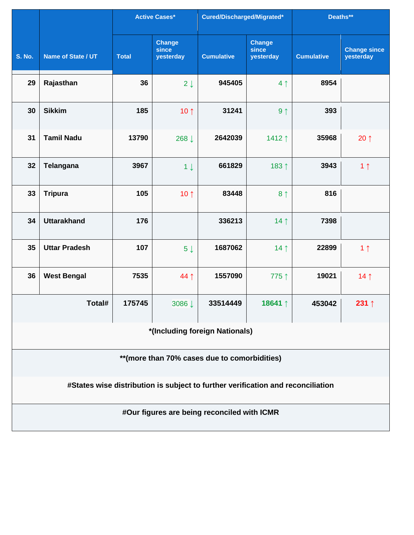|               |                      |              | <b>Active Cases*</b>         | Cured/Discharged/Migrated*                                                      |                                     | Deaths**          |                                  |
|---------------|----------------------|--------------|------------------------------|---------------------------------------------------------------------------------|-------------------------------------|-------------------|----------------------------------|
| <b>S. No.</b> | Name of State / UT   | <b>Total</b> | Change<br>since<br>yesterday | <b>Cumulative</b>                                                               | <b>Change</b><br>since<br>yesterday | <b>Cumulative</b> | <b>Change since</b><br>yesterday |
| 29            | Rajasthan            | 36           | $2 \downarrow$               | 945405                                                                          | 4 <sub>1</sub>                      | 8954              |                                  |
| 30            | <b>Sikkim</b>        | 185          | 10 $\uparrow$                | 31241                                                                           | 9 <sub>1</sub>                      | 393               |                                  |
| 31            | <b>Tamil Nadu</b>    | 13790        | 268↓                         | 2642039                                                                         | 1412↑                               | 35968             | $20 \uparrow$                    |
| 32            | <b>Telangana</b>     | 3967         | 1 <sup>1</sup>               | 661829                                                                          | 183 1                               | 3943              | 1 <sub>1</sub>                   |
| 33            | <b>Tripura</b>       | 105          | 10 $\uparrow$                | 83448                                                                           | 8 <sup>1</sup>                      | 816               |                                  |
| 34            | <b>Uttarakhand</b>   | 176          |                              | 336213                                                                          | 14 <sub>1</sub>                     | 7398              |                                  |
| 35            | <b>Uttar Pradesh</b> | 107          | 5 <sub>1</sub>               | 1687062                                                                         | 14 <sub>1</sub>                     | 22899             | 1 <sub>1</sub>                   |
| 36            | <b>West Bengal</b>   | 7535         | 44 1                         | 1557090                                                                         | 775↑                                | 19021             | 14 <sub>1</sub>                  |
|               | Total#               | 175745       | 3086 ↓                       | 33514449                                                                        | 18641 ↑                             | 453042            | 231 $\uparrow$                   |
|               |                      |              |                              | *(Including foreign Nationals)                                                  |                                     |                   |                                  |
|               |                      |              |                              | ** (more than 70% cases due to comorbidities)                                   |                                     |                   |                                  |
|               |                      |              |                              | #States wise distribution is subject to further verification and reconciliation |                                     |                   |                                  |
|               |                      |              |                              | #Our figures are being reconciled with ICMR                                     |                                     |                   |                                  |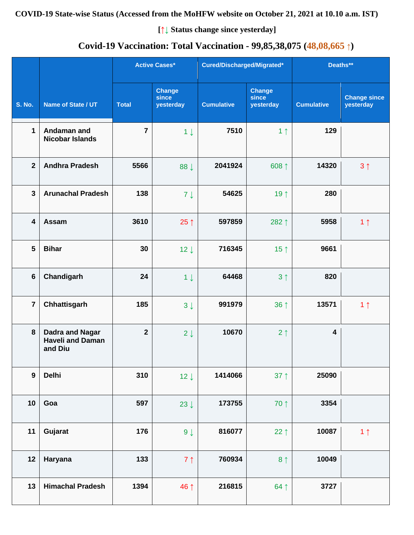#### **COVID-19 State-wise Status (Accessed from the MoHFW website on October 21, 2021 at 10.10 a.m. IST)**

**[↑↓ Status change since yesterday]**

# **Covid-19 Vaccination: Total Vaccination - 99,85,38,075 (48,08,665 ↑)**

|                         |                                                              |                | <b>Active Cases*</b>                | Cured/Discharged/Migrated* |                                     | Deaths**                |                                  |
|-------------------------|--------------------------------------------------------------|----------------|-------------------------------------|----------------------------|-------------------------------------|-------------------------|----------------------------------|
| <b>S. No.</b>           | Name of State / UT                                           | <b>Total</b>   | <b>Change</b><br>since<br>yesterday | <b>Cumulative</b>          | <b>Change</b><br>since<br>yesterday | <b>Cumulative</b>       | <b>Change since</b><br>yesterday |
| $\mathbf{1}$            | Andaman and<br><b>Nicobar Islands</b>                        | $\overline{7}$ | $1 \downarrow$                      | 7510                       | 1 <sub>1</sub>                      | 129                     |                                  |
| $\overline{2}$          | <b>Andhra Pradesh</b>                                        | 5566           | 88 J                                | 2041924                    | 608↑                                | 14320                   | 3 <sub>1</sub>                   |
| $\mathbf{3}$            | <b>Arunachal Pradesh</b>                                     | 138            | $7 \downarrow$                      | 54625                      | 19 ↑                                | 280                     |                                  |
| $\overline{\mathbf{4}}$ | Assam                                                        | 3610           | $25 \uparrow$                       | 597859                     | 282 1                               | 5958                    | 1 <sub>1</sub>                   |
| $5\phantom{1}$          | <b>Bihar</b>                                                 | 30             | $12 \downarrow$                     | 716345                     | 15 $\uparrow$                       | 9661                    |                                  |
| $6\phantom{1}$          | Chandigarh                                                   | 24             | $1 \downarrow$                      | 64468                      | 3 <sup>1</sup>                      | 820                     |                                  |
| $\overline{7}$          | Chhattisgarh                                                 | 185            | $3 \downarrow$                      | 991979                     | 36 ↑                                | 13571                   | 1 <sub>1</sub>                   |
| 8                       | <b>Dadra and Nagar</b><br><b>Haveli and Daman</b><br>and Diu | $\mathbf{2}$   | $2 \downarrow$                      | 10670                      | 2 <sub>1</sub>                      | $\overline{\mathbf{4}}$ |                                  |
| $\boldsymbol{9}$        | <b>Delhi</b>                                                 | 310            | $12 \downarrow$                     | 1414066                    | $37 \uparrow$                       | 25090                   |                                  |
| 10                      | Goa                                                          | 597            | 23 $\downarrow$                     | 173755                     | 70 ↑                                | 3354                    |                                  |
| 11                      | Gujarat                                                      | 176            | $9 \downarrow$                      | 816077                     | 22 $\uparrow$                       | 10087                   | 1 <sub>1</sub>                   |
| 12                      | Haryana                                                      | 133            | $7 \uparrow$                        | 760934                     | 8 <sup>†</sup>                      | 10049                   |                                  |
| 13                      | <b>Himachal Pradesh</b>                                      | 1394           | 46 ↑                                | 216815                     | $64$ ↑                              | 3727                    |                                  |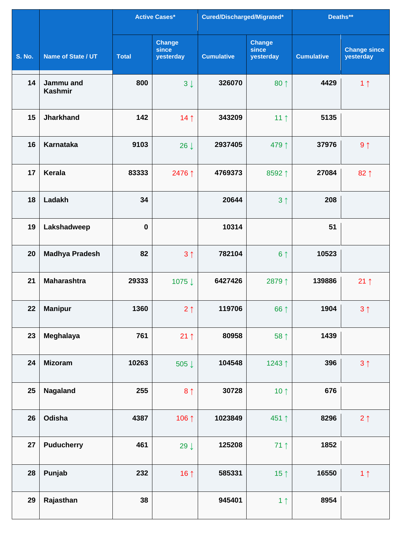|               |                             |              | <b>Active Cases*</b>                | Cured/Discharged/Migrated* |                                     | Deaths**          |                                  |
|---------------|-----------------------------|--------------|-------------------------------------|----------------------------|-------------------------------------|-------------------|----------------------------------|
| <b>S. No.</b> | Name of State / UT          | <b>Total</b> | <b>Change</b><br>since<br>yesterday | <b>Cumulative</b>          | <b>Change</b><br>since<br>yesterday | <b>Cumulative</b> | <b>Change since</b><br>yesterday |
| 14            | Jammu and<br><b>Kashmir</b> | 800          | $3 \downarrow$                      | 326070                     | $80 \uparrow$                       | 4429              | 1 <sub>1</sub>                   |
| 15            | <b>Jharkhand</b>            | 142          | 14 <sub>1</sub>                     | 343209                     | 11 <sub>1</sub>                     | 5135              |                                  |
| 16            | <b>Karnataka</b>            | 9103         | $26 \downarrow$                     | 2937405                    | 479↑                                | 37976             | 9 <sub>1</sub>                   |
| 17            | Kerala                      | 83333        | 2476 ↑                              | 4769373                    | 8592↑                               | 27084             | 82 1                             |
| 18            | Ladakh                      | 34           |                                     | 20644                      | 3 <sub>1</sub>                      | 208               |                                  |
| 19            | Lakshadweep                 | $\mathbf 0$  |                                     | 10314                      |                                     | 51                |                                  |
| 20            | <b>Madhya Pradesh</b>       | 82           | 3 <sub>1</sub>                      | 782104                     | 6 <sup>1</sup>                      | 10523             |                                  |
| 21            | <b>Maharashtra</b>          | 29333        | 1075↓                               | 6427426                    | 2879↑                               | 139886            | $21 \uparrow$                    |
| 22            | <b>Manipur</b>              | 1360         | 2 <sub>1</sub>                      | 119706                     | 66 ↑                                | 1904              | 3 <sub>1</sub>                   |
| 23            | Meghalaya                   | 761          | $21 \uparrow$                       | 80958                      | 58 ↑                                | 1439              |                                  |
| 24            | <b>Mizoram</b>              | 10263        | 505↓                                | 104548                     | 1243↑                               | 396               | 3 <sub>1</sub>                   |
| 25            | Nagaland                    | 255          | 8 <sup>1</sup>                      | 30728                      | 10 $\uparrow$                       | 676               |                                  |
| 26            | Odisha                      | 4387         | 106 1                               | 1023849                    | 451↑                                | 8296              | $2 \uparrow$                     |
| 27            | <b>Puducherry</b>           | 461          | 29 $\downarrow$                     | 125208                     | 71 1                                | 1852              |                                  |
| 28            | Punjab                      | 232          | 16 $\uparrow$                       | 585331                     | 15 <sup>†</sup>                     | 16550             | 1 <sub>1</sub>                   |
| 29            | Rajasthan                   | 38           |                                     | 945401                     | 1 <sub>1</sub>                      | 8954              |                                  |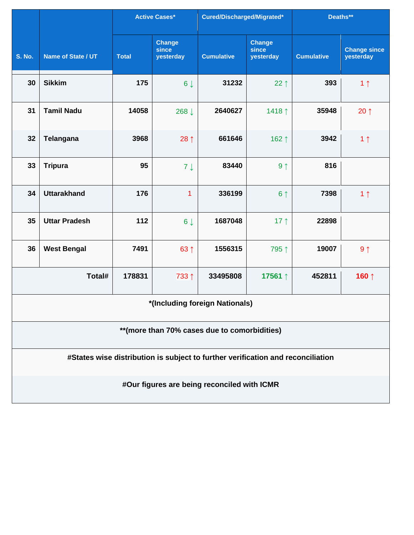|                                               |                                                                                 |              | <b>Active Cases*</b>                | Cured/Discharged/Migrated*                  |                                     | Deaths**          |                                  |  |  |  |
|-----------------------------------------------|---------------------------------------------------------------------------------|--------------|-------------------------------------|---------------------------------------------|-------------------------------------|-------------------|----------------------------------|--|--|--|
| <b>S. No.</b>                                 | Name of State / UT                                                              | <b>Total</b> | <b>Change</b><br>since<br>yesterday | <b>Cumulative</b>                           | <b>Change</b><br>since<br>yesterday | <b>Cumulative</b> | <b>Change since</b><br>yesterday |  |  |  |
| 30                                            | <b>Sikkim</b>                                                                   | 175          | $6 \downarrow$                      | 31232                                       | 22 $\uparrow$                       | 393               | 1 <sub>1</sub>                   |  |  |  |
| 31                                            | <b>Tamil Nadu</b>                                                               | 14058        | 268 ↓                               | 2640627                                     | 1418↑                               | 35948             | $20 \uparrow$                    |  |  |  |
| 32                                            | <b>Telangana</b>                                                                | 3968         | $28 \uparrow$                       | 661646                                      | 162↑                                | 3942              | 1 <sub>1</sub>                   |  |  |  |
| 33                                            | <b>Tripura</b>                                                                  | 95           | $7 \downarrow$                      | 83440                                       | 9 <sub>1</sub>                      | 816               |                                  |  |  |  |
| 34                                            | <b>Uttarakhand</b>                                                              | 176          | 1                                   | 336199                                      | 6 <sup>1</sup>                      | 7398              | 1 <sub>1</sub>                   |  |  |  |
| 35                                            | <b>Uttar Pradesh</b>                                                            | 112          | $6 \downarrow$                      | 1687048                                     | 17 <sub>1</sub>                     | 22898             |                                  |  |  |  |
| 36                                            | <b>West Bengal</b>                                                              | 7491         | 63 ↑                                | 1556315                                     | 795↑                                | 19007             | $9 \uparrow$                     |  |  |  |
|                                               | Total#                                                                          | 178831       | 733 ↑                               | 33495808                                    | 17561↑                              | 452811            | 160 ↑                            |  |  |  |
|                                               |                                                                                 |              |                                     | *(Including foreign Nationals)              |                                     |                   |                                  |  |  |  |
| ** (more than 70% cases due to comorbidities) |                                                                                 |              |                                     |                                             |                                     |                   |                                  |  |  |  |
|                                               | #States wise distribution is subject to further verification and reconciliation |              |                                     |                                             |                                     |                   |                                  |  |  |  |
|                                               |                                                                                 |              |                                     | #Our figures are being reconciled with ICMR |                                     |                   |                                  |  |  |  |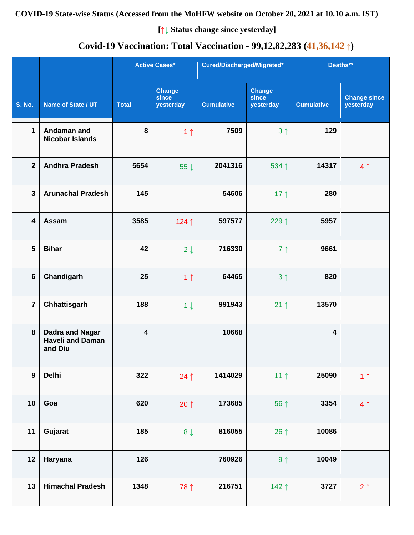#### **COVID-19 State-wise Status (Accessed from the MoHFW website on October 20, 2021 at 10.10 a.m. IST)**

**[↑↓ Status change since yesterday]**

# **Covid-19 Vaccination: Total Vaccination - 99,12,82,283 (41,36,142 ↑)**

|                  |                                                              |                         | <b>Active Cases*</b>                | Cured/Discharged/Migrated* |                                     | Deaths**                |                                  |
|------------------|--------------------------------------------------------------|-------------------------|-------------------------------------|----------------------------|-------------------------------------|-------------------------|----------------------------------|
| <b>S. No.</b>    | Name of State / UT                                           | <b>Total</b>            | <b>Change</b><br>since<br>yesterday | <b>Cumulative</b>          | <b>Change</b><br>since<br>yesterday | <b>Cumulative</b>       | <b>Change since</b><br>yesterday |
| $\mathbf{1}$     | Andaman and<br><b>Nicobar Islands</b>                        | 8                       | 1 <sub>1</sub>                      | 7509                       | 3 <sup>†</sup>                      | 129                     |                                  |
| $\overline{2}$   | <b>Andhra Pradesh</b>                                        | 5654                    | 55 $\downarrow$                     | 2041316                    | 534 ↑                               | 14317                   | 4 <sup>1</sup>                   |
| $\mathbf{3}$     | <b>Arunachal Pradesh</b>                                     | 145                     |                                     | 54606                      | 17 $\uparrow$                       | 280                     |                                  |
| 4                | Assam                                                        | 3585                    | 124 1                               | 597577                     | 229↑                                | 5957                    |                                  |
| $5\phantom{1}$   | <b>Bihar</b>                                                 | 42                      | $2 \downarrow$                      | 716330                     | 7 <sup>1</sup>                      | 9661                    |                                  |
| $6\phantom{1}$   | Chandigarh                                                   | 25                      | 1 <sub>1</sub>                      | 64465                      | 3 <sup>1</sup>                      | 820                     |                                  |
| $\overline{7}$   | Chhattisgarh                                                 | 188                     | $1 \downarrow$                      | 991943                     | $21 \uparrow$                       | 13570                   |                                  |
| 8                | <b>Dadra and Nagar</b><br><b>Haveli and Daman</b><br>and Diu | $\overline{\mathbf{4}}$ |                                     | 10668                      |                                     | $\overline{\mathbf{4}}$ |                                  |
| $\boldsymbol{9}$ | <b>Delhi</b>                                                 | 322                     | $24$ ↑                              | 1414029                    | 11 <sub>1</sub>                     | 25090                   | 1 <sub>1</sub>                   |
| 10               | Goa                                                          | 620                     | $20 \uparrow$                       | 173685                     | 56 ↑                                | 3354                    | 4 <sub>1</sub>                   |
| 11               | Gujarat                                                      | 185                     | $8 \downarrow$                      | 816055                     | 26 $\uparrow$                       | 10086                   |                                  |
| 12               | Haryana                                                      | 126                     |                                     | 760926                     | 9 <sub>1</sub>                      | 10049                   |                                  |
| 13               | <b>Himachal Pradesh</b>                                      | 1348                    | 78 1                                | 216751                     | 142 1                               | 3727                    | $2 \uparrow$                     |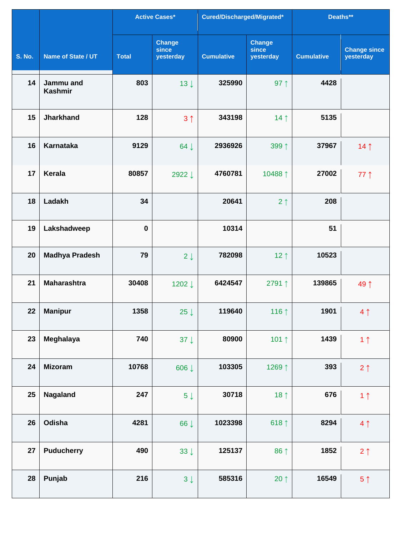|               |                             |              | <b>Active Cases*</b>                | Cured/Discharged/Migrated* |                                     | Deaths**          |                                  |
|---------------|-----------------------------|--------------|-------------------------------------|----------------------------|-------------------------------------|-------------------|----------------------------------|
| <b>S. No.</b> | Name of State / UT          | <b>Total</b> | <b>Change</b><br>since<br>yesterday | <b>Cumulative</b>          | <b>Change</b><br>since<br>yesterday | <b>Cumulative</b> | <b>Change since</b><br>yesterday |
| 14            | Jammu and<br><b>Kashmir</b> | 803          | $13 \downarrow$                     | 325990                     | 97 $\uparrow$                       | 4428              |                                  |
| 15            | <b>Jharkhand</b>            | 128          | 3 <sup>1</sup>                      | 343198                     | 14 <sub>1</sub>                     | 5135              |                                  |
| 16            | <b>Karnataka</b>            | 9129         | 64 $\downarrow$                     | 2936926                    | 399↑                                | 37967             | 14 <sub>1</sub>                  |
| 17            | <b>Kerala</b>               | 80857        | 2922↓                               | 4760781                    | 10488 ↑                             | 27002             | $77$ ↑                           |
| 18            | Ladakh                      | 34           |                                     | 20641                      | 2 <sub>1</sub>                      | 208               |                                  |
| 19            | Lakshadweep                 | $\bf{0}$     |                                     | 10314                      |                                     | 51                |                                  |
| 20            | <b>Madhya Pradesh</b>       | 79           | $2 \downarrow$                      | 782098                     | 12 $\uparrow$                       | 10523             |                                  |
| 21            | <b>Maharashtra</b>          | 30408        | 1202↓                               | 6424547                    | 2791↑                               | 139865            | 49 1                             |
| 22            | <b>Manipur</b>              | 1358         | 25 $\downarrow$                     | 119640                     | 116 1                               | 1901              | $4 \uparrow$                     |
| 23            | Meghalaya                   | 740          | 37 $\downarrow$                     | 80900                      | 101 $\uparrow$                      | 1439              | 1 <sub>1</sub>                   |
| 24            | <b>Mizoram</b>              | 10768        | 606↓                                | 103305                     | 1269↑                               | 393               | $2 \uparrow$                     |
| 25            | Nagaland                    | 247          | $5\downarrow$                       | 30718                      | 18 $\uparrow$                       | 676               | 1 <sub>1</sub>                   |
| 26            | Odisha                      | 4281         | 66 ↓                                | 1023398                    | 618 $\uparrow$                      | 8294              | 4 <sub>1</sub>                   |
| 27            | <b>Puducherry</b>           | 490          | $33 \downarrow$                     | 125137                     | 86 ↑                                | 1852              | $2 \uparrow$                     |
| 28            | Punjab                      | 216          | $3 \downarrow$                      | 585316                     | 20 $\uparrow$                       | 16549             | 5 <sup>†</sup>                   |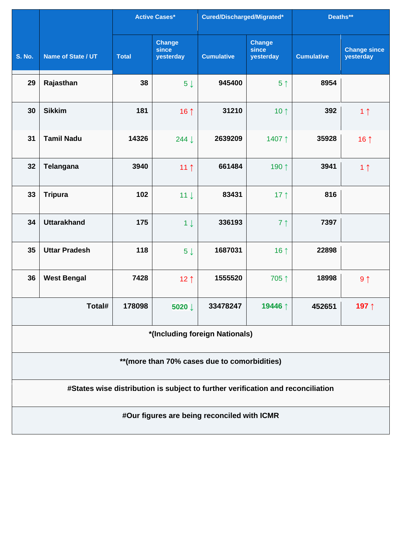|               |                                                                                 |              | <b>Active Cases*</b>         | Cured/Discharged/Migrated*                  |                                     | Deaths**          |                                  |  |  |  |
|---------------|---------------------------------------------------------------------------------|--------------|------------------------------|---------------------------------------------|-------------------------------------|-------------------|----------------------------------|--|--|--|
| <b>S. No.</b> | Name of State / UT                                                              | <b>Total</b> | Change<br>since<br>yesterday | <b>Cumulative</b>                           | <b>Change</b><br>since<br>yesterday | <b>Cumulative</b> | <b>Change since</b><br>yesterday |  |  |  |
| 29            | Rajasthan                                                                       | 38           | $5 \downarrow$               | 945400                                      | 5 <sup>†</sup>                      | 8954              |                                  |  |  |  |
| 30            | <b>Sikkim</b>                                                                   | 181          | 16 $\uparrow$                | 31210                                       | 10 $\uparrow$                       | 392               | 1 <sub>1</sub>                   |  |  |  |
| 31            | <b>Tamil Nadu</b>                                                               | 14326        | 244 ↓                        | 2639209                                     | 1407↑                               | 35928             | 16 $\uparrow$                    |  |  |  |
| 32            | <b>Telangana</b>                                                                | 3940         | 11 <sup>†</sup>              | 661484                                      | 190↑                                | 3941              | 1 <sub>1</sub>                   |  |  |  |
| 33            | <b>Tripura</b>                                                                  | 102          | $11 \downarrow$              | 83431                                       | 17 $\uparrow$                       | 816               |                                  |  |  |  |
| 34            | <b>Uttarakhand</b>                                                              | 175          | $1 \downarrow$               | 336193                                      | 7 <sup>1</sup>                      | 7397              |                                  |  |  |  |
| 35            | <b>Uttar Pradesh</b>                                                            | 118          | $5 \downarrow$               | 1687031                                     | 16 $\uparrow$                       | 22898             |                                  |  |  |  |
| 36            | <b>West Bengal</b>                                                              | 7428         | 12 $\uparrow$                | 1555520                                     | 705↑                                | 18998             | 9 <sub>1</sub>                   |  |  |  |
|               | Total#                                                                          | 178098       | 5020 ↓                       | 33478247                                    | 19446 ↑                             | 452651            | 197↑                             |  |  |  |
|               |                                                                                 |              |                              | *(Including foreign Nationals)              |                                     |                   |                                  |  |  |  |
|               | ** (more than 70% cases due to comorbidities)                                   |              |                              |                                             |                                     |                   |                                  |  |  |  |
|               | #States wise distribution is subject to further verification and reconciliation |              |                              |                                             |                                     |                   |                                  |  |  |  |
|               |                                                                                 |              |                              | #Our figures are being reconciled with ICMR |                                     |                   |                                  |  |  |  |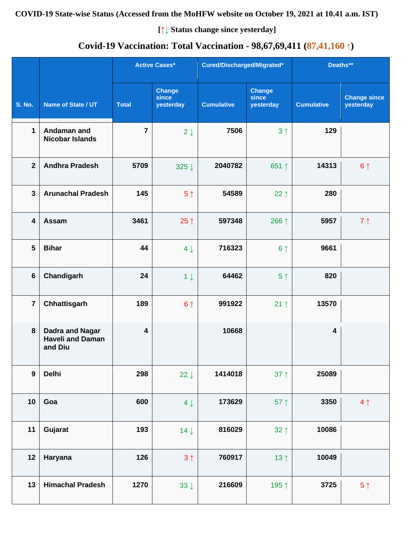## **COVID-19 State-wise Status (Accessed from the MoHFW website on October 19, 2021 at 10.41 a.m. IST)**

**[↑↓ Status change since yesterday]**

# **Covid-19 Vaccination: Total Vaccination - 98,67,69,411 (87,41,160 ↑)**

|                  |                                                              |                         | <b>Active Cases*</b>                | Cured/Discharged/Migrated* |                                     | Deaths**                |                                  |
|------------------|--------------------------------------------------------------|-------------------------|-------------------------------------|----------------------------|-------------------------------------|-------------------------|----------------------------------|
| <b>S. No.</b>    | Name of State / UT                                           | <b>Total</b>            | <b>Change</b><br>since<br>yesterday | <b>Cumulative</b>          | <b>Change</b><br>since<br>yesterday | <b>Cumulative</b>       | <b>Change since</b><br>yesterday |
| $\mathbf{1}$     | Andaman and<br><b>Nicobar Islands</b>                        | $\overline{7}$          | $2 \downarrow$                      | 7506                       | 3 <sup>1</sup>                      | 129                     |                                  |
| $\overline{2}$   | <b>Andhra Pradesh</b>                                        | 5709                    | 325 ↓                               | 2040782                    | 651 ↑                               | 14313                   | 6 <sup>1</sup>                   |
| $\mathbf{3}$     | <b>Arunachal Pradesh</b>                                     | 145                     | 5 <sup>†</sup>                      | 54589                      | 22 $\uparrow$                       | 280                     |                                  |
| 4                | Assam                                                        | 3461                    | 25 $\uparrow$                       | 597348                     | 266 ↑                               | 5957                    | 7 <sub>1</sub>                   |
| 5                | <b>Bihar</b>                                                 | 44                      | $4 \downarrow$                      | 716323                     | 6 <sup>†</sup>                      | 9661                    |                                  |
| $6\phantom{1}$   | Chandigarh                                                   | 24                      | $1 \downarrow$                      | 64462                      | 5 <sup>†</sup>                      | 820                     |                                  |
| $\overline{7}$   | Chhattisgarh                                                 | 189                     | 6 <sup>1</sup>                      | 991922                     | $21 \uparrow$                       | 13570                   |                                  |
| 8                | <b>Dadra and Nagar</b><br><b>Haveli and Daman</b><br>and Diu | $\overline{\mathbf{4}}$ |                                     | 10668                      |                                     | $\overline{\mathbf{4}}$ |                                  |
| $\boldsymbol{9}$ | <b>Delhi</b>                                                 | 298                     | 22 $\downarrow$                     | 1414018                    | $37 \uparrow$                       | 25089                   |                                  |
| 10               | Goa                                                          | 600                     | $4 \downarrow$                      | 173629                     | 57 $\uparrow$                       | 3350                    | 4 <sub>1</sub>                   |
| 11               | Gujarat                                                      | 193                     | $14 \downarrow$                     | 816029                     | $32 \uparrow$                       | 10086                   |                                  |
| 12               | Haryana                                                      | 126                     | 3 <sup>1</sup>                      | 760917                     | 13 <sup>†</sup>                     | 10049                   |                                  |
| 13               | <b>Himachal Pradesh</b>                                      | 1270                    | $33 \downarrow$                     | 216609                     | 195 ↑                               | 3725                    | 5 <sup>†</sup>                   |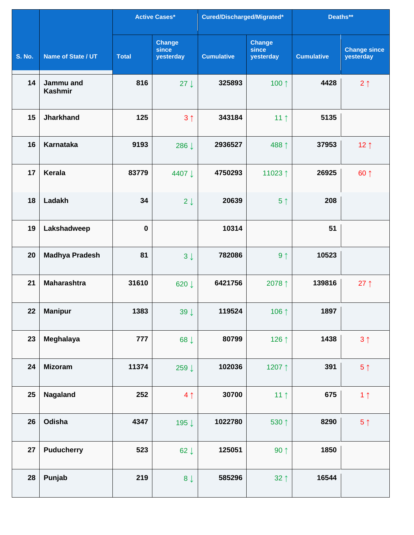|               |                             |              | <b>Active Cases*</b>                | Cured/Discharged/Migrated* |                                     | Deaths**          |                                  |
|---------------|-----------------------------|--------------|-------------------------------------|----------------------------|-------------------------------------|-------------------|----------------------------------|
| <b>S. No.</b> | Name of State / UT          | <b>Total</b> | <b>Change</b><br>since<br>yesterday | <b>Cumulative</b>          | <b>Change</b><br>since<br>yesterday | <b>Cumulative</b> | <b>Change since</b><br>yesterday |
| 14            | Jammu and<br><b>Kashmir</b> | 816          | $27 \downarrow$                     | 325893                     | 100 1                               | 4428              | 2 <sub>1</sub>                   |
| 15            | <b>Jharkhand</b>            | 125          | 3 <sub>1</sub>                      | 343184                     | 11 <sub>1</sub>                     | 5135              |                                  |
| 16            | <b>Karnataka</b>            | 9193         | 286 ↓                               | 2936527                    | 488↑                                | 37953             | 12 <sub>1</sub>                  |
| 17            | Kerala                      | 83779        | 4407 ↓                              | 4750293                    | 11023↑                              | 26925             | 60 1                             |
| 18            | Ladakh                      | 34           | $2 \downarrow$                      | 20639                      | 5 <sup>†</sup>                      | 208               |                                  |
| 19            | Lakshadweep                 | $\bf{0}$     |                                     | 10314                      |                                     | 51                |                                  |
| 20            | <b>Madhya Pradesh</b>       | 81           | $3 \downarrow$                      | 782086                     | 9 <sub>1</sub>                      | 10523             |                                  |
| 21            | <b>Maharashtra</b>          | 31610        | 620↓                                | 6421756                    | 2078↑                               | 139816            | $27 \uparrow$                    |
| 22            | <b>Manipur</b>              | 1383         | 39 $\downarrow$                     | 119524                     | 106 1                               | 1897              |                                  |
| 23            | Meghalaya                   | 777          | 68 $\downarrow$                     | 80799                      | 126 ↑                               | 1438              | 3 <sup>1</sup>                   |
| 24            | <b>Mizoram</b>              | 11374        | 259↓                                | 102036                     | 1207↑                               | 391               | $5 \uparrow$                     |
| 25            | Nagaland                    | 252          | 4 <sub>1</sub>                      | 30700                      | 11 <sub>1</sub>                     | 675               | 1 <sub>1</sub>                   |
| 26            | Odisha                      | 4347         | 195↓                                | 1022780                    | 530 1                               | 8290              | $5 \uparrow$                     |
| 27            | <b>Puducherry</b>           | 523          | 62 $\downarrow$                     | 125051                     | $90 \uparrow$                       | 1850              |                                  |
| 28            | Punjab                      | 219          | $8 \downarrow$                      | 585296                     | $32 \uparrow$                       | 16544             |                                  |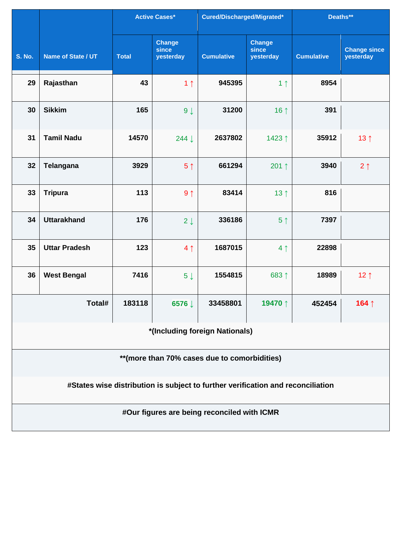|                                               |                                                                                 |              | <b>Active Cases*</b>         | Cured/Discharged/Migrated*                  |                                     | Deaths**          |                                  |  |  |  |
|-----------------------------------------------|---------------------------------------------------------------------------------|--------------|------------------------------|---------------------------------------------|-------------------------------------|-------------------|----------------------------------|--|--|--|
| <b>S. No.</b>                                 | Name of State / UT                                                              | <b>Total</b> | Change<br>since<br>yesterday | <b>Cumulative</b>                           | <b>Change</b><br>since<br>yesterday | <b>Cumulative</b> | <b>Change since</b><br>yesterday |  |  |  |
| 29                                            | Rajasthan                                                                       | 43           | 1 <sub>1</sub>               | 945395                                      | 1 <sub>1</sub>                      | 8954              |                                  |  |  |  |
| 30                                            | <b>Sikkim</b>                                                                   | 165          | $9 \downarrow$               | 31200                                       | 16 $\uparrow$                       | 391               |                                  |  |  |  |
| 31                                            | <b>Tamil Nadu</b>                                                               | 14570        | 244 ↓                        | 2637802                                     | 1423↑                               | 35912             | 13 <sub>1</sub>                  |  |  |  |
| 32                                            | Telangana                                                                       | 3929         | 5 <sup>†</sup>               | 661294                                      | 201 $\uparrow$                      | 3940              | $2 \uparrow$                     |  |  |  |
| 33                                            | <b>Tripura</b>                                                                  | 113          | 9 <sub>1</sub>               | 83414                                       | 13 <sup>†</sup>                     | 816               |                                  |  |  |  |
| 34                                            | <b>Uttarakhand</b>                                                              | 176          | $2 \downarrow$               | 336186                                      | 5 <sup>†</sup>                      | 7397              |                                  |  |  |  |
| 35                                            | <b>Uttar Pradesh</b>                                                            | 123          | 4 <sub>1</sub>               | 1687015                                     | 4 <sub>1</sub>                      | 22898             |                                  |  |  |  |
| 36                                            | <b>West Bengal</b>                                                              | 7416         | $5 \downarrow$               | 1554815                                     | 683 ↑                               | 18989             | 12 $\uparrow$                    |  |  |  |
|                                               | Total#                                                                          | 183118       | 6576 ↓                       | 33458801                                    | 19470↑                              | 452454            | 164↑                             |  |  |  |
|                                               | *(Including foreign Nationals)                                                  |              |                              |                                             |                                     |                   |                                  |  |  |  |
| ** (more than 70% cases due to comorbidities) |                                                                                 |              |                              |                                             |                                     |                   |                                  |  |  |  |
|                                               | #States wise distribution is subject to further verification and reconciliation |              |                              |                                             |                                     |                   |                                  |  |  |  |
|                                               |                                                                                 |              |                              | #Our figures are being reconciled with ICMR |                                     |                   |                                  |  |  |  |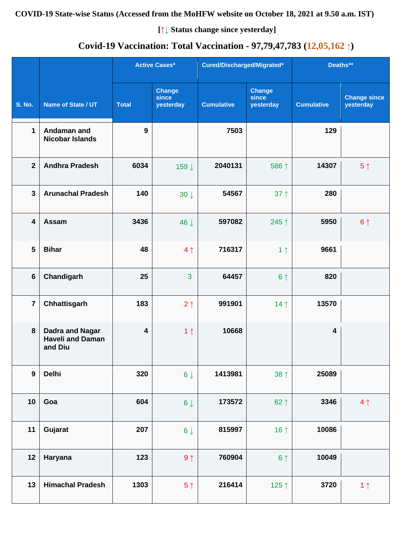## **COVID-19 State-wise Status (Accessed from the MoHFW website on October 18, 2021 at 9.50 a.m. IST)**

**[↑↓ Status change since yesterday]**

# **Covid-19 Vaccination: Total Vaccination - 97,79,47,783 (12,05,162 ↑)**

|                         |                                                              |                         | <b>Active Cases*</b>                | Cured/Discharged/Migrated* |                                     | Deaths**                |                                  |
|-------------------------|--------------------------------------------------------------|-------------------------|-------------------------------------|----------------------------|-------------------------------------|-------------------------|----------------------------------|
| <b>S. No.</b>           | Name of State / UT                                           | <b>Total</b>            | <b>Change</b><br>since<br>yesterday | <b>Cumulative</b>          | <b>Change</b><br>since<br>yesterday | <b>Cumulative</b>       | <b>Change since</b><br>yesterday |
| $\mathbf{1}$            | Andaman and<br><b>Nicobar Islands</b>                        | 9                       |                                     | 7503                       |                                     | 129                     |                                  |
| $\overline{2}$          | <b>Andhra Pradesh</b>                                        | 6034                    | 159↓                                | 2040131                    | 586 ↑                               | 14307                   | 5 <sup>†</sup>                   |
| $\mathbf{3}$            | <b>Arunachal Pradesh</b>                                     | 140                     | $30 \downarrow$                     | 54567                      | $37 \uparrow$                       | 280                     |                                  |
| $\overline{\mathbf{4}}$ | Assam                                                        | 3436                    | 46 J                                | 597082                     | 245↑                                | 5950                    | 6 <sup>1</sup>                   |
| 5                       | <b>Bihar</b>                                                 | 48                      | 4 <sub>1</sub>                      | 716317                     | 1 <sub>1</sub>                      | 9661                    |                                  |
| $6\phantom{1}$          | Chandigarh                                                   | 25                      | $\overline{3}$                      | 64457                      | 6 <sup>1</sup>                      | 820                     |                                  |
| $\overline{7}$          | Chhattisgarh                                                 | 183                     | $2 \uparrow$                        | 991901                     | 14 <sub>1</sub>                     | 13570                   |                                  |
| 8                       | <b>Dadra and Nagar</b><br><b>Haveli and Daman</b><br>and Diu | $\overline{\mathbf{4}}$ | 1 <sub>1</sub>                      | 10668                      |                                     | $\overline{\mathbf{4}}$ |                                  |
| $\boldsymbol{9}$        | <b>Delhi</b>                                                 | 320                     | $6 \downarrow$                      | 1413981                    | $38 \uparrow$                       | 25089                   |                                  |
| 10                      | Goa                                                          | 604                     | $6\downarrow$                       | 173572                     | $62 \uparrow$                       | 3346                    | 4 <sub>1</sub>                   |
| 11                      | Gujarat                                                      | 207                     | $6 \downarrow$                      | 815997                     | 16 $\uparrow$                       | 10086                   |                                  |
| 12                      | Haryana                                                      | 123                     | $9 \uparrow$                        | 760904                     | 6 <sup>†</sup>                      | 10049                   |                                  |
| 13                      | <b>Himachal Pradesh</b>                                      | 1303                    | 5 <sup>†</sup>                      | 216414                     | 125 $\uparrow$                      | 3720                    | 1 <sub>1</sub>                   |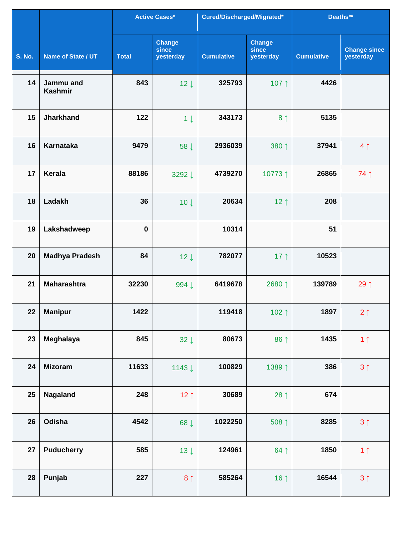|               |                             |              | <b>Active Cases*</b>                | Cured/Discharged/Migrated* |                                     | Deaths**          |                                  |
|---------------|-----------------------------|--------------|-------------------------------------|----------------------------|-------------------------------------|-------------------|----------------------------------|
| <b>S. No.</b> | Name of State / UT          | <b>Total</b> | <b>Change</b><br>since<br>yesterday | <b>Cumulative</b>          | <b>Change</b><br>since<br>yesterday | <b>Cumulative</b> | <b>Change since</b><br>yesterday |
| 14            | Jammu and<br><b>Kashmir</b> | 843          | $12 \downarrow$                     | 325793                     | 107 1                               | 4426              |                                  |
| 15            | <b>Jharkhand</b>            | 122          | $1 \downarrow$                      | 343173                     | 8 <sup>†</sup>                      | 5135              |                                  |
| 16            | <b>Karnataka</b>            | 9479         | 58 J                                | 2936039                    | 380 1                               | 37941             | 4 <sub>1</sub>                   |
| 17            | <b>Kerala</b>               | 88186        | 3292↓                               | 4739270                    | 10773↑                              | 26865             | 74 1                             |
| 18            | Ladakh                      | 36           | $10 \downarrow$                     | 20634                      | 12 $\uparrow$                       | 208               |                                  |
| 19            | Lakshadweep                 | $\bf{0}$     |                                     | 10314                      |                                     | 51                |                                  |
| 20            | <b>Madhya Pradesh</b>       | 84           | $12 \downarrow$                     | 782077                     | 17 $\uparrow$                       | 10523             |                                  |
| 21            | <b>Maharashtra</b>          | 32230        | 994 ↓                               | 6419678                    | 2680↑                               | 139789            | 29↑                              |
| 22            | <b>Manipur</b>              | 1422         |                                     | 119418                     | 102 $\uparrow$                      | 1897              | $2 \uparrow$                     |
| 23            | Meghalaya                   | 845          | $32 \downarrow$                     | 80673                      | 86 ↑                                | 1435              | 1 <sub>1</sub>                   |
| 24            | <b>Mizoram</b>              | 11633        | 1143 $\downarrow$                   | 100829                     | 1389 1                              | 386               | $3 \uparrow$                     |
| 25            | Nagaland                    | 248          | 12 $\uparrow$                       | 30689                      | 28 $\uparrow$                       | 674               |                                  |
| 26            | Odisha                      | 4542         | 68 ↓                                | 1022250                    | 508 1                               | 8285              | $3 \uparrow$                     |
| 27            | <b>Puducherry</b>           | 585          | $13 \downarrow$                     | 124961                     | $64$ ↑                              | 1850              | 1 <sub>1</sub>                   |
| 28            | Punjab                      | 227          | 8 <sup>1</sup>                      | 585264                     | 16 $\uparrow$                       | 16544             | $3 \uparrow$                     |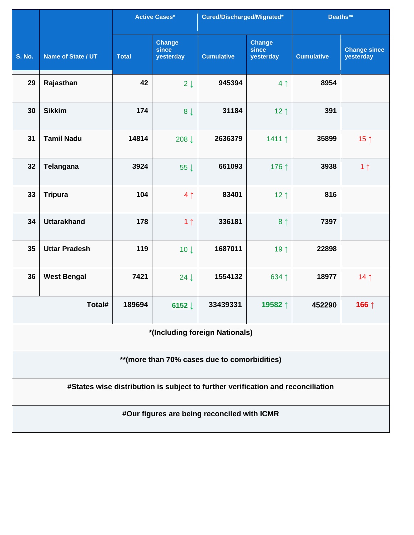|                                               |                                                                                 |              | <b>Active Cases*</b>                | Cured/Discharged/Migrated*                  |                                     | Deaths**          |                                  |  |  |
|-----------------------------------------------|---------------------------------------------------------------------------------|--------------|-------------------------------------|---------------------------------------------|-------------------------------------|-------------------|----------------------------------|--|--|
| <b>S. No.</b>                                 | Name of State / UT                                                              | <b>Total</b> | <b>Change</b><br>since<br>yesterday | <b>Cumulative</b>                           | <b>Change</b><br>since<br>yesterday | <b>Cumulative</b> | <b>Change since</b><br>yesterday |  |  |
| 29                                            | Rajasthan                                                                       | 42           | $2 \downarrow$                      | 945394                                      | 4 <sub>1</sub>                      | 8954              |                                  |  |  |
| 30                                            | <b>Sikkim</b>                                                                   | 174          | $8 \downarrow$                      | 31184                                       | 12 $\uparrow$                       | 391               |                                  |  |  |
| 31                                            | <b>Tamil Nadu</b>                                                               | 14814        | 208↓                                | 2636379                                     | 1411↑                               | 35899             | 15 $\uparrow$                    |  |  |
| 32                                            | Telangana                                                                       | 3924         | 55 $\downarrow$                     | 661093                                      | 176 ↑                               | 3938              | 1 <sub>1</sub>                   |  |  |
| 33                                            | <b>Tripura</b>                                                                  | 104          | 4 <sub>1</sub>                      | 83401                                       | 12 $\uparrow$                       | 816               |                                  |  |  |
| 34                                            | <b>Uttarakhand</b>                                                              | 178          | 1 <sub>1</sub>                      | 336181                                      | 8 <sup>1</sup>                      | 7397              |                                  |  |  |
| 35                                            | <b>Uttar Pradesh</b>                                                            | 119          | $10 \downarrow$                     | 1687011                                     | 19 1                                | 22898             |                                  |  |  |
| 36                                            | <b>West Bengal</b>                                                              | 7421         | $24 \downarrow$                     | 1554132                                     | 634 1                               | 18977             | 14 $\uparrow$                    |  |  |
|                                               | Total#                                                                          | 189694       | 6152 $\downarrow$                   | 33439331                                    | 19582↑                              | 452290            | 166↑                             |  |  |
| *(Including foreign Nationals)                |                                                                                 |              |                                     |                                             |                                     |                   |                                  |  |  |
| ** (more than 70% cases due to comorbidities) |                                                                                 |              |                                     |                                             |                                     |                   |                                  |  |  |
|                                               | #States wise distribution is subject to further verification and reconciliation |              |                                     |                                             |                                     |                   |                                  |  |  |
|                                               |                                                                                 |              |                                     | #Our figures are being reconciled with ICMR |                                     |                   |                                  |  |  |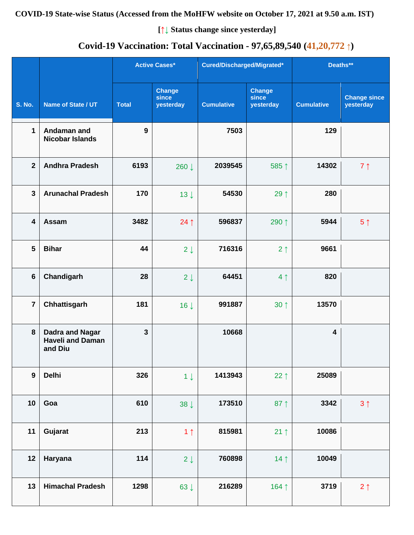## **COVID-19 State-wise Status (Accessed from the MoHFW website on October 17, 2021 at 9.50 a.m. IST)**

**[↑↓ Status change since yesterday]**

# **Covid-19 Vaccination: Total Vaccination - 97,65,89,540 (41,20,772 ↑)**

|                         |                                                              |              | <b>Active Cases*</b>                |                   | Cured/Discharged/Migrated*          |                         | Deaths**                         |  |
|-------------------------|--------------------------------------------------------------|--------------|-------------------------------------|-------------------|-------------------------------------|-------------------------|----------------------------------|--|
| <b>S. No.</b>           | Name of State / UT                                           | <b>Total</b> | <b>Change</b><br>since<br>yesterday | <b>Cumulative</b> | <b>Change</b><br>since<br>yesterday | <b>Cumulative</b>       | <b>Change since</b><br>yesterday |  |
| 1                       | Andaman and<br><b>Nicobar Islands</b>                        | 9            |                                     | 7503              |                                     | 129                     |                                  |  |
| $\mathbf{2}$            | <b>Andhra Pradesh</b>                                        | 6193         | 260 ↓                               | 2039545           | 585↑                                | 14302                   | 7 <sub>1</sub>                   |  |
| $\overline{\mathbf{3}}$ | <b>Arunachal Pradesh</b>                                     | 170          | $13 \downarrow$                     | 54530             | 29 1                                | 280                     |                                  |  |
| 4                       | Assam                                                        | 3482         | $24$ ↑                              | 596837            | 290 ↑                               | 5944                    | 5 <sup>†</sup>                   |  |
| 5                       | <b>Bihar</b>                                                 | 44           | $2 \downarrow$                      | 716316            | $2 \uparrow$                        | 9661                    |                                  |  |
| $6\phantom{1}6$         | Chandigarh                                                   | 28           | $2 \downarrow$                      | 64451             | 4 <sub>1</sub>                      | 820                     |                                  |  |
| $\overline{7}$          | Chhattisgarh                                                 | 181          | $16 \downarrow$                     | 991887            | $30 \uparrow$                       | 13570                   |                                  |  |
| 8                       | <b>Dadra and Nagar</b><br><b>Haveli and Daman</b><br>and Diu | $\mathbf{3}$ |                                     | 10668             |                                     | $\overline{\mathbf{4}}$ |                                  |  |
| $\overline{9}$          | <b>Delhi</b>                                                 | 326          | $1 \downarrow$                      | 1413943           | 22 $\uparrow$                       | 25089                   |                                  |  |
| 10                      | Goa                                                          | 610          | $38 \downarrow$                     | 173510            | 87 $\uparrow$                       | 3342                    | $3 \uparrow$                     |  |
| 11                      | Gujarat                                                      | 213          | 1 <sub>1</sub>                      | 815981            | $21 \uparrow$                       | 10086                   |                                  |  |
| 12                      | Haryana                                                      | 114          | $2 \downarrow$                      | 760898            | $14$ ↑                              | 10049                   |                                  |  |
| 13                      | <b>Himachal Pradesh</b>                                      | 1298         | 63 $\downarrow$                     | 216289            | 164 1                               | 3719                    | $2 \uparrow$                     |  |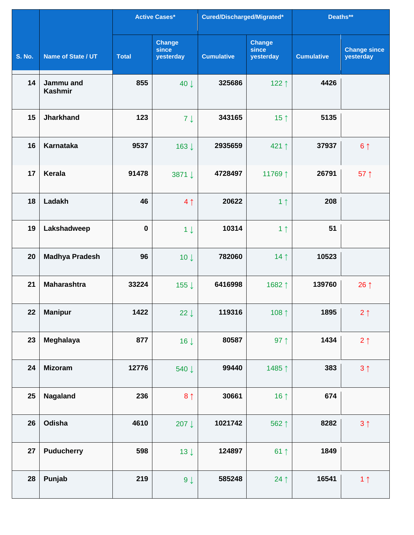|                 |                             |              | <b>Active Cases*</b>                | Cured/Discharged/Migrated* |                                     | Deaths**          |                                  |
|-----------------|-----------------------------|--------------|-------------------------------------|----------------------------|-------------------------------------|-------------------|----------------------------------|
| <b>S. No.</b>   | Name of State / UT          | <b>Total</b> | <b>Change</b><br>since<br>yesterday | <b>Cumulative</b>          | <b>Change</b><br>since<br>yesterday | <b>Cumulative</b> | <b>Change since</b><br>yesterday |
| 14              | Jammu and<br><b>Kashmir</b> | 855          | 40 J                                | 325686                     | 122↑                                | 4426              |                                  |
| 15              | <b>Jharkhand</b>            | 123          | $7 \downarrow$                      | 343165                     | 15 $\uparrow$                       | 5135              |                                  |
| 16              | <b>Karnataka</b>            | 9537         | 163↓                                | 2935659                    | 421↑                                | 37937             | 6 <sup>1</sup>                   |
| 17              | <b>Kerala</b>               | 91478        | 3871 ↓                              | 4728497                    | 11769↑                              | 26791             | 57 $\uparrow$                    |
| 18              | Ladakh                      | 46           | 4 <sub>1</sub>                      | 20622                      | 1 <sub>1</sub>                      | 208               |                                  |
| 19              | Lakshadweep                 | $\bf{0}$     | $1 \downarrow$                      | 10314                      | 1 <sub>1</sub>                      | 51                |                                  |
| 20              | <b>Madhya Pradesh</b>       | 96           | $10 \downarrow$                     | 782060                     | 14 <sub>1</sub>                     | 10523             |                                  |
| 21              | <b>Maharashtra</b>          | 33224        | 155 ↓                               | 6416998                    | 1682↑                               | 139760            | 26 $\uparrow$                    |
| 22 <sub>2</sub> | <b>Manipur</b>              | 1422         | 22 $\downarrow$                     | 119316                     | 108 $\uparrow$                      | 1895              | $2 \uparrow$                     |
| 23              | Meghalaya                   | 877          | $16 \downarrow$                     | 80587                      | 97 $\uparrow$                       | 1434              | $2 \uparrow$                     |
| 24              | <b>Mizoram</b>              | 12776        | 540↓                                | 99440                      | 1485↑                               | 383               | $3 \uparrow$                     |
| 25              | Nagaland                    | 236          | 8 <sub>1</sub>                      | 30661                      | 16 $\uparrow$                       | 674               |                                  |
| 26              | Odisha                      | 4610         | 207↓                                | 1021742                    | 562↑                                | 8282              | $3 \uparrow$                     |
| 27              | <b>Puducherry</b>           | 598          | $13 \downarrow$                     | 124897                     | $61$ ↑                              | 1849              |                                  |
| 28              | Punjab                      | 219          | $9 \downarrow$                      | 585248                     | 24 $\uparrow$                       | 16541             | 1 <sub>1</sub>                   |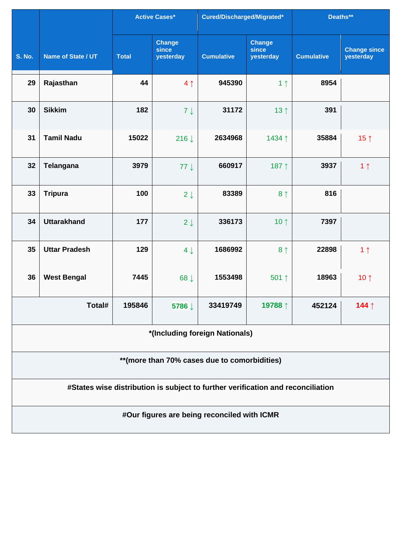|                                              |                                                                                 |              | <b>Active Cases*</b>                | Cured/Discharged/Migrated*                  |                                     | Deaths**          |                                  |  |  |  |
|----------------------------------------------|---------------------------------------------------------------------------------|--------------|-------------------------------------|---------------------------------------------|-------------------------------------|-------------------|----------------------------------|--|--|--|
| <b>S. No.</b>                                | Name of State / UT                                                              | <b>Total</b> | <b>Change</b><br>since<br>yesterday | <b>Cumulative</b>                           | <b>Change</b><br>since<br>yesterday | <b>Cumulative</b> | <b>Change since</b><br>yesterday |  |  |  |
| 29                                           | Rajasthan                                                                       | 44           | 4 <sub>1</sub>                      | 945390                                      | 1 <sub>1</sub>                      | 8954              |                                  |  |  |  |
| 30                                           | <b>Sikkim</b>                                                                   | 182          | $7 \downarrow$                      | 31172                                       | 13 $\uparrow$                       | 391               |                                  |  |  |  |
| 31                                           | <b>Tamil Nadu</b>                                                               | 15022        | 216↓                                | 2634968                                     | 1434 1                              | 35884             | 15 $\uparrow$                    |  |  |  |
| 32                                           | Telangana                                                                       | 3979         | $77 \downarrow$                     | 660917                                      | 187 1                               | 3937              | 1 <sub>1</sub>                   |  |  |  |
| 33                                           | <b>Tripura</b>                                                                  | 100          | $2 \downarrow$                      | 83389                                       | 8 <sup>1</sup>                      | 816               |                                  |  |  |  |
| 34                                           | <b>Uttarakhand</b>                                                              | 177          | $2 \downarrow$                      | 336173                                      | 10 $\uparrow$                       | 7397              |                                  |  |  |  |
| 35                                           | <b>Uttar Pradesh</b>                                                            | 129          | $4 \downarrow$                      | 1686992                                     | 8 <sup>†</sup>                      | 22898             | 1 <sub>1</sub>                   |  |  |  |
| 36                                           | <b>West Bengal</b>                                                              | 7445         | 68 L                                | 1553498                                     | 501↑                                | 18963             | 10 $\uparrow$                    |  |  |  |
|                                              | Total#                                                                          | 195846       | 5786↓                               | 33419749                                    | 19788↑                              | 452124            | 144 $\uparrow$                   |  |  |  |
|                                              | *(Including foreign Nationals)                                                  |              |                                     |                                             |                                     |                   |                                  |  |  |  |
| **(more than 70% cases due to comorbidities) |                                                                                 |              |                                     |                                             |                                     |                   |                                  |  |  |  |
|                                              | #States wise distribution is subject to further verification and reconciliation |              |                                     |                                             |                                     |                   |                                  |  |  |  |
|                                              |                                                                                 |              |                                     | #Our figures are being reconciled with ICMR |                                     |                   |                                  |  |  |  |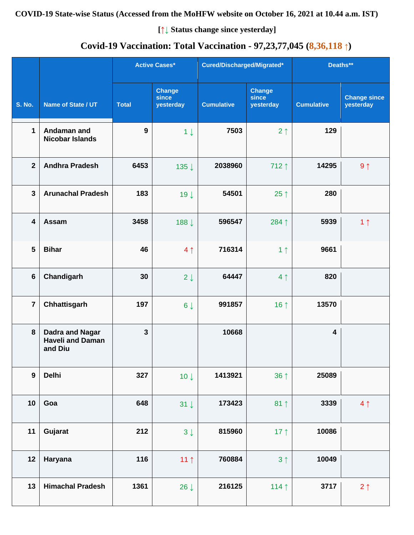**COVID-19 State-wise Status (Accessed from the MoHFW website on October 16, 2021 at 10.44 a.m. IST)**

**[↑↓ Status change since yesterday]**

# **Covid-19 Vaccination: Total Vaccination - 97,23,77,045 (8,36,118 ↑)**

|                         |                                                              |              | <b>Active Cases*</b>                | Cured/Discharged/Migrated* |                                     | Deaths**                |                                  |
|-------------------------|--------------------------------------------------------------|--------------|-------------------------------------|----------------------------|-------------------------------------|-------------------------|----------------------------------|
| <b>S. No.</b>           | Name of State / UT                                           | <b>Total</b> | <b>Change</b><br>since<br>yesterday | <b>Cumulative</b>          | <b>Change</b><br>since<br>yesterday | <b>Cumulative</b>       | <b>Change since</b><br>yesterday |
| $\mathbf 1$             | Andaman and<br><b>Nicobar Islands</b>                        | 9            | $1 \downarrow$                      | 7503                       | 2 <sub>1</sub>                      | 129                     |                                  |
| $\overline{2}$          | <b>Andhra Pradesh</b>                                        | 6453         | 135↓                                | 2038960                    | 712 1                               | 14295                   | $9 \uparrow$                     |
| $\mathbf{3}$            | <b>Arunachal Pradesh</b>                                     | 183          | 19 <sup>1</sup>                     | 54501                      | 25 $\uparrow$                       | 280                     |                                  |
| $\overline{\mathbf{4}}$ | Assam                                                        | 3458         | 188↓                                | 596547                     | 284 1                               | 5939                    | 1 <sub>1</sub>                   |
| 5                       | <b>Bihar</b>                                                 | 46           | 4 <sub>1</sub>                      | 716314                     | 1 <sub>1</sub>                      | 9661                    |                                  |
| $6\phantom{1}$          | Chandigarh                                                   | 30           | $2 \downarrow$                      | 64447                      | 4 <sub>1</sub>                      | 820                     |                                  |
| $\overline{7}$          | Chhattisgarh                                                 | 197          | $6\downarrow$                       | 991857                     | 16 $\uparrow$                       | 13570                   |                                  |
| 8                       | <b>Dadra and Nagar</b><br><b>Haveli and Daman</b><br>and Diu | $\mathbf{3}$ |                                     | 10668                      |                                     | $\overline{\mathbf{4}}$ |                                  |
| $\boldsymbol{9}$        | <b>Delhi</b>                                                 | 327          | $10 \downarrow$                     | 1413921                    | $36 \uparrow$                       | 25089                   |                                  |
| 10                      | Goa                                                          | 648          | $31 \downarrow$                     | 173423                     | $81 \uparrow$                       | 3339                    | 4 <sub>1</sub>                   |
| 11                      | Gujarat                                                      | 212          | $3 \downarrow$                      | 815960                     | 17 $\uparrow$                       | 10086                   |                                  |
| 12                      | Haryana                                                      | 116          | 11 $\uparrow$                       | 760884                     | 3 <sup>1</sup>                      | 10049                   |                                  |
| 13                      | <b>Himachal Pradesh</b>                                      | 1361         | $26 \downarrow$                     | 216125                     | 114 $\uparrow$                      | 3717                    | $2 \uparrow$                     |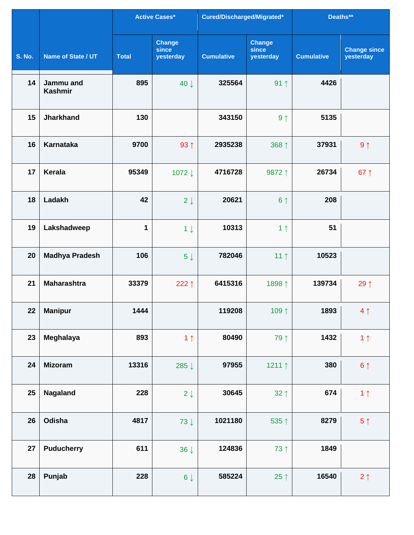|               |                             |              | <b>Active Cases*</b>                | Cured/Discharged/Migrated* |                                     | Deaths**          |                                  |
|---------------|-----------------------------|--------------|-------------------------------------|----------------------------|-------------------------------------|-------------------|----------------------------------|
| <b>S. No.</b> | Name of State / UT          | <b>Total</b> | <b>Change</b><br>since<br>yesterday | <b>Cumulative</b>          | <b>Change</b><br>since<br>yesterday | <b>Cumulative</b> | <b>Change since</b><br>yesterday |
| 14            | Jammu and<br><b>Kashmir</b> | 895          | 40 J                                | 325564                     | $91 \uparrow$                       | 4426              |                                  |
| 15            | <b>Jharkhand</b>            | 130          |                                     | 343150                     | 9 <sub>1</sub>                      | 5135              |                                  |
| 16            | <b>Karnataka</b>            | 9700         | $93 \uparrow$                       | 2935238                    | 368 ↑                               | 37931             | 9 <sub>1</sub>                   |
| 17            | Kerala                      | 95349        | 1072↓                               | 4716728                    | 9872 1                              | 26734             | 67 $\uparrow$                    |
| 18            | Ladakh                      | 42           | $2 \downarrow$                      | 20621                      | 6 <sup>†</sup>                      | 208               |                                  |
| 19            | Lakshadweep                 | 1            | $1 \downarrow$                      | 10313                      | 1 <sub>1</sub>                      | 51                |                                  |
| 20            | <b>Madhya Pradesh</b>       | 106          | $5 \downarrow$                      | 782046                     | 11 <sup>†</sup>                     | 10523             |                                  |
| 21            | <b>Maharashtra</b>          | 33379        | 222 $\uparrow$                      | 6415316                    | 1898↑                               | 139734            | 29 1                             |
| 22            | <b>Manipur</b>              | 1444         |                                     | 119208                     | 109 1                               | 1893              | $4 \uparrow$                     |
| 23            | Meghalaya                   | 893          | 1 <sub>1</sub>                      | 80490                      | 79 ↑                                | 1432              | 1 <sub>1</sub>                   |
| 24            | <b>Mizoram</b>              | 13316        | 285↓                                | 97955                      | 1211 $\uparrow$                     | 380               | $6 \uparrow$                     |
| 25            | Nagaland                    | 228          | $2 \downarrow$                      | 30645                      | $32 \uparrow$                       | 674               | 1 <sub>1</sub>                   |
| 26            | Odisha                      | 4817         | $73 \downarrow$                     | 1021180                    | 535 1                               | 8279              | $5 \uparrow$                     |
| 27            | <b>Puducherry</b>           | 611          | $36 \downarrow$                     | 124836                     | 73 ↑                                | 1849              |                                  |
| 28            | Punjab                      | 228          | $6\downarrow$                       | 585224                     | $25 \uparrow$                       | 16540             | $2 \uparrow$                     |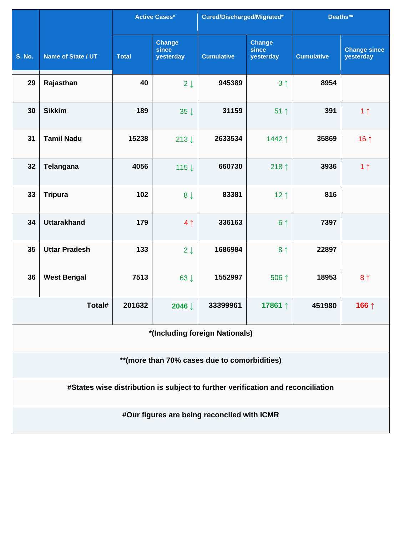|                                               |                                                                                 |              | <b>Active Cases*</b>                | Cured/Discharged/Migrated*                  |                                     | Deaths**          |                                  |  |  |  |
|-----------------------------------------------|---------------------------------------------------------------------------------|--------------|-------------------------------------|---------------------------------------------|-------------------------------------|-------------------|----------------------------------|--|--|--|
| <b>S. No.</b>                                 | Name of State / UT                                                              | <b>Total</b> | <b>Change</b><br>since<br>yesterday | <b>Cumulative</b>                           | <b>Change</b><br>since<br>yesterday | <b>Cumulative</b> | <b>Change since</b><br>yesterday |  |  |  |
| 29                                            | Rajasthan                                                                       | 40           | $2 \downarrow$                      | 945389                                      | 3 <sup>1</sup>                      | 8954              |                                  |  |  |  |
| 30                                            | <b>Sikkim</b>                                                                   | 189          | $35 \downarrow$                     | 31159                                       | $51$ ↑                              | 391               | 1 <sub>1</sub>                   |  |  |  |
| 31                                            | <b>Tamil Nadu</b>                                                               | 15238        | $213 \downarrow$                    | 2633534                                     | 1442↑                               | 35869             | 16 $\uparrow$                    |  |  |  |
| 32                                            | <b>Telangana</b>                                                                | 4056         | 115 $\downarrow$                    | 660730                                      | 218 $\uparrow$                      | 3936              | 1 <sub>1</sub>                   |  |  |  |
| 33                                            | <b>Tripura</b>                                                                  | 102          | 8 <sub>1</sub>                      | 83381                                       | 12 $\uparrow$                       | 816               |                                  |  |  |  |
| 34                                            | <b>Uttarakhand</b>                                                              | 179          | 4 <sub>1</sub>                      | 336163                                      | 6 <sup>1</sup>                      | 7397              |                                  |  |  |  |
| 35                                            | <b>Uttar Pradesh</b>                                                            | 133          | $2 \downarrow$                      | 1686984                                     | 8 <sup>1</sup>                      | 22897             |                                  |  |  |  |
| 36                                            | <b>West Bengal</b>                                                              | 7513         | $63 \downarrow$                     | 1552997                                     | 506 ↑                               | 18953             | 8 <sub>1</sub>                   |  |  |  |
|                                               | Total#                                                                          | 201632       | 2046 <b>L</b>                       | 33399961                                    | 17861↑                              | 451980            | 166↑                             |  |  |  |
|                                               | *(Including foreign Nationals)                                                  |              |                                     |                                             |                                     |                   |                                  |  |  |  |
| ** (more than 70% cases due to comorbidities) |                                                                                 |              |                                     |                                             |                                     |                   |                                  |  |  |  |
|                                               | #States wise distribution is subject to further verification and reconciliation |              |                                     |                                             |                                     |                   |                                  |  |  |  |
|                                               |                                                                                 |              |                                     | #Our figures are being reconciled with ICMR |                                     |                   |                                  |  |  |  |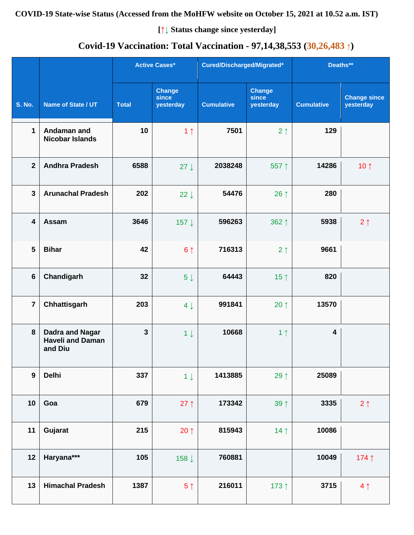## **COVID-19 State-wise Status (Accessed from the MoHFW website on October 15, 2021 at 10.52 a.m. IST)**

**[↑↓ Status change since yesterday]**

# **Covid-19 Vaccination: Total Vaccination - 97,14,38,553 (30,26,483 ↑)**

|                |                                                              |              | <b>Active Cases*</b>                | Cured/Discharged/Migrated* |                                     | Deaths**                |                                  |
|----------------|--------------------------------------------------------------|--------------|-------------------------------------|----------------------------|-------------------------------------|-------------------------|----------------------------------|
| <b>S. No.</b>  | Name of State / UT                                           | <b>Total</b> | <b>Change</b><br>since<br>yesterday | <b>Cumulative</b>          | <b>Change</b><br>since<br>yesterday | <b>Cumulative</b>       | <b>Change since</b><br>yesterday |
| 1              | Andaman and<br><b>Nicobar Islands</b>                        | 10           | 1 <sub>1</sub>                      | 7501                       | 2 <sub>1</sub>                      | 129                     |                                  |
| $\mathbf{2}$   | <b>Andhra Pradesh</b>                                        | 6588         | $27 \downarrow$                     | 2038248                    | 557↑                                | 14286                   | 10 $\uparrow$                    |
| $\mathbf{3}$   | <b>Arunachal Pradesh</b>                                     | 202          | $22 \downarrow$                     | 54476                      | 26 $\uparrow$                       | 280                     |                                  |
| 4              | <b>Assam</b>                                                 | 3646         | 157↓                                | 596263                     | 362 1                               | 5938                    | $2 \uparrow$                     |
| 5              | <b>Bihar</b>                                                 | 42           | 6 <sup>1</sup>                      | 716313                     | 2 <sub>1</sub>                      | 9661                    |                                  |
| 6              | Chandigarh                                                   | 32           | $5 \downarrow$                      | 64443                      | 15 $\uparrow$                       | 820                     |                                  |
| $\overline{7}$ | Chhattisgarh                                                 | 203          | $4 \downarrow$                      | 991841                     | 20 $\uparrow$                       | 13570                   |                                  |
| 8              | <b>Dadra and Nagar</b><br><b>Haveli and Daman</b><br>and Diu | $\mathbf{3}$ | $1 \downarrow$                      | 10668                      | 1 <sub>1</sub>                      | $\overline{\mathbf{4}}$ |                                  |
| $\overline{9}$ | <b>Delhi</b>                                                 | 337          | $1 \downarrow$                      | 1413885                    | 29 $\uparrow$                       | 25089                   |                                  |
| 10             | Goa                                                          | 679          | $27 \uparrow$                       | 173342                     | 39 <sup>†</sup>                     | 3335                    | $2 \uparrow$                     |
| 11             | Gujarat                                                      | 215          | $20 \uparrow$                       | 815943                     | 14 <sub>1</sub>                     | 10086                   |                                  |
| 12             | Haryana***                                                   | 105          | 158↓                                | 760881                     |                                     | 10049                   | 174 1                            |
| 13             | <b>Himachal Pradesh</b>                                      | 1387         | 5 <sup>†</sup>                      | 216011                     | 173 ↑                               | 3715                    | 4 <sub>1</sub>                   |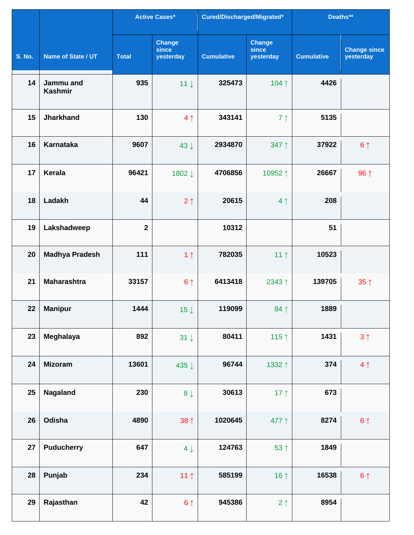|               |                             |              | <b>Active Cases*</b>                | Cured/Discharged/Migrated* |                                     | Deaths**          |                                  |
|---------------|-----------------------------|--------------|-------------------------------------|----------------------------|-------------------------------------|-------------------|----------------------------------|
| <b>S. No.</b> | Name of State / UT          | <b>Total</b> | <b>Change</b><br>since<br>yesterday | <b>Cumulative</b>          | <b>Change</b><br>since<br>yesterday | <b>Cumulative</b> | <b>Change since</b><br>yesterday |
| 14            | Jammu and<br><b>Kashmir</b> | 935          | 11 <sup>1</sup>                     | 325473                     | 104↑                                | 4426              |                                  |
| 15            | <b>Jharkhand</b>            | 130          | 4 <sub>1</sub>                      | 343141                     | 7 <sup>1</sup>                      | 5135              |                                  |
| 16            | <b>Karnataka</b>            | 9607         | $43 \downarrow$                     | 2934870                    | 347 ↑                               | 37922             | 6 <sup>1</sup>                   |
| 17            | <b>Kerala</b>               | 96421        | 1802↓                               | 4706856                    | 10952↑                              | 26667             | 96 ↑                             |
| 18            | Ladakh                      | 44           | $2 \uparrow$                        | 20615                      | 4 <sub>1</sub>                      | 208               |                                  |
| 19            | Lakshadweep                 | $\mathbf{2}$ |                                     | 10312                      |                                     | 51                |                                  |
| 20            | <b>Madhya Pradesh</b>       | 111          | 1 <sub>1</sub>                      | 782035                     | 11 $\uparrow$                       | 10523             |                                  |
| 21            | <b>Maharashtra</b>          | 33157        | 6 <sup>1</sup>                      | 6413418                    | 2343↑                               | 139705            | 35 <sup>†</sup>                  |
| 22            | <b>Manipur</b>              | 1444         | 15 $\downarrow$                     | 119099                     | 84 1                                | 1889              |                                  |
| 23            | <b>Meghalaya</b>            | 892          | $31 \downarrow$                     | 80411                      | 115 $\uparrow$                      | 1431              | $3 \uparrow$                     |
| 24            | <b>Mizoram</b>              | 13601        | 435 ↓                               | 96744                      | 1332 1                              | 374               | 4 <sub>1</sub>                   |
| 25            | Nagaland                    | 230          | $8 \downarrow$                      | 30613                      | 17 $\uparrow$                       | 673               |                                  |
| 26            | Odisha                      | 4890         | 38 <sup>†</sup>                     | 1020645                    | 477 ↑                               | 8274              | 6 <sup>1</sup>                   |
| 27            | <b>Puducherry</b>           | 647          | $4 \downarrow$                      | 124763                     | 53 ↑                                | 1849              |                                  |
| 28            | Punjab                      | 234          | 11 $\uparrow$                       | 585199                     | 16 $\uparrow$                       | 16538             | 6 <sup>1</sup>                   |
| 29            | Rajasthan                   | 42           | 6 <sup>1</sup>                      | 945386                     | $2 \uparrow$                        | 8954              |                                  |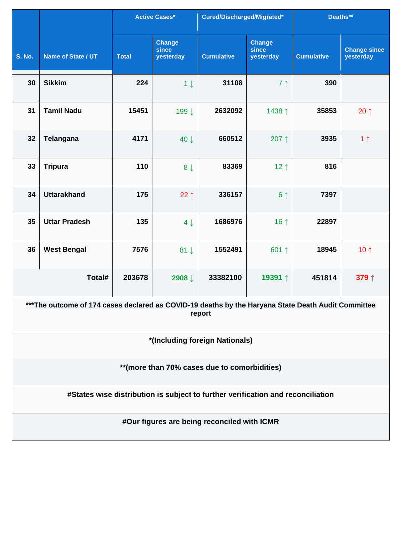|               |                                                                                                    |              | <b>Active Cases*</b>                | Cured/Discharged/Migrated*                  |                                     | Deaths**          |                                  |  |  |  |
|---------------|----------------------------------------------------------------------------------------------------|--------------|-------------------------------------|---------------------------------------------|-------------------------------------|-------------------|----------------------------------|--|--|--|
| <b>S. No.</b> | Name of State / UT                                                                                 | <b>Total</b> | <b>Change</b><br>since<br>yesterday | <b>Cumulative</b>                           | <b>Change</b><br>since<br>yesterday | <b>Cumulative</b> | <b>Change since</b><br>yesterday |  |  |  |
| 30            | <b>Sikkim</b>                                                                                      | 224          | $1 \downarrow$                      | 31108                                       | 7 <sub>1</sub>                      | 390               |                                  |  |  |  |
| 31            | <b>Tamil Nadu</b>                                                                                  | 15451        | 199↓                                | 2632092                                     | 1438 ↑                              | 35853             | 20 $\uparrow$                    |  |  |  |
| 32            | <b>Telangana</b>                                                                                   | 4171         | 40 J                                | 660512                                      | 207↑                                | 3935              | 1 <sub>1</sub>                   |  |  |  |
| 33            | <b>Tripura</b>                                                                                     | 110          | 8 <sub>1</sub>                      | 83369                                       | 12 $\uparrow$                       | 816               |                                  |  |  |  |
| 34            | <b>Uttarakhand</b>                                                                                 | 175          | $22 \uparrow$                       | 336157                                      | 6 <sup>†</sup>                      | 7397              |                                  |  |  |  |
| 35            | <b>Uttar Pradesh</b>                                                                               | 135          | $4 \downarrow$                      | 1686976                                     | 16 $\uparrow$                       | 22897             |                                  |  |  |  |
| 36            | <b>West Bengal</b>                                                                                 | 7576         | $81 \downarrow$                     | 1552491                                     | 601↑                                | 18945             | 10 $\uparrow$                    |  |  |  |
|               | Total#                                                                                             | 203678       | 2908 <b>L</b>                       | 33382100                                    | 19391↑                              | 451814            | 379↑                             |  |  |  |
|               | ***The outcome of 174 cases declared as COVID-19 deaths by the Haryana State Death Audit Committee |              |                                     | report                                      |                                     |                   |                                  |  |  |  |
|               |                                                                                                    |              |                                     | *(Including foreign Nationals)              |                                     |                   |                                  |  |  |  |
|               | ** (more than 70% cases due to comorbidities)                                                      |              |                                     |                                             |                                     |                   |                                  |  |  |  |
|               | #States wise distribution is subject to further verification and reconciliation                    |              |                                     |                                             |                                     |                   |                                  |  |  |  |
|               |                                                                                                    |              |                                     | #Our figures are being reconciled with ICMR |                                     |                   |                                  |  |  |  |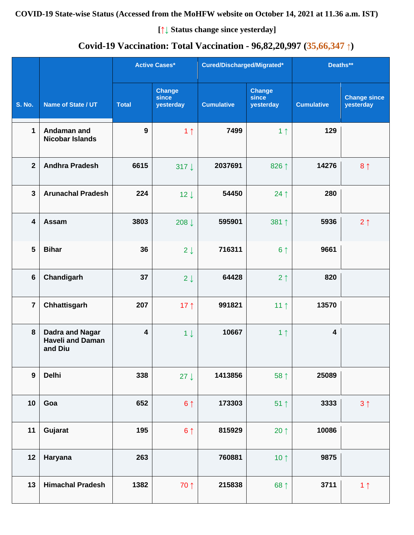## **COVID-19 State-wise Status (Accessed from the MoHFW website on October 14, 2021 at 11.36 a.m. IST)**

**[↑↓ Status change since yesterday]**

# **Covid-19 Vaccination: Total Vaccination - 96,82,20,997 (35,66,347 ↑)**

|                         |                                                              |                         | <b>Active Cases*</b>                | Cured/Discharged/Migrated* |                                     | Deaths**                |                                  |
|-------------------------|--------------------------------------------------------------|-------------------------|-------------------------------------|----------------------------|-------------------------------------|-------------------------|----------------------------------|
| <b>S. No.</b>           | Name of State / UT                                           | <b>Total</b>            | <b>Change</b><br>since<br>yesterday | <b>Cumulative</b>          | <b>Change</b><br>since<br>yesterday | <b>Cumulative</b>       | <b>Change since</b><br>yesterday |
| $\mathbf 1$             | Andaman and<br><b>Nicobar Islands</b>                        | 9                       | 1 <sub>1</sub>                      | 7499                       | 1 <sub>1</sub>                      | 129                     |                                  |
| $\overline{2}$          | <b>Andhra Pradesh</b>                                        | 6615                    | 317 $\downarrow$                    | 2037691                    | 826 ↑                               | 14276                   | 8 <sub>1</sub>                   |
| $\overline{3}$          | <b>Arunachal Pradesh</b>                                     | 224                     | $12 \downarrow$                     | 54450                      | $24$ ↑                              | 280                     |                                  |
| $\overline{\mathbf{4}}$ | Assam                                                        | 3803                    | 208 $\downarrow$                    | 595901                     | 381 1                               | 5936                    | $2 \uparrow$                     |
| $5\phantom{1}$          | <b>Bihar</b>                                                 | 36                      | $2 \downarrow$                      | 716311                     | 6 <sup>†</sup>                      | 9661                    |                                  |
| $6\phantom{a}$          | Chandigarh                                                   | 37                      | $2 \downarrow$                      | 64428                      | 2 <sub>1</sub>                      | 820                     |                                  |
| $\overline{7}$          | Chhattisgarh                                                 | 207                     | 17 $\uparrow$                       | 991821                     | 11 <sup>†</sup>                     | 13570                   |                                  |
| 8                       | <b>Dadra and Nagar</b><br><b>Haveli and Daman</b><br>and Diu | $\overline{\mathbf{4}}$ | $1 \downarrow$                      | 10667                      | 1 <sub>1</sub>                      | $\overline{\mathbf{4}}$ |                                  |
| $\boldsymbol{9}$        | <b>Delhi</b>                                                 | 338                     | $27 \downarrow$                     | 1413856                    | 58 ↑                                | 25089                   |                                  |
| 10                      | Goa                                                          | 652                     | $6 \uparrow$                        | 173303                     | $51$ ↑                              | 3333                    | 3 <sup>1</sup>                   |
| 11                      | Gujarat                                                      | 195                     | 6 <sup>1</sup>                      | 815929                     | 20 $\uparrow$                       | 10086                   |                                  |
| 12                      | Haryana                                                      | 263                     |                                     | 760881                     | 10 $\uparrow$                       | 9875                    |                                  |
| 13                      | <b>Himachal Pradesh</b>                                      | 1382                    | 70 ↑                                | 215838                     | 68 ↑                                | 3711                    | 1 <sub>1</sub>                   |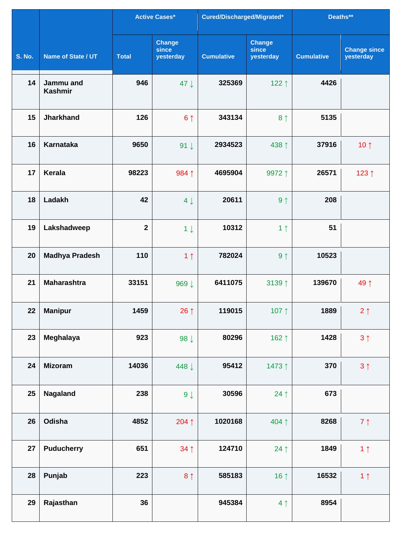|               |                             |              | Active Cases*                       | Cured/Discharged/Migrated* |                                     | Deaths**          |                                  |
|---------------|-----------------------------|--------------|-------------------------------------|----------------------------|-------------------------------------|-------------------|----------------------------------|
| <b>S. No.</b> | Name of State / UT          | <b>Total</b> | <b>Change</b><br>since<br>yesterday | <b>Cumulative</b>          | <b>Change</b><br>since<br>yesterday | <b>Cumulative</b> | <b>Change since</b><br>yesterday |
| 14            | Jammu and<br><b>Kashmir</b> | 946          | 47 L                                | 325369                     | 122↑                                | 4426              |                                  |
| 15            | <b>Jharkhand</b>            | 126          | 6 <sup>1</sup>                      | 343134                     | 8 <sup>†</sup>                      | 5135              |                                  |
| 16            | <b>Karnataka</b>            | 9650         | 91 $\downarrow$                     | 2934523                    | 438 ↑                               | 37916             | 10 $\uparrow$                    |
| 17            | <b>Kerala</b>               | 98223        | 984 1                               | 4695904                    | 9972 1                              | 26571             | 123↑                             |
| 18            | Ladakh                      | 42           | $4 \downarrow$                      | 20611                      | 9 <sub>1</sub>                      | 208               |                                  |
| 19            | Lakshadweep                 | $\mathbf{2}$ | $1 \downarrow$                      | 10312                      | 1 <sub>1</sub>                      | 51                |                                  |
| 20            | <b>Madhya Pradesh</b>       | 110          | 1 <sub>1</sub>                      | 782024                     | 9 <sub>1</sub>                      | 10523             |                                  |
| 21            | <b>Maharashtra</b>          | 33151        | 969↓                                | 6411075                    | 3139↑                               | 139670            | 49 ↑                             |
| 22            | <b>Manipur</b>              | 1459         | 26 $\uparrow$                       | 119015                     | 107 $\uparrow$                      | 1889              | $2 \uparrow$                     |
| 23            | Meghalaya                   | 923          | 98 $\downarrow$                     | 80296                      | 162 ↑                               | 1428              | 3 <sup>1</sup>                   |
| 24            | <b>Mizoram</b>              | 14036        | 448 ↓                               | 95412                      | 1473↑                               | 370               | $3 \uparrow$                     |
| 25            | Nagaland                    | 238          | $9 \downarrow$                      | 30596                      | $24$ ↑                              | 673               |                                  |
| 26            | Odisha                      | 4852         | 204↑                                | 1020168                    | 404↑                                | 8268              | $7 \uparrow$                     |
| 27            | <b>Puducherry</b>           | 651          | $34 \uparrow$                       | 124710                     | 24 $\uparrow$                       | 1849              | 1 <sub>1</sub>                   |
| 28            | Punjab                      | 223          | 8 <sup>1</sup>                      | 585183                     | 16 $\uparrow$                       | 16532             | 1 <sub>1</sub>                   |
| 29            | Rajasthan                   | 36           |                                     | 945384                     | 4 <sub>1</sub>                      | 8954              |                                  |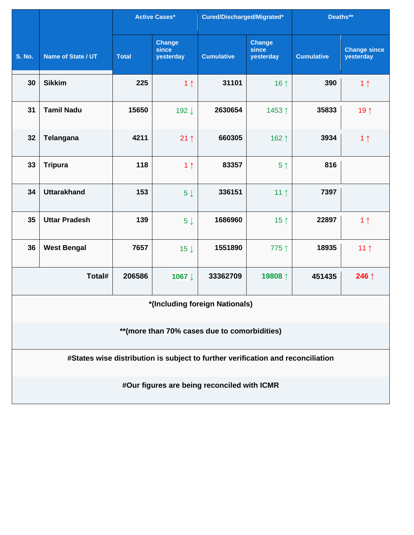|                                               |                                                                                 |              | <b>Active Cases*</b>                | Cured/Discharged/Migrated*                  |                                     | Deaths**          |                                  |  |  |  |
|-----------------------------------------------|---------------------------------------------------------------------------------|--------------|-------------------------------------|---------------------------------------------|-------------------------------------|-------------------|----------------------------------|--|--|--|
| <b>S. No.</b>                                 | Name of State / UT                                                              | <b>Total</b> | <b>Change</b><br>since<br>yesterday | <b>Cumulative</b>                           | <b>Change</b><br>since<br>yesterday | <b>Cumulative</b> | <b>Change since</b><br>yesterday |  |  |  |
| 30                                            | <b>Sikkim</b>                                                                   | 225          | 1 <sub>1</sub>                      | 31101                                       | 16 $\uparrow$                       | 390               | 1 <sub>1</sub>                   |  |  |  |
| 31                                            | <b>Tamil Nadu</b>                                                               | 15650        | 192↓                                | 2630654                                     | 1453↑                               | 35833             | 19 1                             |  |  |  |
| 32                                            | <b>Telangana</b>                                                                | 4211         | $21 \uparrow$                       | 660305                                      | 162 ↑                               | 3934              | 1 <sub>1</sub>                   |  |  |  |
| 33                                            | <b>Tripura</b>                                                                  | 118          | 1 <sub>1</sub>                      | 83357                                       | 5 <sup>†</sup>                      | 816               |                                  |  |  |  |
| 34                                            | <b>Uttarakhand</b>                                                              | 153          | 5 <sup>1</sup>                      | 336151                                      | 11 $\uparrow$                       | 7397              |                                  |  |  |  |
| 35                                            | <b>Uttar Pradesh</b>                                                            | 139          | 5 <sub>1</sub>                      | 1686960                                     | 15 $\uparrow$                       | 22897             | 1 <sub>1</sub>                   |  |  |  |
| 36                                            | <b>West Bengal</b>                                                              | 7657         | $15 \downarrow$                     | 1551890                                     | 775 ↑                               | 18935             | 11 <sub>1</sub>                  |  |  |  |
|                                               | Total#                                                                          | 206586       | 1067↓                               | 33362709                                    | 19808↑                              | 451435            | 246 ↑                            |  |  |  |
| *(Including foreign Nationals)                |                                                                                 |              |                                     |                                             |                                     |                   |                                  |  |  |  |
| ** (more than 70% cases due to comorbidities) |                                                                                 |              |                                     |                                             |                                     |                   |                                  |  |  |  |
|                                               | #States wise distribution is subject to further verification and reconciliation |              |                                     |                                             |                                     |                   |                                  |  |  |  |
|                                               |                                                                                 |              |                                     | #Our figures are being reconciled with ICMR |                                     |                   |                                  |  |  |  |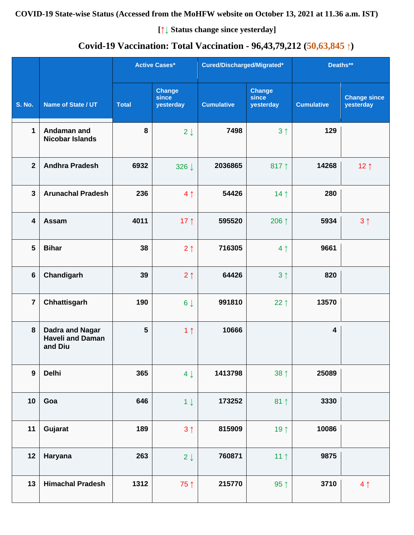## **COVID-19 State-wise Status (Accessed from the MoHFW website on October 13, 2021 at 11.36 a.m. IST)**

**[↑↓ Status change since yesterday]**

# **Covid-19 Vaccination: Total Vaccination - 96,43,79,212 (50,63,845 ↑)**

|                         |                                                              |              | <b>Active Cases*</b>                |                   | Cured/Discharged/Migrated*          |                         | Deaths**                         |  |
|-------------------------|--------------------------------------------------------------|--------------|-------------------------------------|-------------------|-------------------------------------|-------------------------|----------------------------------|--|
| <b>S. No.</b>           | Name of State / UT                                           | <b>Total</b> | <b>Change</b><br>since<br>yesterday | <b>Cumulative</b> | <b>Change</b><br>since<br>yesterday | <b>Cumulative</b>       | <b>Change since</b><br>yesterday |  |
| 1                       | Andaman and<br><b>Nicobar Islands</b>                        | 8            | $2 \downarrow$                      | 7498              | 3 <sub>1</sub>                      | 129                     |                                  |  |
| $\mathbf{2}$            | <b>Andhra Pradesh</b>                                        | 6932         | 326 ↓                               | 2036865           | 817 $\uparrow$                      | 14268                   | 12 $\uparrow$                    |  |
| $\overline{\mathbf{3}}$ | <b>Arunachal Pradesh</b>                                     | 236          | 4 <sub>1</sub>                      | 54426             | 14 <sub>1</sub>                     | 280                     |                                  |  |
| $\overline{\mathbf{4}}$ | Assam                                                        | 4011         | 17 $\uparrow$                       | 595520            | 206 ↑                               | 5934                    | 3 <sub>1</sub>                   |  |
| 5                       | <b>Bihar</b>                                                 | 38           | 2 <sub>1</sub>                      | 716305            | 4 <sub>1</sub>                      | 9661                    |                                  |  |
| $6\phantom{1}$          | Chandigarh                                                   | 39           | 2 <sub>1</sub>                      | 64426             | 3 <sub>1</sub>                      | 820                     |                                  |  |
| $\overline{7}$          | Chhattisgarh                                                 | 190          | $6 \downarrow$                      | 991810            | $22 \uparrow$                       | 13570                   |                                  |  |
| 8                       | <b>Dadra and Nagar</b><br><b>Haveli and Daman</b><br>and Diu | 5            | 1 <sub>1</sub>                      | 10666             |                                     | $\overline{\mathbf{4}}$ |                                  |  |
| $\mathbf{9}$            | <b>Delhi</b>                                                 | 365          | $4 \downarrow$                      | 1413798           | $38 \uparrow$                       | 25089                   |                                  |  |
| 10                      | Goa                                                          | 646          | $1 \downarrow$                      | 173252            | $81 \uparrow$                       | 3330                    |                                  |  |
| 11                      | Gujarat                                                      | 189          | 3 <sub>1</sub>                      | 815909            | 19 $\uparrow$                       | 10086                   |                                  |  |
| 12                      | Haryana                                                      | 263          | $2 \downarrow$                      | 760871            | 11 <sup>†</sup>                     | 9875                    |                                  |  |
| 13                      | <b>Himachal Pradesh</b>                                      | 1312         | 75↑                                 | 215770            | 95 $\uparrow$                       | 3710                    | 4 <sub>1</sub>                   |  |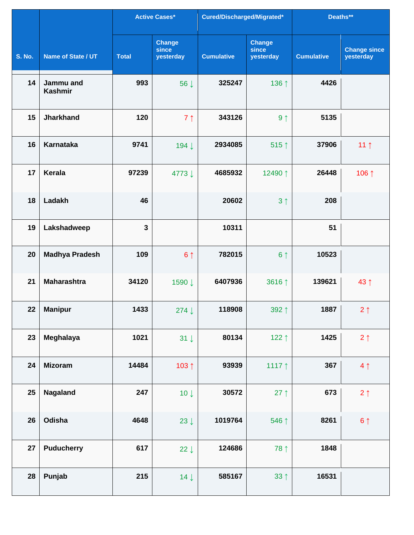|               |                             |              | <b>Active Cases*</b>                | Cured/Discharged/Migrated* |                                     | Deaths**          |                                  |
|---------------|-----------------------------|--------------|-------------------------------------|----------------------------|-------------------------------------|-------------------|----------------------------------|
| <b>S. No.</b> | Name of State / UT          | <b>Total</b> | <b>Change</b><br>since<br>yesterday | <b>Cumulative</b>          | <b>Change</b><br>since<br>yesterday | <b>Cumulative</b> | <b>Change since</b><br>yesterday |
| 14            | Jammu and<br><b>Kashmir</b> | 993          | 56 J                                | 325247                     | 136 ↑                               | 4426              |                                  |
| 15            | <b>Jharkhand</b>            | 120          | 7 <sub>1</sub>                      | 343126                     | 9 <sub>1</sub>                      | 5135              |                                  |
| 16            | <b>Karnataka</b>            | 9741         | 194↓                                | 2934085                    | 515↑                                | 37906             | 11 <sub>1</sub>                  |
| 17            | Kerala                      | 97239        | 4773↓                               | 4685932                    | 12490 ↑                             | 26448             | 106↑                             |
| 18            | Ladakh                      | 46           |                                     | 20602                      | 3 <sub>1</sub>                      | 208               |                                  |
| 19            | Lakshadweep                 | $\mathbf{3}$ |                                     | 10311                      |                                     | 51                |                                  |
| 20            | <b>Madhya Pradesh</b>       | 109          | 6 <sup>1</sup>                      | 782015                     | 6 <sup>†</sup>                      | 10523             |                                  |
| 21            | <b>Maharashtra</b>          | 34120        | 1590 ↓                              | 6407936                    | 3616 1                              | 139621            | 43↑                              |
| 22            | <b>Manipur</b>              | 1433         | 274 $\downarrow$                    | 118908                     | 392 1                               | 1887              | $2 \uparrow$                     |
| 23            | Meghalaya                   | 1021         | $31 \downarrow$                     | 80134                      | 122 $\uparrow$                      | 1425              | $2 \uparrow$                     |
| 24            | <b>Mizoram</b>              | 14484        | 103 1                               | 93939                      | 1117 $\uparrow$                     | 367               | 4 <sub>1</sub>                   |
| 25            | <b>Nagaland</b>             | 247          | $10 \downarrow$                     | 30572                      | 27 $\uparrow$                       | 673               | $2 \uparrow$                     |
| 26            | Odisha                      | 4648         | 23 $\downarrow$                     | 1019764                    | 546 ↑                               | 8261              | $6 \uparrow$                     |
| 27            | <b>Puducherry</b>           | 617          | 22 $\downarrow$                     | 124686                     | 78 1                                | 1848              |                                  |
| 28            | Punjab                      | 215          | $14 \downarrow$                     | 585167                     | $33 \uparrow$                       | 16531             |                                  |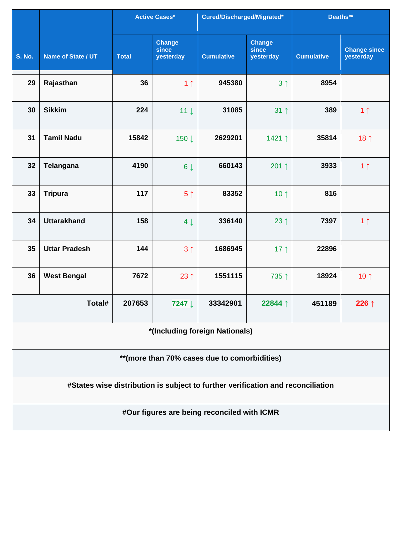|                                              |                                                                                 |              | <b>Active Cases*</b>         | Cured/Discharged/Migrated*                  |                                     | Deaths**          |                                  |  |  |  |
|----------------------------------------------|---------------------------------------------------------------------------------|--------------|------------------------------|---------------------------------------------|-------------------------------------|-------------------|----------------------------------|--|--|--|
| <b>S. No.</b>                                | Name of State / UT                                                              | <b>Total</b> | Change<br>since<br>yesterday | <b>Cumulative</b>                           | <b>Change</b><br>since<br>yesterday | <b>Cumulative</b> | <b>Change since</b><br>yesterday |  |  |  |
| 29                                           | Rajasthan                                                                       | 36           | 1 <sub>1</sub>               | 945380                                      | 3 <sub>1</sub>                      | 8954              |                                  |  |  |  |
| 30                                           | <b>Sikkim</b>                                                                   | 224          | $11 \downarrow$              | 31085                                       | $31 \uparrow$                       | 389               | 1 <sub>1</sub>                   |  |  |  |
| 31                                           | <b>Tamil Nadu</b>                                                               | 15842        | 150↓                         | 2629201                                     | 1421 ↑                              | 35814             | 18 $\uparrow$                    |  |  |  |
| 32                                           | <b>Telangana</b>                                                                | 4190         | $6 \downarrow$               | 660143                                      | 201 $\uparrow$                      | 3933              | 1 <sub>1</sub>                   |  |  |  |
| 33                                           | <b>Tripura</b>                                                                  | 117          | 5 <sup>†</sup>               | 83352                                       | 10 $\uparrow$                       | 816               |                                  |  |  |  |
| 34                                           | <b>Uttarakhand</b>                                                              | 158          | $4 \downarrow$               | 336140                                      | 23 $\uparrow$                       | 7397              | 1 <sub>1</sub>                   |  |  |  |
| 35                                           | <b>Uttar Pradesh</b>                                                            | 144          | 3 <sub>1</sub>               | 1686945                                     | 17 $\uparrow$                       | 22896             |                                  |  |  |  |
| 36                                           | <b>West Bengal</b>                                                              | 7672         | $23 \uparrow$                | 1551115                                     | 735↑                                | 18924             | 10 $\uparrow$                    |  |  |  |
|                                              | Total#                                                                          | 207653       | 7247 ↓                       | 33342901                                    | 22844 1                             | 451189            | 226 $\uparrow$                   |  |  |  |
|                                              | *(Including foreign Nationals)                                                  |              |                              |                                             |                                     |                   |                                  |  |  |  |
| **(more than 70% cases due to comorbidities) |                                                                                 |              |                              |                                             |                                     |                   |                                  |  |  |  |
|                                              | #States wise distribution is subject to further verification and reconciliation |              |                              |                                             |                                     |                   |                                  |  |  |  |
|                                              |                                                                                 |              |                              | #Our figures are being reconciled with ICMR |                                     |                   |                                  |  |  |  |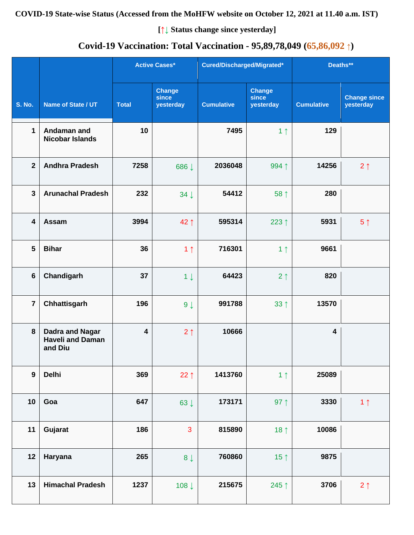## **COVID-19 State-wise Status (Accessed from the MoHFW website on October 12, 2021 at 11.40 a.m. IST)**

**[↑↓ Status change since yesterday]**

# **Covid-19 Vaccination: Total Vaccination - 95,89,78,049 (65,86,092 ↑)**

|                         |                                                              |                         | <b>Active Cases*</b>                | Cured/Discharged/Migrated* |                                     | Deaths**                |                                  |
|-------------------------|--------------------------------------------------------------|-------------------------|-------------------------------------|----------------------------|-------------------------------------|-------------------------|----------------------------------|
| <b>S. No.</b>           | Name of State / UT                                           | <b>Total</b>            | <b>Change</b><br>since<br>yesterday | <b>Cumulative</b>          | <b>Change</b><br>since<br>yesterday | <b>Cumulative</b>       | <b>Change since</b><br>yesterday |
| $\mathbf 1$             | Andaman and<br><b>Nicobar Islands</b>                        | 10                      |                                     | 7495                       | 1 <sub>1</sub>                      | 129                     |                                  |
| $\overline{2}$          | <b>Andhra Pradesh</b>                                        | 7258                    | 686↓                                | 2036048                    | 994 1                               | 14256                   | $2 \uparrow$                     |
| $\overline{3}$          | <b>Arunachal Pradesh</b>                                     | 232                     | $34 \downarrow$                     | 54412                      | 58 ↑                                | 280                     |                                  |
| $\overline{\mathbf{4}}$ | <b>Assam</b>                                                 | 3994                    | 42↑                                 | 595314                     | 223 $\uparrow$                      | 5931                    | 5 <sup>†</sup>                   |
| 5                       | <b>Bihar</b>                                                 | 36                      | 1 <sub>1</sub>                      | 716301                     | 1 <sub>1</sub>                      | 9661                    |                                  |
| $6\phantom{a}$          | Chandigarh                                                   | 37                      | $1 \downarrow$                      | 64423                      | 2 <sub>1</sub>                      | 820                     |                                  |
| $\overline{7}$          | Chhattisgarh                                                 | 196                     | $9 \downarrow$                      | 991788                     | $33 \uparrow$                       | 13570                   |                                  |
| 8                       | <b>Dadra and Nagar</b><br><b>Haveli and Daman</b><br>and Diu | $\overline{\mathbf{4}}$ | 2 <sub>1</sub>                      | 10666                      |                                     | $\overline{\mathbf{4}}$ |                                  |
| $\boldsymbol{9}$        | <b>Delhi</b>                                                 | 369                     | 22 $\uparrow$                       | 1413760                    | 1 <sub>1</sub>                      | 25089                   |                                  |
| 10                      | Goa                                                          | 647                     | 63 $\downarrow$                     | 173171                     | 97 $\uparrow$                       | 3330                    | 1 <sub>1</sub>                   |
| 11                      | Gujarat                                                      | 186                     | 3                                   | 815890                     | 18 $\uparrow$                       | 10086                   |                                  |
| 12                      | Haryana                                                      | 265                     | $8 \downarrow$                      | 760860                     | 15 <sup>†</sup>                     | 9875                    |                                  |
| 13                      | <b>Himachal Pradesh</b>                                      | 1237                    | 108↓                                | 215675                     | 245↑                                | 3706                    | $2 \uparrow$                     |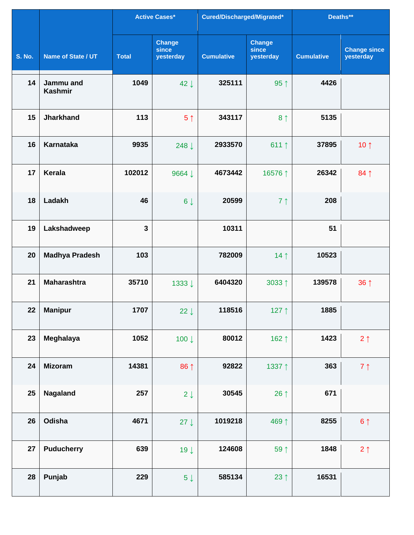|               |                             |              | <b>Active Cases*</b>                | Cured/Discharged/Migrated* |                                     | Deaths**          |                                  |
|---------------|-----------------------------|--------------|-------------------------------------|----------------------------|-------------------------------------|-------------------|----------------------------------|
| <b>S. No.</b> | Name of State / UT          | <b>Total</b> | <b>Change</b><br>since<br>yesterday | <b>Cumulative</b>          | <b>Change</b><br>since<br>yesterday | <b>Cumulative</b> | <b>Change since</b><br>yesterday |
| 14            | Jammu and<br><b>Kashmir</b> | 1049         | $42 \downarrow$                     | 325111                     | $95 \uparrow$                       | 4426              |                                  |
| 15            | <b>Jharkhand</b>            | 113          | 5 <sup>†</sup>                      | 343117                     | 8 <sup>†</sup>                      | 5135              |                                  |
| 16            | <b>Karnataka</b>            | 9935         | 248 ↓                               | 2933570                    | 611 $\uparrow$                      | 37895             | 10 $\uparrow$                    |
| 17            | Kerala                      | 102012       | 9664 ↓                              | 4673442                    | 16576 ↑                             | 26342             | $84 \uparrow$                    |
| 18            | Ladakh                      | 46           | $6 \downarrow$                      | 20599                      | 7 <sub>1</sub>                      | 208               |                                  |
| 19            | Lakshadweep                 | $\mathbf{3}$ |                                     | 10311                      |                                     | 51                |                                  |
| 20            | <b>Madhya Pradesh</b>       | 103          |                                     | 782009                     | 14 $\uparrow$                       | 10523             |                                  |
| 21            | <b>Maharashtra</b>          | 35710        | 1333↓                               | 6404320                    | 3033↑                               | 139578            | 36 <sup>†</sup>                  |
| 22            | <b>Manipur</b>              | 1707         | 22 $\downarrow$                     | 118516                     | 127 $\uparrow$                      | 1885              |                                  |
| 23            | Meghalaya                   | 1052         | 100 $\downarrow$                    | 80012                      | 162 ↑                               | 1423              | $2 \uparrow$                     |
| 24            | <b>Mizoram</b>              | 14381        | 86 ↑                                | 92822                      | 1337 1                              | 363               | $7 \uparrow$                     |
| 25            | Nagaland                    | 257          | $2 \downarrow$                      | 30545                      | 26 $\uparrow$                       | 671               |                                  |
| 26            | Odisha                      | 4671         | $27 \downarrow$                     | 1019218                    | 469↑                                | 8255              | $6 \uparrow$                     |
| 27            | <b>Puducherry</b>           | 639          | $19 \downarrow$                     | 124608                     | 59 1                                | 1848              | $2 \uparrow$                     |
| 28            | Punjab                      | 229          | $5\downarrow$                       | 585134                     | 23 $\uparrow$                       | 16531             |                                  |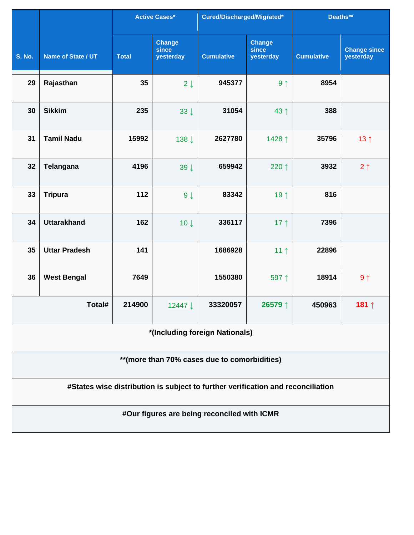|                                                                                 |                                |              | <b>Active Cases*</b>                | Cured/Discharged/Migrated*                  |                                     | Deaths**          |                                  |  |  |  |
|---------------------------------------------------------------------------------|--------------------------------|--------------|-------------------------------------|---------------------------------------------|-------------------------------------|-------------------|----------------------------------|--|--|--|
| <b>S. No.</b>                                                                   | Name of State / UT             | <b>Total</b> | <b>Change</b><br>since<br>yesterday | <b>Cumulative</b>                           | <b>Change</b><br>since<br>yesterday | <b>Cumulative</b> | <b>Change since</b><br>yesterday |  |  |  |
| 29                                                                              | Rajasthan                      | 35           | $2 \downarrow$                      | 945377                                      | 9 <sub>1</sub>                      | 8954              |                                  |  |  |  |
| 30                                                                              | <b>Sikkim</b>                  | 235          | $33 \downarrow$                     | 31054                                       | 43↑                                 | 388               |                                  |  |  |  |
| 31                                                                              | <b>Tamil Nadu</b>              | 15992        | 138↓                                | 2627780                                     | 1428 ↑                              | 35796             | 13 <sub>1</sub>                  |  |  |  |
| 32                                                                              | Telangana                      | 4196         | $39 \downarrow$                     | 659942                                      | 220 ↑                               | 3932              | $2 \uparrow$                     |  |  |  |
| 33                                                                              | <b>Tripura</b>                 | 112          | 9 <sub>1</sub>                      | 83342                                       | 19 1                                | 816               |                                  |  |  |  |
| 34                                                                              | <b>Uttarakhand</b>             | 162          | $10 \downarrow$                     | 336117                                      | 17 $\uparrow$                       | 7396              |                                  |  |  |  |
| 35                                                                              | <b>Uttar Pradesh</b>           | 141          |                                     | 1686928                                     | 11 <sub>1</sub>                     | 22896             |                                  |  |  |  |
| 36                                                                              | <b>West Bengal</b>             | 7649         |                                     | 1550380                                     | 597↑                                | 18914             | 9 <sub>1</sub>                   |  |  |  |
|                                                                                 | Total#                         | 214900       | 12447 ↓                             | 33320057                                    | 26579↑                              | 450963            | 181↑                             |  |  |  |
|                                                                                 | *(Including foreign Nationals) |              |                                     |                                             |                                     |                   |                                  |  |  |  |
| ** (more than 70% cases due to comorbidities)                                   |                                |              |                                     |                                             |                                     |                   |                                  |  |  |  |
| #States wise distribution is subject to further verification and reconciliation |                                |              |                                     |                                             |                                     |                   |                                  |  |  |  |
|                                                                                 |                                |              |                                     | #Our figures are being reconciled with ICMR |                                     |                   |                                  |  |  |  |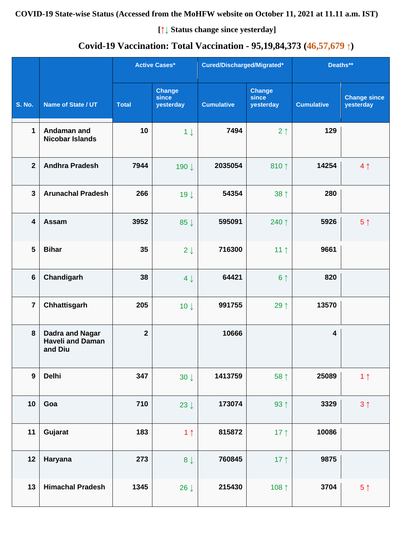## **COVID-19 State-wise Status (Accessed from the MoHFW website on October 11, 2021 at 11.11 a.m. IST)**

**[↑↓ Status change since yesterday]**

# **Covid-19 Vaccination: Total Vaccination - 95,19,84,373 (46,57,679 ↑)**

|                         |                                                              |                | <b>Active Cases*</b>                | Cured/Discharged/Migrated* |                                     | Deaths**          |                                  |
|-------------------------|--------------------------------------------------------------|----------------|-------------------------------------|----------------------------|-------------------------------------|-------------------|----------------------------------|
| <b>S. No.</b>           | Name of State / UT                                           | <b>Total</b>   | <b>Change</b><br>since<br>yesterday | <b>Cumulative</b>          | <b>Change</b><br>since<br>yesterday | <b>Cumulative</b> | <b>Change since</b><br>yesterday |
| 1                       | Andaman and<br><b>Nicobar Islands</b>                        | 10             | $1 \downarrow$                      | 7494                       | 2 <sub>1</sub>                      | 129               |                                  |
| $\overline{2}$          | <b>Andhra Pradesh</b>                                        | 7944           | 190↓                                | 2035054                    | 810 $\uparrow$                      | 14254             | 4 <sub>1</sub>                   |
| $\mathbf{3}$            | <b>Arunachal Pradesh</b>                                     | 266            | 19 <sub>1</sub>                     | 54354                      | 38 <sup>†</sup>                     | 280               |                                  |
| $\overline{\mathbf{4}}$ | Assam                                                        | 3952           | 85 $\downarrow$                     | 595091                     | 240 ↑                               | 5926              | 5 <sup>†</sup>                   |
| 5                       | <b>Bihar</b>                                                 | 35             | $2 \downarrow$                      | 716300                     | 11 <sup>†</sup>                     | 9661              |                                  |
| $6\phantom{1}$          | Chandigarh                                                   | 38             | $4 \downarrow$                      | 64421                      | 6 <sup>1</sup>                      | 820               |                                  |
| $\overline{7}$          | Chhattisgarh                                                 | 205            | 10 <sup>1</sup>                     | 991755                     | 29 1                                | 13570             |                                  |
| 8                       | <b>Dadra and Nagar</b><br><b>Haveli and Daman</b><br>and Diu | $\overline{2}$ |                                     | 10666                      |                                     | 4                 |                                  |
| $\boldsymbol{9}$        | <b>Delhi</b>                                                 | 347            | $30 \downarrow$                     | 1413759                    | 58 ↑                                | 25089             | 1 <sub>1</sub>                   |
| 10                      | Goa                                                          | 710            | 23 $\downarrow$                     | 173074                     | 93 $\uparrow$                       | 3329              | $3 \uparrow$                     |
| 11                      | Gujarat                                                      | 183            | 1 <sub>1</sub>                      | 815872                     | 17 $\uparrow$                       | 10086             |                                  |
| 12                      | Haryana                                                      | 273            | $8 \downarrow$                      | 760845                     | 17 <sup>†</sup>                     | 9875              |                                  |
| 13                      | <b>Himachal Pradesh</b>                                      | 1345           | 26 $\downarrow$                     | 215430                     | 108 $\uparrow$                      | 3704              | 5 <sup>†</sup>                   |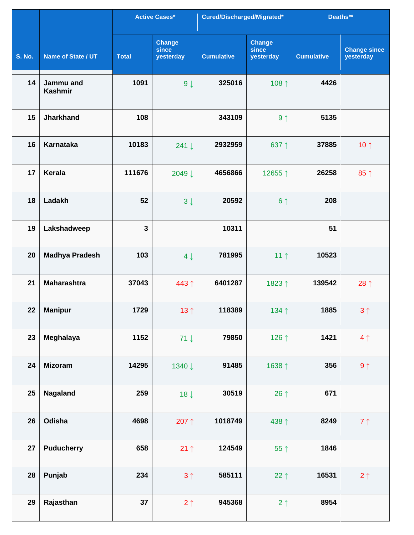|               |                             |              | <b>Active Cases*</b>                | Cured/Discharged/Migrated* |                                     | Deaths**          |                                  |
|---------------|-----------------------------|--------------|-------------------------------------|----------------------------|-------------------------------------|-------------------|----------------------------------|
| <b>S. No.</b> | Name of State / UT          | <b>Total</b> | <b>Change</b><br>since<br>yesterday | <b>Cumulative</b>          | <b>Change</b><br>since<br>yesterday | <b>Cumulative</b> | <b>Change since</b><br>yesterday |
| 14            | Jammu and<br><b>Kashmir</b> | 1091         | $9 \downarrow$                      | 325016                     | 108 ↑                               | 4426              |                                  |
| 15            | <b>Jharkhand</b>            | 108          |                                     | 343109                     | 9 <sub>1</sub>                      | 5135              |                                  |
| 16            | <b>Karnataka</b>            | 10183        | 241 ↓                               | 2932959                    | 637↑                                | 37885             | 10 $\uparrow$                    |
| 17            | <b>Kerala</b>               | 111676       | 2049 ↓                              | 4656866                    | 12655↑                              | 26258             | 85 1                             |
| 18            | Ladakh                      | 52           | $3 \downarrow$                      | 20592                      | 6 <sup>1</sup>                      | 208               |                                  |
| 19            | Lakshadweep                 | $\mathbf{3}$ |                                     | 10311                      |                                     | 51                |                                  |
| 20            | <b>Madhya Pradesh</b>       | 103          | $4 \downarrow$                      | 781995                     | 11 <sub>1</sub>                     | 10523             |                                  |
| 21            | <b>Maharashtra</b>          | 37043        | 443↑                                | 6401287                    | 1823↑                               | 139542            | 28 $\uparrow$                    |
| 22            | <b>Manipur</b>              | 1729         | 13 $\uparrow$                       | 118389                     | 134↑                                | 1885              | $3 \uparrow$                     |
| 23            | Meghalaya                   | 1152         | $71 \downarrow$                     | 79850                      | 126 $\uparrow$                      | 1421              | 4 <sub>1</sub>                   |
| 24            | <b>Mizoram</b>              | 14295        | 1340 ↓                              | 91485                      | 1638 1                              | 356               | $9 \uparrow$                     |
| 25            | <b>Nagaland</b>             | 259          | $18 \downarrow$                     | 30519                      | 26 $\uparrow$                       | 671               |                                  |
| 26            | Odisha                      | 4698         | 207↑                                | 1018749                    | 438 1                               | 8249              | $7 \uparrow$                     |
| 27            | <b>Puducherry</b>           | 658          | $21 \uparrow$                       | 124549                     | 55↑                                 | 1846              |                                  |
| 28            | Punjab                      | 234          | 3 <sub>1</sub>                      | 585111                     | $22 \uparrow$                       | 16531             | $2 \uparrow$                     |
| 29            | Rajasthan                   | 37           | $2 \uparrow$                        | 945368                     | $2 \uparrow$                        | 8954              |                                  |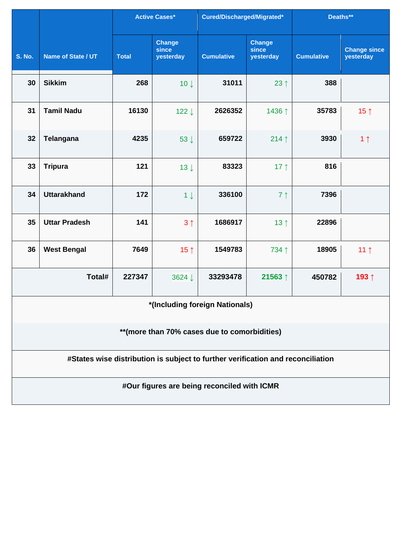|                                                                                 |                      |              | <b>Active Cases*</b>                | Cured/Discharged/Migrated*                  |                                     | Deaths**          |                                  |  |  |  |
|---------------------------------------------------------------------------------|----------------------|--------------|-------------------------------------|---------------------------------------------|-------------------------------------|-------------------|----------------------------------|--|--|--|
| <b>S. No.</b>                                                                   | Name of State / UT   | <b>Total</b> | <b>Change</b><br>since<br>yesterday | <b>Cumulative</b>                           | <b>Change</b><br>since<br>yesterday | <b>Cumulative</b> | <b>Change since</b><br>yesterday |  |  |  |
| 30                                                                              | <b>Sikkim</b>        | 268          | $10 \downarrow$                     | 31011                                       | 23 $\uparrow$                       | 388               |                                  |  |  |  |
| 31                                                                              | <b>Tamil Nadu</b>    | 16130        | 122↓                                | 2626352                                     | 1436↑                               | 35783             | 15 $\uparrow$                    |  |  |  |
| 32                                                                              | Telangana            | 4235         | 53 ↓                                | 659722                                      | 214 $\uparrow$                      | 3930              | 1 <sub>1</sub>                   |  |  |  |
| 33                                                                              | <b>Tripura</b>       | 121          | $13 \downarrow$                     | 83323                                       | 17 $\uparrow$                       | 816               |                                  |  |  |  |
| 34                                                                              | <b>Uttarakhand</b>   | 172          | $1 \downarrow$                      | 336100                                      | 7 <sup>1</sup>                      | 7396              |                                  |  |  |  |
| 35                                                                              | <b>Uttar Pradesh</b> | 141          | 3 <sub>1</sub>                      | 1686917                                     | 13 <sup>†</sup>                     | 22896             |                                  |  |  |  |
| 36                                                                              | <b>West Bengal</b>   | 7649         | 15 $\uparrow$                       | 1549783                                     | 734 1                               | 18905             | 11 <sub>1</sub>                  |  |  |  |
|                                                                                 | Total#               | 227347       | 3624 ↓                              | 33293478                                    | 21563↑                              | 450782            | 193↑                             |  |  |  |
| *(Including foreign Nationals)                                                  |                      |              |                                     |                                             |                                     |                   |                                  |  |  |  |
| ** (more than 70% cases due to comorbidities)                                   |                      |              |                                     |                                             |                                     |                   |                                  |  |  |  |
| #States wise distribution is subject to further verification and reconciliation |                      |              |                                     |                                             |                                     |                   |                                  |  |  |  |
|                                                                                 |                      |              |                                     | #Our figures are being reconciled with ICMR |                                     |                   |                                  |  |  |  |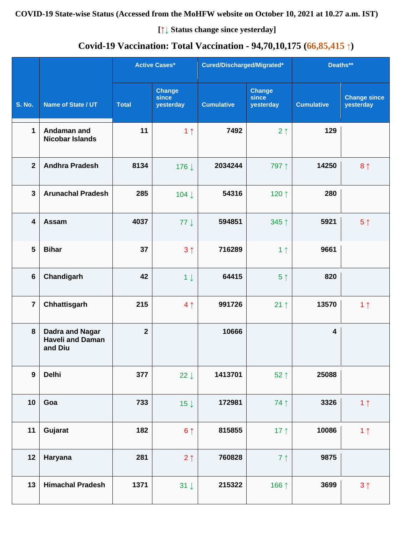## **COVID-19 State-wise Status (Accessed from the MoHFW website on October 10, 2021 at 10.27 a.m. IST)**

**[↑↓ Status change since yesterday]**

# **Covid-19 Vaccination: Total Vaccination - 94,70,10,175 (66,85,415 ↑)**

|                         |                                                              |              | <b>Active Cases*</b>                | Cured/Discharged/Migrated* |                                     | Deaths**                |                                  |
|-------------------------|--------------------------------------------------------------|--------------|-------------------------------------|----------------------------|-------------------------------------|-------------------------|----------------------------------|
| <b>S. No.</b>           | Name of State / UT                                           | <b>Total</b> | <b>Change</b><br>since<br>yesterday | <b>Cumulative</b>          | <b>Change</b><br>since<br>yesterday | <b>Cumulative</b>       | <b>Change since</b><br>yesterday |
| $\mathbf 1$             | Andaman and<br><b>Nicobar Islands</b>                        | 11           | 1 <sub>1</sub>                      | 7492                       | 2 <sub>1</sub>                      | 129                     |                                  |
| $\overline{2}$          | <b>Andhra Pradesh</b>                                        | 8134         | 176↓                                | 2034244                    | 797 1                               | 14250                   | 8 <sup>†</sup>                   |
| $\mathbf{3}$            | <b>Arunachal Pradesh</b>                                     | 285          | 104↓                                | 54316                      | 120 1                               | 280                     |                                  |
| $\overline{\mathbf{4}}$ | Assam                                                        | 4037         | $77 \downarrow$                     | 594851                     | 345 ↑                               | 5921                    | 5 <sup>†</sup>                   |
| 5                       | <b>Bihar</b>                                                 | 37           | 3 <sub>1</sub>                      | 716289                     | 1 <sub>1</sub>                      | 9661                    |                                  |
| $6\phantom{1}$          | Chandigarh                                                   | 42           | $1 \downarrow$                      | 64415                      | 5 <sup>†</sup>                      | 820                     |                                  |
| $\overline{7}$          | Chhattisgarh                                                 | 215          | 4 <sub>1</sub>                      | 991726                     | $21 \uparrow$                       | 13570                   | 1 <sub>1</sub>                   |
| 8                       | <b>Dadra and Nagar</b><br><b>Haveli and Daman</b><br>and Diu | $\mathbf{2}$ |                                     | 10666                      |                                     | $\overline{\mathbf{4}}$ |                                  |
| $\boldsymbol{9}$        | <b>Delhi</b>                                                 | 377          | 22 $\downarrow$                     | 1413701                    | $52 \uparrow$                       | 25088                   |                                  |
| 10                      | Goa                                                          | 733          | 15 $\downarrow$                     | 172981                     | 74 1                                | 3326                    | 1 <sub>1</sub>                   |
| 11                      | Gujarat                                                      | 182          | $6 \uparrow$                        | 815855                     | 17 $\uparrow$                       | 10086                   | 1 <sub>1</sub>                   |
| 12                      | Haryana                                                      | 281          | $2 \uparrow$                        | 760828                     | 7 <sup>1</sup>                      | 9875                    |                                  |
| 13                      | <b>Himachal Pradesh</b>                                      | 1371         | $31 \downarrow$                     | 215322                     | 166 1                               | 3699                    | $3 \uparrow$                     |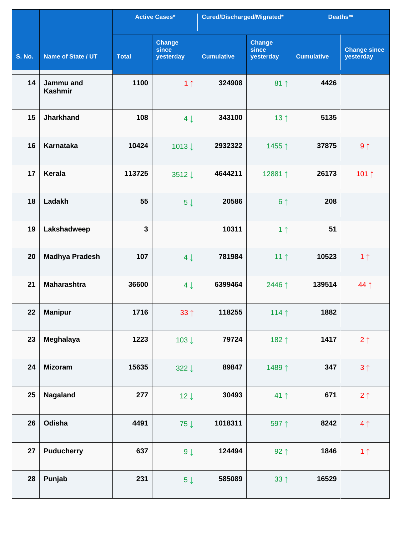|                 |                             |              | <b>Active Cases*</b>                | Cured/Discharged/Migrated* |                                     | Deaths**          |                                  |
|-----------------|-----------------------------|--------------|-------------------------------------|----------------------------|-------------------------------------|-------------------|----------------------------------|
| <b>S. No.</b>   | Name of State / UT          | <b>Total</b> | <b>Change</b><br>since<br>yesterday | <b>Cumulative</b>          | <b>Change</b><br>since<br>yesterday | <b>Cumulative</b> | <b>Change since</b><br>yesterday |
| 14              | Jammu and<br><b>Kashmir</b> | 1100         | 1 <sub>1</sub>                      | 324908                     | $81 \uparrow$                       | 4426              |                                  |
| 15              | <b>Jharkhand</b>            | 108          | $4 \downarrow$                      | 343100                     | 13 $\uparrow$                       | 5135              |                                  |
| 16              | <b>Karnataka</b>            | 10424        | 1013↓                               | 2932322                    | 1455↑                               | 37875             | $9 \uparrow$                     |
| 17              | <b>Kerala</b>               | 113725       | 3512↓                               | 4644211                    | 12881↑                              | 26173             | 101↑                             |
| 18              | Ladakh                      | 55           | 5 <sup>1</sup>                      | 20586                      | 6 <sup>1</sup>                      | 208               |                                  |
| 19              | Lakshadweep                 | $\mathbf{3}$ |                                     | 10311                      | 1 <sub>1</sub>                      | 51                |                                  |
| 20              | <b>Madhya Pradesh</b>       | 107          | $4 \downarrow$                      | 781984                     | 11 <sup>†</sup>                     | 10523             | 1 <sub>1</sub>                   |
| 21              | <b>Maharashtra</b>          | 36600        | $4 \downarrow$                      | 6399464                    | 2446↑                               | 139514            | 44↑                              |
| 22 <sub>2</sub> | <b>Manipur</b>              | 1716         | $33 \uparrow$                       | 118255                     | 114 $\uparrow$                      | 1882              |                                  |
| 23              | Meghalaya                   | 1223         | 103↓                                | 79724                      | 182 1                               | 1417              | $2 \uparrow$                     |
| 24              | <b>Mizoram</b>              | 15635        | 322 $\downarrow$                    | 89847                      | 1489↑                               | 347               | $3 \uparrow$                     |
| 25              | <b>Nagaland</b>             | 277          | $12 \downarrow$                     | 30493                      | 41 ↑                                | 671               | 2 <sub>1</sub>                   |
| 26              | Odisha                      | 4491         | 75 $\downarrow$                     | 1018311                    | 597 1                               | 8242              | 4 <sub>1</sub>                   |
| 27              | <b>Puducherry</b>           | 637          | $9 \downarrow$                      | 124494                     | $92 \uparrow$                       | 1846              | 1 <sub>1</sub>                   |
| 28              | Punjab                      | 231          | $5 \downarrow$                      | 585089                     | $33 \uparrow$                       | 16529             |                                  |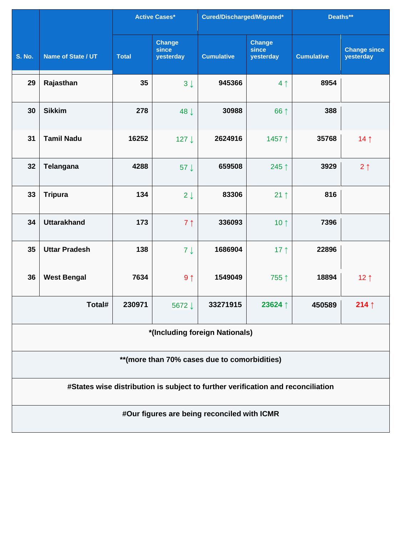|                                                                                 |                                |              | <b>Active Cases*</b>                | Cured/Discharged/Migrated*                  |                                     | Deaths**          |                                  |  |  |  |
|---------------------------------------------------------------------------------|--------------------------------|--------------|-------------------------------------|---------------------------------------------|-------------------------------------|-------------------|----------------------------------|--|--|--|
| <b>S. No.</b>                                                                   | Name of State / UT             | <b>Total</b> | <b>Change</b><br>since<br>yesterday | <b>Cumulative</b>                           | <b>Change</b><br>since<br>yesterday | <b>Cumulative</b> | <b>Change since</b><br>yesterday |  |  |  |
| 29                                                                              | Rajasthan                      | 35           | $3 \downarrow$                      | 945366                                      | 4 <sub>1</sub>                      | 8954              |                                  |  |  |  |
| 30                                                                              | <b>Sikkim</b>                  | 278          | 48 J                                | 30988                                       | 66 ↑                                | 388               |                                  |  |  |  |
| 31                                                                              | <b>Tamil Nadu</b>              | 16252        | 127↓                                | 2624916                                     | 1457 ↑                              | 35768             | 14 $\uparrow$                    |  |  |  |
| 32                                                                              | Telangana                      | 4288         | 57 $\downarrow$                     | 659508                                      | 245 ↑                               | 3929              | $2 \uparrow$                     |  |  |  |
| 33                                                                              | <b>Tripura</b>                 | 134          | $2 \downarrow$                      | 83306                                       | $21 \uparrow$                       | 816               |                                  |  |  |  |
| 34                                                                              | <b>Uttarakhand</b>             | 173          | 7 <sub>1</sub>                      | 336093                                      | 10 $\uparrow$                       | 7396              |                                  |  |  |  |
| 35                                                                              | <b>Uttar Pradesh</b>           | 138          | $7 \downarrow$                      | 1686904                                     | 17 $\uparrow$                       | 22896             |                                  |  |  |  |
| 36                                                                              | <b>West Bengal</b>             | 7634         | 9 <sub>1</sub>                      | 1549049                                     | 755↑                                | 18894             | 12 <sub>1</sub>                  |  |  |  |
|                                                                                 | Total#                         | 230971       | 5672↓                               | 33271915                                    | 23624 ↑                             | 450589            | 214 $\uparrow$                   |  |  |  |
|                                                                                 | *(Including foreign Nationals) |              |                                     |                                             |                                     |                   |                                  |  |  |  |
| ** (more than 70% cases due to comorbidities)                                   |                                |              |                                     |                                             |                                     |                   |                                  |  |  |  |
| #States wise distribution is subject to further verification and reconciliation |                                |              |                                     |                                             |                                     |                   |                                  |  |  |  |
|                                                                                 |                                |              |                                     | #Our figures are being reconciled with ICMR |                                     |                   |                                  |  |  |  |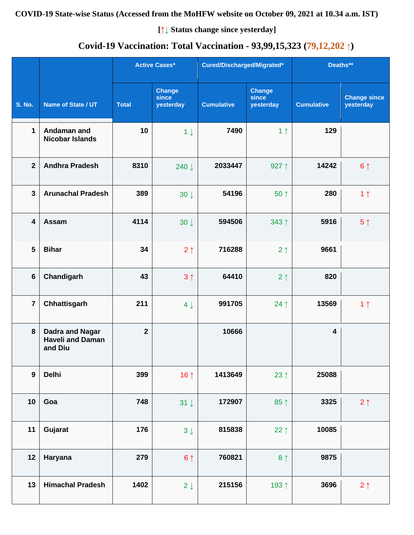## **COVID-19 State-wise Status (Accessed from the MoHFW website on October 09, 2021 at 10.34 a.m. IST)**

**[↑↓ Status change since yesterday]**

# **Covid-19 Vaccination: Total Vaccination - 93,99,15,323 (79,12,202 ↑)**

|                         |                                                              |                | <b>Active Cases*</b>                | Cured/Discharged/Migrated* |                                     | Deaths**                |                                  |
|-------------------------|--------------------------------------------------------------|----------------|-------------------------------------|----------------------------|-------------------------------------|-------------------------|----------------------------------|
| <b>S. No.</b>           | Name of State / UT                                           | <b>Total</b>   | <b>Change</b><br>since<br>yesterday | <b>Cumulative</b>          | <b>Change</b><br>since<br>yesterday | <b>Cumulative</b>       | <b>Change since</b><br>yesterday |
| $\mathbf{1}$            | Andaman and<br><b>Nicobar Islands</b>                        | 10             | $1 \downarrow$                      | 7490                       | 1 <sub>1</sub>                      | 129                     |                                  |
| $\overline{2}$          | <b>Andhra Pradesh</b>                                        | 8310           | 240 ↓                               | 2033447                    | 927 $\uparrow$                      | 14242                   | 6 <sup>1</sup>                   |
| $\mathbf{3}$            | <b>Arunachal Pradesh</b>                                     | 389            | $30 \downarrow$                     | 54196                      | $50 \uparrow$                       | 280                     | 1 <sub>1</sub>                   |
| $\overline{\mathbf{4}}$ | Assam                                                        | 4114           | $30 \downarrow$                     | 594506                     | $343 \uparrow$                      | 5916                    | 5 <sup>†</sup>                   |
| 5                       | <b>Bihar</b>                                                 | 34             | $2 \uparrow$                        | 716288                     | 2 <sub>1</sub>                      | 9661                    |                                  |
| $6\phantom{1}$          | Chandigarh                                                   | 43             | 3 <sub>1</sub>                      | 64410                      | $2 \uparrow$                        | 820                     |                                  |
| $\overline{7}$          | Chhattisgarh                                                 | 211            | $4 \downarrow$                      | 991705                     | 24 $\uparrow$                       | 13569                   | 1 <sub>1</sub>                   |
| 8                       | <b>Dadra and Nagar</b><br><b>Haveli and Daman</b><br>and Diu | $\overline{2}$ |                                     | 10666                      |                                     | $\overline{\mathbf{4}}$ |                                  |
| $\boldsymbol{9}$        | <b>Delhi</b>                                                 | 399            | 16 $\uparrow$                       | 1413649                    | 23 $\uparrow$                       | 25088                   |                                  |
| 10                      | Goa                                                          | 748            | $31 \downarrow$                     | 172907                     | $85$ ↑                              | 3325                    | $2 \uparrow$                     |
| 11                      | Gujarat                                                      | 176            | $3\downarrow$                       | 815838                     | 22 $\uparrow$                       | 10085                   |                                  |
| 12                      | Haryana                                                      | 279            | $6 \uparrow$                        | 760821                     | 8 <sup>†</sup>                      | 9875                    |                                  |
| 13                      | <b>Himachal Pradesh</b>                                      | 1402           | $2 \downarrow$                      | 215156                     | 193 1                               | 3696                    | $2 \uparrow$                     |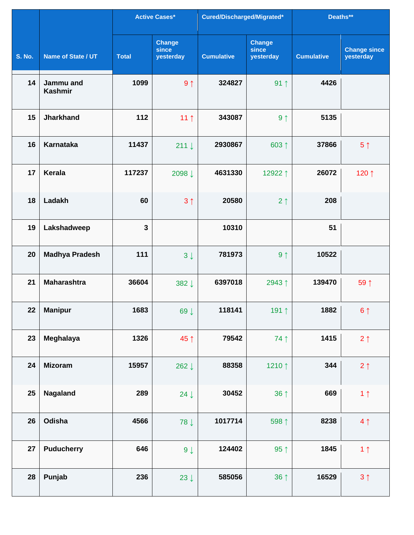|               |                             |              | <b>Active Cases*</b>                | Cured/Discharged/Migrated* |                                     | Deaths**          |                                  |
|---------------|-----------------------------|--------------|-------------------------------------|----------------------------|-------------------------------------|-------------------|----------------------------------|
| <b>S. No.</b> | Name of State / UT          | <b>Total</b> | <b>Change</b><br>since<br>yesterday | <b>Cumulative</b>          | <b>Change</b><br>since<br>yesterday | <b>Cumulative</b> | <b>Change since</b><br>yesterday |
| 14            | Jammu and<br><b>Kashmir</b> | 1099         | 9 <sub>1</sub>                      | 324827                     | $91 \uparrow$                       | 4426              |                                  |
| 15            | <b>Jharkhand</b>            | 112          | 11 $\uparrow$                       | 343087                     | 9 <sub>1</sub>                      | 5135              |                                  |
| 16            | <b>Karnataka</b>            | 11437        | $211 \downarrow$                    | 2930867                    | 603↑                                | 37866             | 5 <sup>†</sup>                   |
| 17            | Kerala                      | 117237       | 2098↓                               | 4631330                    | 12922↑                              | 26072             | 120 ↑                            |
| 18            | Ladakh                      | 60           | 3 <sub>1</sub>                      | 20580                      | 2 <sub>1</sub>                      | 208               |                                  |
| 19            | Lakshadweep                 | $\mathbf{3}$ |                                     | 10310                      |                                     | 51                |                                  |
| 20            | <b>Madhya Pradesh</b>       | 111          | $3 \downarrow$                      | 781973                     | 9 <sub>1</sub>                      | 10522             |                                  |
| 21            | <b>Maharashtra</b>          | 36604        | 382↓                                | 6397018                    | 2943↑                               | 139470            | 59 1                             |
| 22            | <b>Manipur</b>              | 1683         | 69↓                                 | 118141                     | 191↑                                | 1882              | $6 \uparrow$                     |
| 23            | Meghalaya                   | 1326         | 45 ↑                                | 79542                      | 74 1                                | 1415              | $2 \uparrow$                     |
| 24            | <b>Mizoram</b>              | 15957        | 262 $\downarrow$                    | 88358                      | 1210↑                               | 344               | $2 \uparrow$                     |
| 25            | Nagaland                    | 289          | 24 $\downarrow$                     | 30452                      | $36 \uparrow$                       | 669               | 1 <sub>1</sub>                   |
| 26            | Odisha                      | 4566         | 78 ↓                                | 1017714                    | 598 1                               | 8238              | 4 <sub>1</sub>                   |
| 27            | <b>Puducherry</b>           | 646          | $9 \downarrow$                      | 124402                     | 95 $\uparrow$                       | 1845              | 1 <sub>1</sub>                   |
| 28            | Punjab                      | 236          | 23 $\downarrow$                     | 585056                     | 36 ↑                                | 16529             | $3 \uparrow$                     |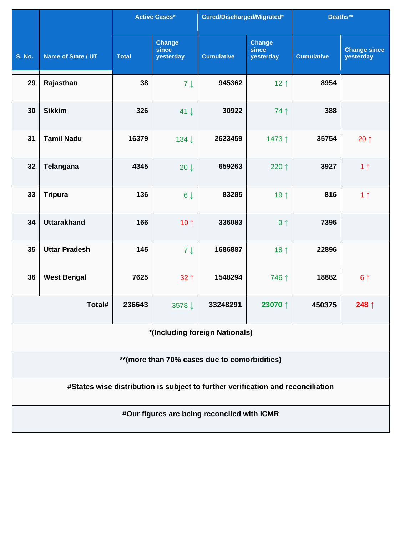|                                                                                 |                                |              | <b>Active Cases*</b>                | Cured/Discharged/Migrated*                  |                                     | Deaths**          |                                  |  |  |  |
|---------------------------------------------------------------------------------|--------------------------------|--------------|-------------------------------------|---------------------------------------------|-------------------------------------|-------------------|----------------------------------|--|--|--|
| <b>S. No.</b>                                                                   | Name of State / UT             | <b>Total</b> | <b>Change</b><br>since<br>yesterday | <b>Cumulative</b>                           | <b>Change</b><br>since<br>yesterday | <b>Cumulative</b> | <b>Change since</b><br>yesterday |  |  |  |
| 29                                                                              | Rajasthan                      | 38           | $7 \downarrow$                      | 945362                                      | 12 $\uparrow$                       | 8954              |                                  |  |  |  |
| 30                                                                              | <b>Sikkim</b>                  | 326          | 41 $\downarrow$                     | 30922                                       | 74 1                                | 388               |                                  |  |  |  |
| 31                                                                              | <b>Tamil Nadu</b>              | 16379        | 134↓                                | 2623459                                     | 1473↑                               | 35754             | $20 \uparrow$                    |  |  |  |
| 32                                                                              | Telangana                      | 4345         | $20 \downarrow$                     | 659263                                      | 220 ↑                               | 3927              | 1 <sub>1</sub>                   |  |  |  |
| 33                                                                              | <b>Tripura</b>                 | 136          | $6 \downarrow$                      | 83285                                       | 19 1                                | 816               | 1 <sub>1</sub>                   |  |  |  |
| 34                                                                              | <b>Uttarakhand</b>             | 166          | 10 $\uparrow$                       | 336083                                      | 9 <sub>1</sub>                      | 7396              |                                  |  |  |  |
| 35                                                                              | <b>Uttar Pradesh</b>           | 145          | $7 \downarrow$                      | 1686887                                     | 18 $\uparrow$                       | 22896             |                                  |  |  |  |
| 36                                                                              | <b>West Bengal</b>             | 7625         | $32 \uparrow$                       | 1548294                                     | 746 ↑                               | 18882             | 6 <sup>1</sup>                   |  |  |  |
|                                                                                 | Total#                         | 236643       | 3578↓                               | 33248291                                    | 23070 ↑                             | 450375            | 248 $\uparrow$                   |  |  |  |
|                                                                                 | *(Including foreign Nationals) |              |                                     |                                             |                                     |                   |                                  |  |  |  |
| ** (more than 70% cases due to comorbidities)                                   |                                |              |                                     |                                             |                                     |                   |                                  |  |  |  |
| #States wise distribution is subject to further verification and reconciliation |                                |              |                                     |                                             |                                     |                   |                                  |  |  |  |
|                                                                                 |                                |              |                                     | #Our figures are being reconciled with ICMR |                                     |                   |                                  |  |  |  |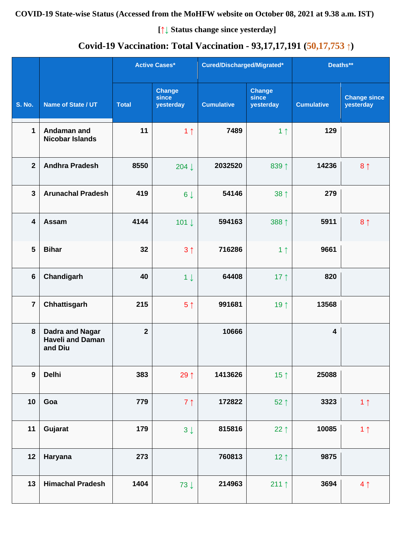**[↑↓ Status change since yesterday]**

# **Covid-19 Vaccination: Total Vaccination - 93,17,17,191 (50,17,753 ↑)**

|                |                                                              |                | <b>Active Cases*</b>                | Cured/Discharged/Migrated* |                                     | Deaths**                |                                  |
|----------------|--------------------------------------------------------------|----------------|-------------------------------------|----------------------------|-------------------------------------|-------------------------|----------------------------------|
| <b>S. No.</b>  | Name of State / UT                                           | <b>Total</b>   | <b>Change</b><br>since<br>yesterday | <b>Cumulative</b>          | <b>Change</b><br>since<br>yesterday | <b>Cumulative</b>       | <b>Change since</b><br>yesterday |
| 1              | Andaman and<br><b>Nicobar Islands</b>                        | 11             | 1 <sub>1</sub>                      | 7489                       | 1 <sub>1</sub>                      | 129                     |                                  |
| $\mathbf{2}$   | <b>Andhra Pradesh</b>                                        | 8550           | 204 $\downarrow$                    | 2032520                    | 839 1                               | 14236                   | 8 <sup>1</sup>                   |
| $\mathbf{3}$   | <b>Arunachal Pradesh</b>                                     | 419            | $6 \downarrow$                      | 54146                      | 38 <sup>†</sup>                     | 279                     |                                  |
| 4              | Assam                                                        | 4144           | 101 $\downarrow$                    | 594163                     | 388 ↑                               | 5911                    | 8 <sup>1</sup>                   |
| 5              | <b>Bihar</b>                                                 | 32             | 3 <sub>1</sub>                      | 716286                     | 1 <sub>1</sub>                      | 9661                    |                                  |
| 6              | Chandigarh                                                   | 40             | $1 \downarrow$                      | 64408                      | 17 $\uparrow$                       | 820                     |                                  |
| $\overline{7}$ | Chhattisgarh                                                 | 215            | 5 <sup>†</sup>                      | 991681                     | 19 $\uparrow$                       | 13568                   |                                  |
| 8              | <b>Dadra and Nagar</b><br><b>Haveli and Daman</b><br>and Diu | $\overline{2}$ |                                     | 10666                      |                                     | $\overline{\mathbf{4}}$ |                                  |
| $\mathbf{9}$   | <b>Delhi</b>                                                 | 383            | 29 $\uparrow$                       | 1413626                    | 15 <sup>†</sup>                     | 25088                   |                                  |
| 10             | Goa                                                          | 779            | 7 <sup>1</sup>                      | 172822                     | $52 \uparrow$                       | 3323                    | 1 <sub>1</sub>                   |
| 11             | Gujarat                                                      | 179            | $3 \downarrow$                      | 815816                     | 22 $\uparrow$                       | 10085                   | 1 <sub>1</sub>                   |
| 12             | Haryana                                                      | 273            |                                     | 760813                     | $12 \uparrow$                       | 9875                    |                                  |
| 13             | <b>Himachal Pradesh</b>                                      | 1404           | $73 \downarrow$                     | 214963                     | 211 $\uparrow$                      | 3694                    | 4 <sub>1</sub>                   |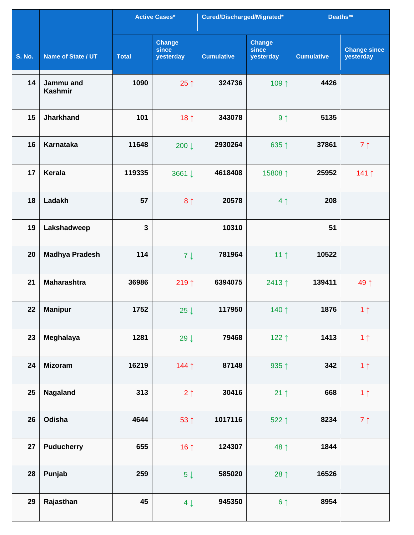|               |                             |              | Active Cases*                       | Cured/Discharged/Migrated* |                                     | Deaths**          |                                  |
|---------------|-----------------------------|--------------|-------------------------------------|----------------------------|-------------------------------------|-------------------|----------------------------------|
| <b>S. No.</b> | Name of State / UT          | <b>Total</b> | <b>Change</b><br>since<br>yesterday | <b>Cumulative</b>          | <b>Change</b><br>since<br>yesterday | <b>Cumulative</b> | <b>Change since</b><br>yesterday |
| 14            | Jammu and<br><b>Kashmir</b> | 1090         | $25 \uparrow$                       | 324736                     | 109↑                                | 4426              |                                  |
| 15            | <b>Jharkhand</b>            | 101          | 18 $\uparrow$                       | 343078                     | 9 <sub>1</sub>                      | 5135              |                                  |
| 16            | <b>Karnataka</b>            | 11648        | 200↓                                | 2930264                    | 635↑                                | 37861             | 7 <sub>1</sub>                   |
| 17            | <b>Kerala</b>               | 119335       | 3661 ↓                              | 4618408                    | 15808 ↑                             | 25952             | 141↑                             |
| 18            | Ladakh                      | 57           | 8 <sub>1</sub>                      | 20578                      | 4 <sub>1</sub>                      | 208               |                                  |
| 19            | Lakshadweep                 | $\mathbf{3}$ |                                     | 10310                      |                                     | 51                |                                  |
| 20            | <b>Madhya Pradesh</b>       | 114          | $7 \downarrow$                      | 781964                     | 11 $\uparrow$                       | 10522             |                                  |
| 21            | <b>Maharashtra</b>          | 36986        | 219↑                                | 6394075                    | 2413↑                               | 139411            | 49 ↑                             |
| 22            | <b>Manipur</b>              | 1752         | 25 $\downarrow$                     | 117950                     | 140 ↑                               | 1876              | 1 <sub>1</sub>                   |
| 23            | Meghalaya                   | 1281         | 29 $\downarrow$                     | 79468                      | 122 $\uparrow$                      | 1413              | 1 <sub>1</sub>                   |
| 24            | <b>Mizoram</b>              | 16219        | 144↑                                | 87148                      | 935 $\uparrow$                      | 342               | 1 <sub>1</sub>                   |
| 25            | Nagaland                    | 313          | 2 <sub>1</sub>                      | 30416                      | $21 \uparrow$                       | 668               | 1 <sub>1</sub>                   |
| 26            | Odisha                      | 4644         | 53 ↑                                | 1017116                    | 522↑                                | 8234              | $7 \uparrow$                     |
| 27            | <b>Puducherry</b>           | 655          | 16 $\uparrow$                       | 124307                     | 48 1                                | 1844              |                                  |
| 28            | Punjab                      | 259          | $5\downarrow$                       | 585020                     | 28 $\uparrow$                       | 16526             |                                  |
| 29            | Rajasthan                   | 45           | $4 \downarrow$                      | 945350                     | 6 <sup>1</sup>                      | 8954              |                                  |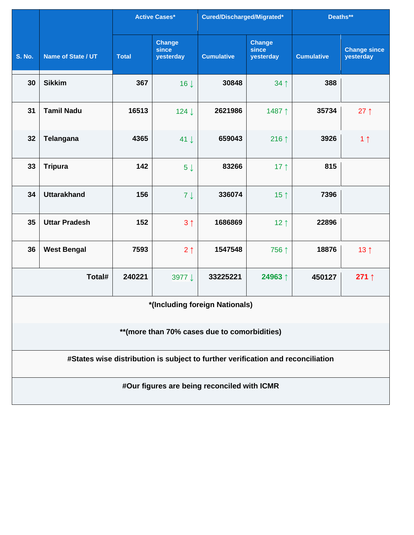|                                                                                 |                      |              | <b>Active Cases*</b>                | Cured/Discharged/Migrated*                  |                                     | Deaths**          |                                  |  |  |  |
|---------------------------------------------------------------------------------|----------------------|--------------|-------------------------------------|---------------------------------------------|-------------------------------------|-------------------|----------------------------------|--|--|--|
| <b>S. No.</b>                                                                   | Name of State / UT   | <b>Total</b> | <b>Change</b><br>since<br>yesterday | <b>Cumulative</b>                           | <b>Change</b><br>since<br>yesterday | <b>Cumulative</b> | <b>Change since</b><br>yesterday |  |  |  |
| 30                                                                              | <b>Sikkim</b>        | 367          | 16 <sup>1</sup>                     | 30848                                       | 34 1                                | 388               |                                  |  |  |  |
| 31                                                                              | <b>Tamil Nadu</b>    | 16513        | 124↓                                | 2621986                                     | 1487↑                               | 35734             | $27 \uparrow$                    |  |  |  |
| 32                                                                              | Telangana            | 4365         | $41 \downarrow$                     | 659043                                      | 216↑                                | 3926              | 1 <sub>1</sub>                   |  |  |  |
| 33                                                                              | <b>Tripura</b>       | 142          | $5 \downarrow$                      | 83266                                       | 17 $\uparrow$                       | 815               |                                  |  |  |  |
| 34                                                                              | <b>Uttarakhand</b>   | 156          | $7 \downarrow$                      | 336074                                      | 15 $\uparrow$                       | 7396              |                                  |  |  |  |
| 35                                                                              | <b>Uttar Pradesh</b> | 152          | 3 <sub>1</sub>                      | 1686869                                     | $12 \uparrow$                       | 22896             |                                  |  |  |  |
| 36                                                                              | <b>West Bengal</b>   | 7593         | 2 <sub>1</sub>                      | 1547548                                     | 756 ↑                               | 18876             | 13 <sub>1</sub>                  |  |  |  |
|                                                                                 | Total#               | 240221       | 3977 ↓                              | 33225221                                    | 24963↑                              | 450127            | 271 $\uparrow$                   |  |  |  |
| *(Including foreign Nationals)                                                  |                      |              |                                     |                                             |                                     |                   |                                  |  |  |  |
| ** (more than 70% cases due to comorbidities)                                   |                      |              |                                     |                                             |                                     |                   |                                  |  |  |  |
| #States wise distribution is subject to further verification and reconciliation |                      |              |                                     |                                             |                                     |                   |                                  |  |  |  |
|                                                                                 |                      |              |                                     | #Our figures are being reconciled with ICMR |                                     |                   |                                  |  |  |  |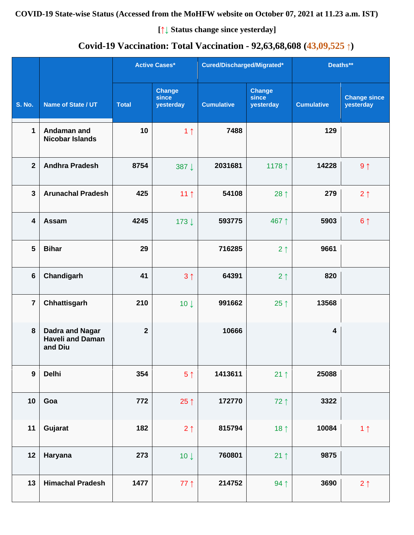**[↑↓ Status change since yesterday]**

## **Covid-19 Vaccination: Total Vaccination - 92,63,68,608 (43,09,525 ↑)**

|                  |                                                              |              | <b>Active Cases*</b>                | Cured/Discharged/Migrated* |                                     | Deaths**          |                                  |
|------------------|--------------------------------------------------------------|--------------|-------------------------------------|----------------------------|-------------------------------------|-------------------|----------------------------------|
| <b>S. No.</b>    | Name of State / UT                                           | <b>Total</b> | <b>Change</b><br>since<br>yesterday | <b>Cumulative</b>          | <b>Change</b><br>since<br>yesterday | <b>Cumulative</b> | <b>Change since</b><br>yesterday |
| $\mathbf 1$      | Andaman and<br><b>Nicobar Islands</b>                        | 10           | 1 <sub>1</sub>                      | 7488                       |                                     | 129               |                                  |
| $\overline{2}$   | <b>Andhra Pradesh</b>                                        | 8754         | 387↓                                | 2031681                    | 1178 1                              | 14228             | $9 \uparrow$                     |
| $\mathbf{3}$     | <b>Arunachal Pradesh</b>                                     | 425          | 11 <sub>1</sub>                     | 54108                      | 28 $\uparrow$                       | 279               | $2 \uparrow$                     |
| $\boldsymbol{4}$ | Assam                                                        | 4245         | 173↓                                | 593775                     | 467↑                                | 5903              | $6 \uparrow$                     |
| 5                | <b>Bihar</b>                                                 | 29           |                                     | 716285                     | 2 <sub>1</sub>                      | 9661              |                                  |
| $6\phantom{1}$   | Chandigarh                                                   | 41           | 3 <sub>1</sub>                      | 64391                      | 2 <sub>1</sub>                      | 820               |                                  |
| $\overline{7}$   | Chhattisgarh                                                 | 210          | 10 <sup>1</sup>                     | 991662                     | 25 $\uparrow$                       | 13568             |                                  |
| 8                | <b>Dadra and Nagar</b><br><b>Haveli and Daman</b><br>and Diu | $\mathbf{2}$ |                                     | 10666                      |                                     | 4                 |                                  |
| $\boldsymbol{9}$ | <b>Delhi</b>                                                 | 354          | 5 <sup>†</sup>                      | 1413611                    | $21 \uparrow$                       | 25088             |                                  |
| 10               | Goa                                                          | 772          | 25 $\uparrow$                       | 172770                     | $72$ ↑                              | 3322              |                                  |
| 11               | Gujarat                                                      | 182          | $2 \uparrow$                        | 815794                     | 18 <sup>†</sup>                     | 10084             | 1 <sub>1</sub>                   |
| 12               | Haryana                                                      | 273          | $10 \downarrow$                     | 760801                     | $21 \uparrow$                       | 9875              |                                  |
| 13               | <b>Himachal Pradesh</b>                                      | 1477         | $77$ ↑                              | 214752                     | 94 1                                | 3690              | $2 \uparrow$                     |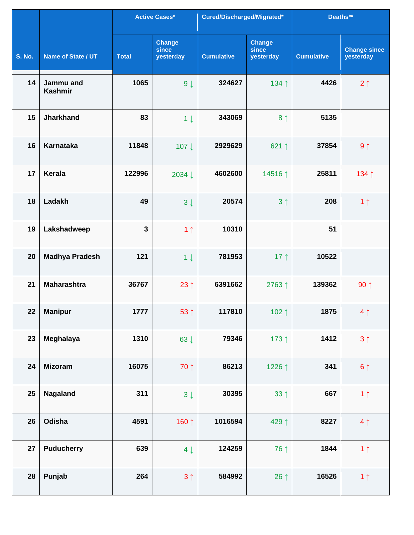|               |                             |              | <b>Active Cases*</b>                | Cured/Discharged/Migrated* |                                     | Deaths**          |                                  |
|---------------|-----------------------------|--------------|-------------------------------------|----------------------------|-------------------------------------|-------------------|----------------------------------|
| <b>S. No.</b> | Name of State / UT          | <b>Total</b> | <b>Change</b><br>since<br>yesterday | <b>Cumulative</b>          | <b>Change</b><br>since<br>yesterday | <b>Cumulative</b> | <b>Change since</b><br>yesterday |
| 14            | Jammu and<br><b>Kashmir</b> | 1065         | $9 \downarrow$                      | 324627                     | 134 1                               | 4426              | 2 <sub>1</sub>                   |
| 15            | <b>Jharkhand</b>            | 83           | $1 \downarrow$                      | 343069                     | 8 <sup>†</sup>                      | 5135              |                                  |
| 16            | <b>Karnataka</b>            | 11848        | 107↓                                | 2929629                    | 621 $\uparrow$                      | 37854             | $9 \uparrow$                     |
| 17            | <b>Kerala</b>               | 122996       | 2034 ↓                              | 4602600                    | 14516↑                              | 25811             | 134↑                             |
| 18            | Ladakh                      | 49           | $3 \downarrow$                      | 20574                      | 3 <sub>1</sub>                      | 208               | 1 <sub>1</sub>                   |
| 19            | Lakshadweep                 | $\mathbf{3}$ | 1 <sub>1</sub>                      | 10310                      |                                     | 51                |                                  |
| 20            | <b>Madhya Pradesh</b>       | 121          | $1 \downarrow$                      | 781953                     | 17 $\uparrow$                       | 10522             |                                  |
| 21            | <b>Maharashtra</b>          | 36767        | $23 \uparrow$                       | 6391662                    | 2763↑                               | 139362            | $90 \uparrow$                    |
| 22            | <b>Manipur</b>              | 1777         | 53 ↑                                | 117810                     | 102 $\uparrow$                      | 1875              | $4 \uparrow$                     |
| 23            | Meghalaya                   | 1310         | $63 \downarrow$                     | 79346                      | 173 1                               | 1412              | 3 <sub>1</sub>                   |
| 24            | <b>Mizoram</b>              | 16075        | 70 ↑                                | 86213                      | 1226 ↑                              | 341               | $6 \uparrow$                     |
| 25            | Nagaland                    | 311          | $3 \downarrow$                      | 30395                      | $33 \uparrow$                       | 667               | 1 <sub>1</sub>                   |
| 26            | Odisha                      | 4591         | 160 1                               | 1016594                    | 429↑                                | 8227              | 4 <sub>1</sub>                   |
| 27            | <b>Puducherry</b>           | 639          | $4 \downarrow$                      | 124259                     | 76 ↑                                | 1844              | 1 <sub>1</sub>                   |
| 28            | Punjab                      | 264          | 3 <sub>1</sub>                      | 584992                     | 26 $\uparrow$                       | 16526             | 1 <sub>1</sub>                   |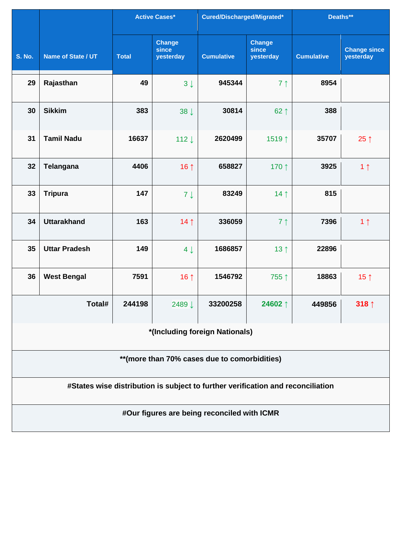|                                              |                                                                                 |              | <b>Active Cases*</b>         | Cured/Discharged/Migrated*                  |                                     | Deaths**          |                                  |  |  |  |
|----------------------------------------------|---------------------------------------------------------------------------------|--------------|------------------------------|---------------------------------------------|-------------------------------------|-------------------|----------------------------------|--|--|--|
| <b>S. No.</b>                                | Name of State / UT                                                              | <b>Total</b> | Change<br>since<br>yesterday | <b>Cumulative</b>                           | <b>Change</b><br>since<br>yesterday | <b>Cumulative</b> | <b>Change since</b><br>yesterday |  |  |  |
| 29                                           | Rajasthan                                                                       | 49           | $3 \downarrow$               | 945344                                      | 7 <sub>1</sub>                      | 8954              |                                  |  |  |  |
| 30                                           | <b>Sikkim</b>                                                                   | 383          | $38 \downarrow$              | 30814                                       | $62 \uparrow$                       | 388               |                                  |  |  |  |
| 31                                           | <b>Tamil Nadu</b>                                                               | 16637        | 112↓                         | 2620499                                     | 1519↑                               | 35707             | 25 $\uparrow$                    |  |  |  |
| 32                                           | <b>Telangana</b>                                                                | 4406         | 16 $\uparrow$                | 658827                                      | 170 ↑                               | 3925              | 1 <sub>1</sub>                   |  |  |  |
| 33                                           | <b>Tripura</b>                                                                  | 147          | $7 \downarrow$               | 83249                                       | 14 <sub>1</sub>                     | 815               |                                  |  |  |  |
| 34                                           | <b>Uttarakhand</b>                                                              | 163          | 14 <sub>1</sub>              | 336059                                      | 7 <sup>1</sup>                      | 7396              | 1 <sub>1</sub>                   |  |  |  |
| 35                                           | <b>Uttar Pradesh</b>                                                            | 149          | $4 \downarrow$               | 1686857                                     | 13 $\uparrow$                       | 22896             |                                  |  |  |  |
| 36                                           | <b>West Bengal</b>                                                              | 7591         | 16 $\uparrow$                | 1546792                                     | 755↑                                | 18863             | 15 <sub>1</sub>                  |  |  |  |
|                                              | Total#                                                                          | 244198       | 2489↓                        | 33200258                                    | 24602↑                              | 449856            | 318 $\uparrow$                   |  |  |  |
|                                              | *(Including foreign Nationals)                                                  |              |                              |                                             |                                     |                   |                                  |  |  |  |
| **(more than 70% cases due to comorbidities) |                                                                                 |              |                              |                                             |                                     |                   |                                  |  |  |  |
|                                              | #States wise distribution is subject to further verification and reconciliation |              |                              |                                             |                                     |                   |                                  |  |  |  |
|                                              |                                                                                 |              |                              | #Our figures are being reconciled with ICMR |                                     |                   |                                  |  |  |  |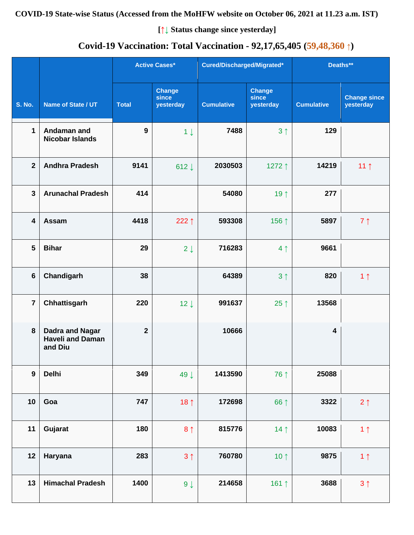**[↑↓ Status change since yesterday]**

## **Covid-19 Vaccination: Total Vaccination - 92,17,65,405 (59,48,360 ↑)**

|                |                                                       |                | <b>Active Cases*</b>                | Cured/Discharged/Migrated* |                                     | Deaths**                |                                  |
|----------------|-------------------------------------------------------|----------------|-------------------------------------|----------------------------|-------------------------------------|-------------------------|----------------------------------|
| <b>S. No.</b>  | Name of State / UT                                    | <b>Total</b>   | <b>Change</b><br>since<br>yesterday | <b>Cumulative</b>          | <b>Change</b><br>since<br>yesterday | <b>Cumulative</b>       | <b>Change since</b><br>yesterday |
| 1              | Andaman and<br><b>Nicobar Islands</b>                 | 9              | $1 \downarrow$                      | 7488                       | 3 <sub>1</sub>                      | 129                     |                                  |
| $\overline{2}$ | <b>Andhra Pradesh</b>                                 | 9141           | 612 $\downarrow$                    | 2030503                    | 1272↑                               | 14219                   | 11 $\uparrow$                    |
| $\mathbf{3}$   | <b>Arunachal Pradesh</b>                              | 414            |                                     | 54080                      | 19 ↑                                | 277                     |                                  |
| 4              | <b>Assam</b>                                          | 4418           | 222 $\uparrow$                      | 593308                     | 156 ↑                               | 5897                    | $7 \uparrow$                     |
| 5              | <b>Bihar</b>                                          | 29             | $2 \downarrow$                      | 716283                     | 4 <sub>1</sub>                      | 9661                    |                                  |
| $6\phantom{1}$ | Chandigarh                                            | 38             |                                     | 64389                      | 3 <sub>1</sub>                      | 820                     | 1 <sub>1</sub>                   |
| $\overline{7}$ | Chhattisgarh                                          | 220            | $12 \downarrow$                     | 991637                     | $25 \uparrow$                       | 13568                   |                                  |
| 8              | Dadra and Nagar<br><b>Haveli and Daman</b><br>and Diu | $\overline{2}$ |                                     | 10666                      |                                     | $\overline{\mathbf{4}}$ |                                  |
| $\mathbf{9}$   | <b>Delhi</b>                                          | 349            | 49 $\downarrow$                     | 1413590                    | 76 ↑                                | 25088                   |                                  |
| 10             | Goa                                                   | 747            | 18 $\uparrow$                       | 172698                     | 66 ↑                                | 3322                    | $2 \uparrow$                     |
| 11             | Gujarat                                               | 180            | 8 <sup>1</sup>                      | 815776                     | 14 <sub>1</sub>                     | 10083                   | 1 <sub>1</sub>                   |
| 12             | Haryana                                               | 283            | 3 <sup>1</sup>                      | 760780                     | 10 $\uparrow$                       | 9875                    | 1 <sub>1</sub>                   |
| 13             | <b>Himachal Pradesh</b>                               | 1400           | $9 \downarrow$                      | 214658                     | 161 1                               | 3688                    | 3 <sup>1</sup>                   |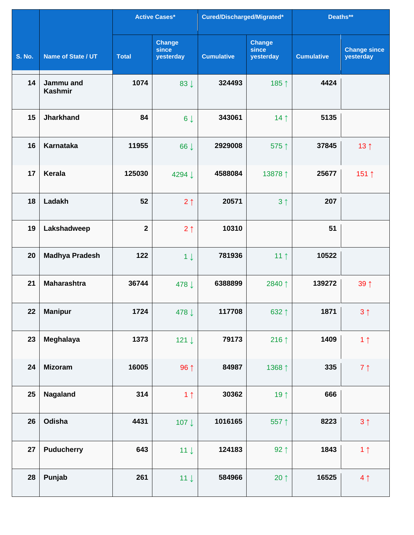|               |                             |              | <b>Active Cases*</b>                | Cured/Discharged/Migrated* |                                     | Deaths**          |                                  |
|---------------|-----------------------------|--------------|-------------------------------------|----------------------------|-------------------------------------|-------------------|----------------------------------|
| <b>S. No.</b> | Name of State / UT          | <b>Total</b> | <b>Change</b><br>since<br>yesterday | <b>Cumulative</b>          | <b>Change</b><br>since<br>yesterday | <b>Cumulative</b> | <b>Change since</b><br>yesterday |
| 14            | Jammu and<br><b>Kashmir</b> | 1074         | 83 J                                | 324493                     | 185↑                                | 4424              |                                  |
| 15            | <b>Jharkhand</b>            | 84           | $6 \downarrow$                      | 343061                     | 14 <sub>1</sub>                     | 5135              |                                  |
| 16            | <b>Karnataka</b>            | 11955        | 66 ↓                                | 2929008                    | 575 1                               | 37845             | 13 <sup>†</sup>                  |
| 17            | <b>Kerala</b>               | 125030       | 4294 ↓                              | 4588084                    | 13878 ↑                             | 25677             | 151 ↑                            |
| 18            | Ladakh                      | 52           | $2 \uparrow$                        | 20571                      | 3 <sup>1</sup>                      | 207               |                                  |
| 19            | Lakshadweep                 | $\mathbf{2}$ | 2 <sub>1</sub>                      | 10310                      |                                     | 51                |                                  |
| 20            | <b>Madhya Pradesh</b>       | 122          | $1 \downarrow$                      | 781936                     | 11 $\uparrow$                       | 10522             |                                  |
| 21            | <b>Maharashtra</b>          | 36744        | 478 ↓                               | 6388899                    | 2840↑                               | 139272            | 39 1                             |
| 22            | <b>Manipur</b>              | 1724         | 478 ↓                               | 117708                     | 632 1                               | 1871              | 3 <sub>1</sub>                   |
| 23            | Meghalaya                   | 1373         | 121 $\downarrow$                    | 79173                      | 216 $\uparrow$                      | 1409              | 1 <sub>1</sub>                   |
| 24            | <b>Mizoram</b>              | 16005        | 96 ↑                                | 84987                      | 1368 ↑                              | 335               | $7 \uparrow$                     |
| 25            | Nagaland                    | 314          | 1 <sub>1</sub>                      | 30362                      | 19 $\uparrow$                       | 666               |                                  |
| 26            | Odisha                      | 4431         | 107↓                                | 1016165                    | 557↑                                | 8223              | $3 \uparrow$                     |
| 27            | <b>Puducherry</b>           | 643          | $11 \downarrow$                     | 124183                     | $92 \uparrow$                       | 1843              | 1 <sub>1</sub>                   |
| 28            | Punjab                      | 261          | $11 \downarrow$                     | 584966                     | 20 $\uparrow$                       | 16525             | 4 <sub>1</sub>                   |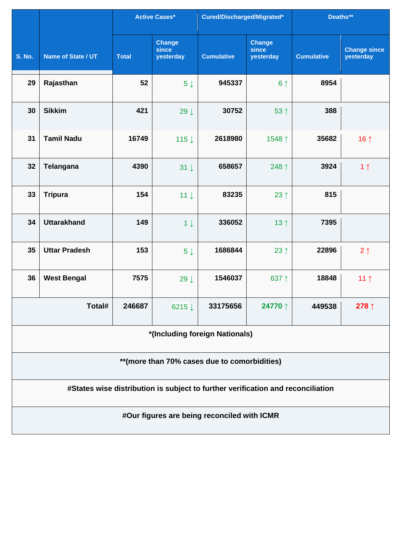|                                               |                                                                                 |              | <b>Active Cases*</b>         | Cured/Discharged/Migrated*                  |                                     | Deaths**          |                                  |  |  |  |
|-----------------------------------------------|---------------------------------------------------------------------------------|--------------|------------------------------|---------------------------------------------|-------------------------------------|-------------------|----------------------------------|--|--|--|
| <b>S. No.</b>                                 | Name of State / UT                                                              | <b>Total</b> | Change<br>since<br>yesterday | <b>Cumulative</b>                           | <b>Change</b><br>since<br>yesterday | <b>Cumulative</b> | <b>Change since</b><br>yesterday |  |  |  |
| 29                                            | Rajasthan                                                                       | 52           | $5 \downarrow$               | 945337                                      | 6 <sup>1</sup>                      | 8954              |                                  |  |  |  |
| 30                                            | <b>Sikkim</b>                                                                   | 421          | 29 $\downarrow$              | 30752                                       | 53 1                                | 388               |                                  |  |  |  |
| 31                                            | <b>Tamil Nadu</b>                                                               | 16749        | 115↓                         | 2618980                                     | 1548 ↑                              | 35682             | 16 $\uparrow$                    |  |  |  |
| 32                                            | <b>Telangana</b>                                                                | 4390         | $31 \downarrow$              | 658657                                      | 248 ↑                               | 3924              | 1 <sub>1</sub>                   |  |  |  |
| 33                                            | <b>Tripura</b>                                                                  | 154          | $11 \downarrow$              | 83235                                       | 23 $\uparrow$                       | 815               |                                  |  |  |  |
| 34                                            | <b>Uttarakhand</b>                                                              | 149          | $1 \downarrow$               | 336052                                      | 13 <sup>†</sup>                     | 7395              |                                  |  |  |  |
| 35                                            | <b>Uttar Pradesh</b>                                                            | 153          | $5 \downarrow$               | 1686844                                     | 23 $\uparrow$                       | 22896             | 2 <sub>1</sub>                   |  |  |  |
| 36                                            | <b>West Bengal</b>                                                              | 7575         | $29 \downarrow$              | 1546037                                     | 637↑                                | 18848             | 11 $\uparrow$                    |  |  |  |
|                                               | Total#                                                                          | 246687       | 6215↓                        | 33175656                                    | 24770 ↑                             | 449538            | 278↑                             |  |  |  |
|                                               | *(Including foreign Nationals)                                                  |              |                              |                                             |                                     |                   |                                  |  |  |  |
| ** (more than 70% cases due to comorbidities) |                                                                                 |              |                              |                                             |                                     |                   |                                  |  |  |  |
|                                               | #States wise distribution is subject to further verification and reconciliation |              |                              |                                             |                                     |                   |                                  |  |  |  |
|                                               |                                                                                 |              |                              | #Our figures are being reconciled with ICMR |                                     |                   |                                  |  |  |  |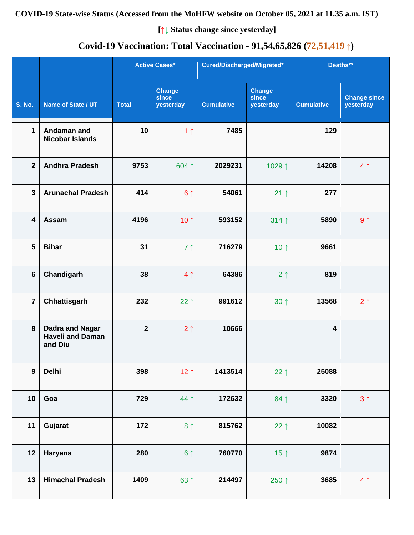**[↑↓ Status change since yesterday]**

# **Covid-19 Vaccination: Total Vaccination - 91,54,65,826 (72,51,419 ↑)**

|                         |                                                              |              | <b>Active Cases*</b>                |                   | Cured/Discharged/Migrated*          |                         | Deaths**                         |  |
|-------------------------|--------------------------------------------------------------|--------------|-------------------------------------|-------------------|-------------------------------------|-------------------------|----------------------------------|--|
| <b>S. No.</b>           | Name of State / UT                                           | <b>Total</b> | <b>Change</b><br>since<br>yesterday | <b>Cumulative</b> | <b>Change</b><br>since<br>yesterday | <b>Cumulative</b>       | <b>Change since</b><br>yesterday |  |
| $\mathbf{1}$            | Andaman and<br><b>Nicobar Islands</b>                        | 10           | 1 <sub>1</sub>                      | 7485              |                                     | 129                     |                                  |  |
| $\overline{2}$          | <b>Andhra Pradesh</b>                                        | 9753         | 604↑                                | 2029231           | 1029↑                               | 14208                   | 4 <sub>1</sub>                   |  |
| $\overline{\mathbf{3}}$ | <b>Arunachal Pradesh</b>                                     | 414          | 6 <sup>1</sup>                      | 54061             | $21 \uparrow$                       | 277                     |                                  |  |
| 4                       | Assam                                                        | 4196         | 10 $\uparrow$                       | 593152            | 314 1                               | 5890                    | $9 \uparrow$                     |  |
| 5                       | <b>Bihar</b>                                                 | 31           | 7 <sup>1</sup>                      | 716279            | 10 $\uparrow$                       | 9661                    |                                  |  |
| $6\phantom{1}$          | Chandigarh                                                   | 38           | 4 <sub>1</sub>                      | 64386             | 2 <sub>1</sub>                      | 819                     |                                  |  |
| $\overline{7}$          | Chhattisgarh                                                 | 232          | $22 \uparrow$                       | 991612            | $30 \uparrow$                       | 13568                   | $2 \uparrow$                     |  |
| 8                       | <b>Dadra and Nagar</b><br><b>Haveli and Daman</b><br>and Diu | $\mathbf{2}$ | $2 \uparrow$                        | 10666             |                                     | $\overline{\mathbf{4}}$ |                                  |  |
| $\boldsymbol{9}$        | <b>Delhi</b>                                                 | 398          | 12 $\uparrow$                       | 1413514           | 22 $\uparrow$                       | 25088                   |                                  |  |
| 10                      | Goa                                                          | 729          | 44↑                                 | 172632            | $84$ ↑                              | 3320                    | 3 <sup>1</sup>                   |  |
| 11                      | Gujarat                                                      | 172          | 8 <sup>1</sup>                      | 815762            | 22 $\uparrow$                       | 10082                   |                                  |  |
| 12                      | Haryana                                                      | 280          | $6 \uparrow$                        | 760770            | 15 $\uparrow$                       | 9874                    |                                  |  |
| 13                      | <b>Himachal Pradesh</b>                                      | 1409         | $63$ ↑                              | 214497            | 250 ↑                               | 3685                    | 4 <sub>1</sub>                   |  |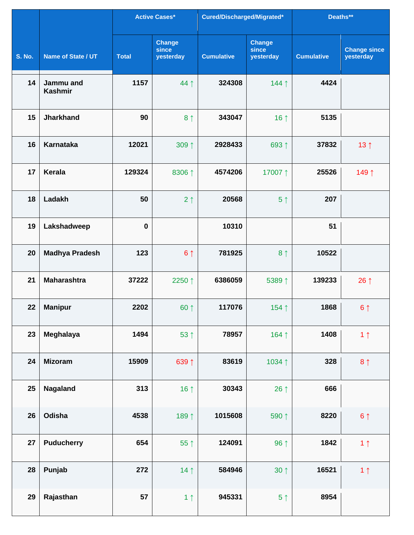|               |                             |              | <b>Active Cases*</b>                | Cured/Discharged/Migrated* |                                     | Deaths**          |                                  |
|---------------|-----------------------------|--------------|-------------------------------------|----------------------------|-------------------------------------|-------------------|----------------------------------|
| <b>S. No.</b> | Name of State / UT          | <b>Total</b> | <b>Change</b><br>since<br>yesterday | <b>Cumulative</b>          | <b>Change</b><br>since<br>yesterday | <b>Cumulative</b> | <b>Change since</b><br>yesterday |
| 14            | Jammu and<br><b>Kashmir</b> | 1157         | 44 1                                | 324308                     | 144↑                                | 4424              |                                  |
| 15            | <b>Jharkhand</b>            | 90           | 8 <sup>†</sup>                      | 343047                     | 16 1                                | 5135              |                                  |
| 16            | <b>Karnataka</b>            | 12021        | 309 ↑                               | 2928433                    | 693↑                                | 37832             | 13 <sub>1</sub>                  |
| 17            | Kerala                      | 129324       | 8306 ↑                              | 4574206                    | 17007↑                              | 25526             | 149↑                             |
| 18            | Ladakh                      | 50           | 2 <sub>1</sub>                      | 20568                      | 5 <sup>†</sup>                      | 207               |                                  |
| 19            | Lakshadweep                 | $\bf{0}$     |                                     | 10310                      |                                     | 51                |                                  |
| 20            | <b>Madhya Pradesh</b>       | 123          | 6 <sup>1</sup>                      | 781925                     | 8 <sup>†</sup>                      | 10522             |                                  |
| 21            | <b>Maharashtra</b>          | 37222        | 2250 ↑                              | 6386059                    | 5389↑                               | 139233            | 26 $\uparrow$                    |
| 22            | <b>Manipur</b>              | 2202         | 60 1                                | 117076                     | 154↑                                | 1868              | 6 <sup>1</sup>                   |
| 23            | Meghalaya                   | 1494         | 53 ↑                                | 78957                      | 164 1                               | 1408              | 1 <sub>1</sub>                   |
| 24            | <b>Mizoram</b>              | 15909        | 639 1                               | 83619                      | 1034 1                              | 328               | 8 <sup>1</sup>                   |
| 25            | Nagaland                    | 313          | 16 $\uparrow$                       | 30343                      | 26 $\uparrow$                       | 666               |                                  |
| 26            | Odisha                      | 4538         | 189 ↑                               | 1015608                    | 590 ↑                               | 8220              | $6 \uparrow$                     |
| 27            | <b>Puducherry</b>           | 654          | 55↑                                 | 124091                     | 96 ↑                                | 1842              | 1 <sub>1</sub>                   |
| 28            | Punjab                      | 272          | 14 <sub>1</sub>                     | 584946                     | $30 \uparrow$                       | 16521             | 1 <sub>1</sub>                   |
| 29            | Rajasthan                   | 57           | 1 <sub>1</sub>                      | 945331                     | $5 \uparrow$                        | 8954              |                                  |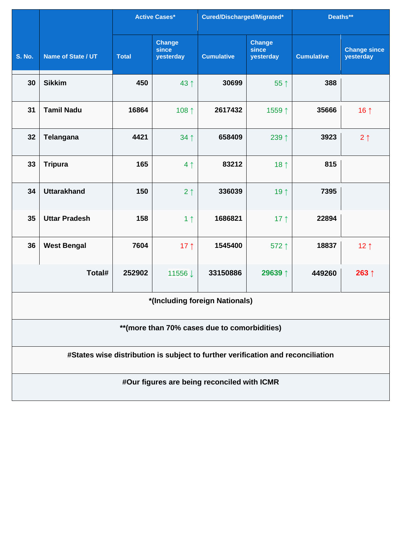|                                               |                                                                                 | <b>Active Cases*</b> |                                     | Cured/Discharged/Migrated*                  |                                     | Deaths**          |                                  |  |  |  |
|-----------------------------------------------|---------------------------------------------------------------------------------|----------------------|-------------------------------------|---------------------------------------------|-------------------------------------|-------------------|----------------------------------|--|--|--|
| <b>S. No.</b>                                 | Name of State / UT                                                              | <b>Total</b>         | <b>Change</b><br>since<br>yesterday | <b>Cumulative</b>                           | <b>Change</b><br>since<br>yesterday | <b>Cumulative</b> | <b>Change since</b><br>yesterday |  |  |  |
| 30                                            | <b>Sikkim</b>                                                                   | 450                  | 43 ↑                                | 30699                                       | 55 1                                | 388               |                                  |  |  |  |
| 31                                            | <b>Tamil Nadu</b>                                                               | 16864                | 108 ↑                               | 2617432                                     | 1559↑                               | 35666             | 16 $\uparrow$                    |  |  |  |
| 32                                            | <b>Telangana</b>                                                                | 4421                 | 34 1                                | 658409                                      | 239 1                               | 3923              | 2 <sub>1</sub>                   |  |  |  |
| 33                                            | <b>Tripura</b>                                                                  | 165                  | 4 <sub>1</sub>                      | 83212                                       | 18 $\uparrow$                       | 815               |                                  |  |  |  |
| 34                                            | <b>Uttarakhand</b>                                                              | 150                  | 2 <sub>1</sub>                      | 336039                                      | 19↑                                 | 7395              |                                  |  |  |  |
| 35                                            | <b>Uttar Pradesh</b>                                                            | 158                  | 1 <sub>1</sub>                      | 1686821                                     | 17 $\uparrow$                       | 22894             |                                  |  |  |  |
| 36                                            | <b>West Bengal</b>                                                              | 7604                 | 17 $\uparrow$                       | 1545400                                     | 572↑                                | 18837             | 12 <sub>1</sub>                  |  |  |  |
|                                               | Total#                                                                          | 252902               | 11556↓                              | 33150886                                    | 29639 ↑                             | 449260            | 263 $\uparrow$                   |  |  |  |
|                                               |                                                                                 |                      |                                     | *(Including foreign Nationals)              |                                     |                   |                                  |  |  |  |
| ** (more than 70% cases due to comorbidities) |                                                                                 |                      |                                     |                                             |                                     |                   |                                  |  |  |  |
|                                               | #States wise distribution is subject to further verification and reconciliation |                      |                                     |                                             |                                     |                   |                                  |  |  |  |
|                                               |                                                                                 |                      |                                     | #Our figures are being reconciled with ICMR |                                     |                   |                                  |  |  |  |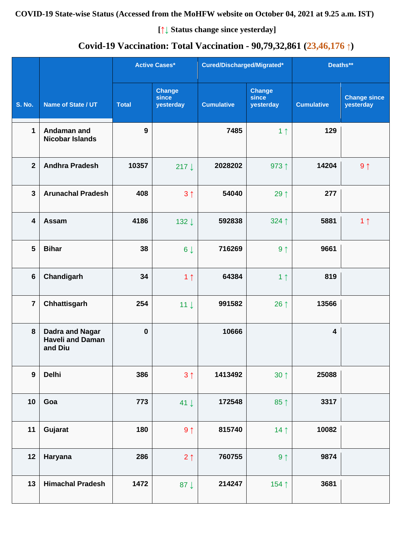#### **COVID-19 State-wise Status (Accessed from the MoHFW website on October 04, 2021 at 9.25 a.m. IST)**

**[↑↓ Status change since yesterday]**

## **Covid-19 Vaccination: Total Vaccination - 90,79,32,861 (23,46,176 ↑)**

|                |                                                              |              | <b>Active Cases*</b>                | Cured/Discharged/Migrated* |                                     | Deaths**                |                                  |
|----------------|--------------------------------------------------------------|--------------|-------------------------------------|----------------------------|-------------------------------------|-------------------------|----------------------------------|
| <b>S. No.</b>  | Name of State / UT                                           | <b>Total</b> | <b>Change</b><br>since<br>yesterday | <b>Cumulative</b>          | <b>Change</b><br>since<br>yesterday | <b>Cumulative</b>       | <b>Change since</b><br>yesterday |
| 1              | Andaman and<br><b>Nicobar Islands</b>                        | 9            |                                     | 7485                       | 1 <sub>1</sub>                      | 129                     |                                  |
| $\overline{2}$ | <b>Andhra Pradesh</b>                                        | 10357        | 217 $\downarrow$                    | 2028202                    | 973 ↑                               | 14204                   | $9 \uparrow$                     |
| $\mathbf{3}$   | <b>Arunachal Pradesh</b>                                     | 408          | 3 <sub>1</sub>                      | 54040                      | 29 1                                | 277                     |                                  |
| 4              | <b>Assam</b>                                                 | 4186         | 132↓                                | 592838                     | 324 1                               | 5881                    | 1 <sub>1</sub>                   |
| 5              | <b>Bihar</b>                                                 | 38           | $6\downarrow$                       | 716269                     | 9 <sub>1</sub>                      | 9661                    |                                  |
| 6              | Chandigarh                                                   | 34           | 1 <sub>1</sub>                      | 64384                      | 1 <sub>1</sub>                      | 819                     |                                  |
| $\overline{7}$ | Chhattisgarh                                                 | 254          | 11 <sup>1</sup>                     | 991582                     | 26 $\uparrow$                       | 13566                   |                                  |
| $\bf{8}$       | <b>Dadra and Nagar</b><br><b>Haveli and Daman</b><br>and Diu | $\bf{0}$     |                                     | 10666                      |                                     | $\overline{\mathbf{4}}$ |                                  |
| $\mathbf{9}$   | Delhi                                                        | 386          | 3 <sub>1</sub>                      | 1413492                    | $30 \uparrow$                       | 25088                   |                                  |
| 10             | Goa                                                          | 773          | 41 $\downarrow$                     | 172548                     | $85 \uparrow$                       | 3317                    |                                  |
| 11             | Gujarat                                                      | 180          | $9 \uparrow$                        | 815740                     | 14 <sub>1</sub>                     | 10082                   |                                  |
| 12             | Haryana                                                      | 286          | $2 \uparrow$                        | 760755                     | 9 <sub>1</sub>                      | 9874                    |                                  |
| 13             | <b>Himachal Pradesh</b>                                      | 1472         | 87 $\downarrow$                     | 214247                     | 154↑                                | 3681                    |                                  |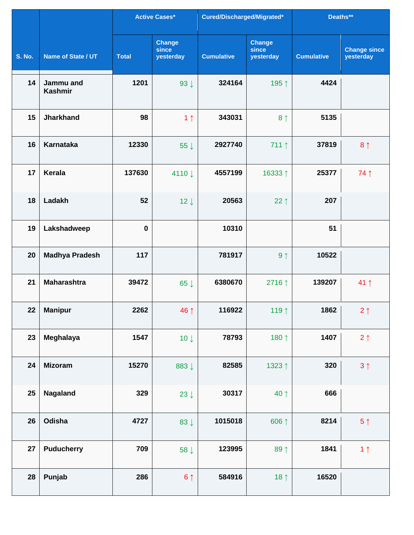|               |                             |              | <b>Active Cases*</b>                | Cured/Discharged/Migrated* |                                     | Deaths**          |                                  |
|---------------|-----------------------------|--------------|-------------------------------------|----------------------------|-------------------------------------|-------------------|----------------------------------|
| <b>S. No.</b> | Name of State / UT          | <b>Total</b> | <b>Change</b><br>since<br>yesterday | <b>Cumulative</b>          | <b>Change</b><br>since<br>yesterday | <b>Cumulative</b> | <b>Change since</b><br>yesterday |
| 14            | Jammu and<br><b>Kashmir</b> | 1201         | $93 \downarrow$                     | 324164                     | 195↑                                | 4424              |                                  |
| 15            | <b>Jharkhand</b>            | 98           | 1 <sub>1</sub>                      | 343031                     | 8 <sup>†</sup>                      | 5135              |                                  |
| 16            | <b>Karnataka</b>            | 12330        | 55 $\downarrow$                     | 2927740                    | $711 \uparrow$                      | 37819             | 8 <sub>1</sub>                   |
| 17            | <b>Kerala</b>               | 137630       | 4110↓                               | 4557199                    | 16333↑                              | 25377             | 74 1                             |
| 18            | Ladakh                      | 52           | $12 \downarrow$                     | 20563                      | 22 $\uparrow$                       | 207               |                                  |
| 19            | Lakshadweep                 | $\bf{0}$     |                                     | 10310                      |                                     | 51                |                                  |
| 20            | <b>Madhya Pradesh</b>       | 117          |                                     | 781917                     | 9 <sub>1</sub>                      | 10522             |                                  |
| 21            | <b>Maharashtra</b>          | 39472        | 65 $\downarrow$                     | 6380670                    | 2716↑                               | 139207            | $41$ ↑                           |
| 22            | <b>Manipur</b>              | 2262         | 46 ↑                                | 116922                     | 119 1                               | 1862              | $2 \uparrow$                     |
| 23            | Meghalaya                   | 1547         | $10 \downarrow$                     | 78793                      | 180 1                               | 1407              | $2 \uparrow$                     |
| 24            | <b>Mizoram</b>              | 15270        | 883↓                                | 82585                      | 1323↑                               | 320               | $3 \uparrow$                     |
| 25            | <b>Nagaland</b>             | 329          | 23 $\downarrow$                     | 30317                      | 40 ↑                                | 666               |                                  |
| 26            | Odisha                      | 4727         | 83 $\downarrow$                     | 1015018                    | 606 ↑                               | 8214              | 5 <sup>†</sup>                   |
| 27            | <b>Puducherry</b>           | 709          | 58 ↓                                | 123995                     | 89 1                                | 1841              | 1 <sub>1</sub>                   |
| 28            | Punjab                      | 286          | $6 \uparrow$                        | 584916                     | 18 $\uparrow$                       | 16520             |                                  |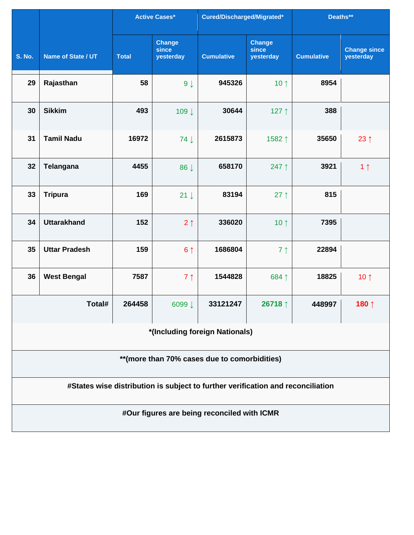|                                               |                                |              | <b>Active Cases*</b>                | Cured/Discharged/Migrated*                                                      |                                     | Deaths**          |                                  |  |  |  |
|-----------------------------------------------|--------------------------------|--------------|-------------------------------------|---------------------------------------------------------------------------------|-------------------------------------|-------------------|----------------------------------|--|--|--|
| <b>S. No.</b>                                 | Name of State / UT             | <b>Total</b> | <b>Change</b><br>since<br>yesterday | <b>Cumulative</b>                                                               | <b>Change</b><br>since<br>yesterday | <b>Cumulative</b> | <b>Change since</b><br>yesterday |  |  |  |
| 29                                            | Rajasthan                      | 58           | $9 \downarrow$                      | 945326                                                                          | 10 $\uparrow$                       | 8954              |                                  |  |  |  |
| 30                                            | <b>Sikkim</b>                  | 493          | 109↓                                | 30644                                                                           | 127↑                                | 388               |                                  |  |  |  |
| 31                                            | <b>Tamil Nadu</b>              | 16972        | 74 J                                | 2615873                                                                         | 1582↑                               | 35650             | 23 $\uparrow$                    |  |  |  |
| 32                                            | <b>Telangana</b>               | 4455         | 86 J                                | 658170                                                                          | 247 ↑                               | 3921              | 1 <sub>1</sub>                   |  |  |  |
| 33                                            | <b>Tripura</b>                 | 169          | $21 \downarrow$                     | 83194                                                                           | $27$ ↑                              | 815               |                                  |  |  |  |
| 34                                            | <b>Uttarakhand</b>             | 152          | $2 \uparrow$                        | 336020                                                                          | 10 $\uparrow$                       | 7395              |                                  |  |  |  |
| 35                                            | <b>Uttar Pradesh</b>           | 159          | 6 <sup>1</sup>                      | 1686804                                                                         | 7 <sup>1</sup>                      | 22894             |                                  |  |  |  |
| 36                                            | <b>West Bengal</b>             | 7587         | 7 <sub>1</sub>                      | 1544828                                                                         | 684↑                                | 18825             | 10 $\uparrow$                    |  |  |  |
|                                               | Total#                         | 264458       | 6099↓                               | 33121247                                                                        | 26718 $\uparrow$                    | 448997            | 180↑                             |  |  |  |
|                                               | *(Including foreign Nationals) |              |                                     |                                                                                 |                                     |                   |                                  |  |  |  |
| ** (more than 70% cases due to comorbidities) |                                |              |                                     |                                                                                 |                                     |                   |                                  |  |  |  |
|                                               |                                |              |                                     | #States wise distribution is subject to further verification and reconciliation |                                     |                   |                                  |  |  |  |
|                                               |                                |              |                                     | #Our figures are being reconciled with ICMR                                     |                                     |                   |                                  |  |  |  |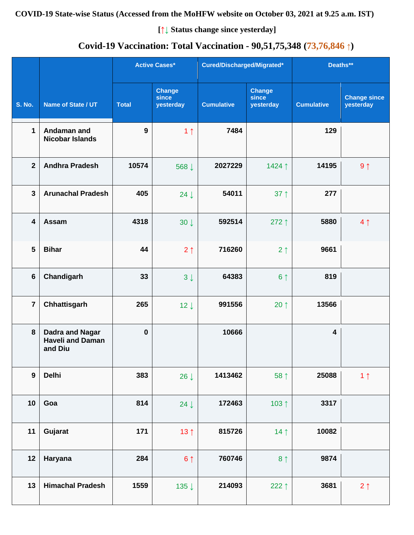#### **COVID-19 State-wise Status (Accessed from the MoHFW website on October 03, 2021 at 9.25 a.m. IST)**

**[↑↓ Status change since yesterday]**

## **Covid-19 Vaccination: Total Vaccination - 90,51,75,348 (73,76,846 ↑)**

|                  |                                                              |              | <b>Active Cases*</b>                | Cured/Discharged/Migrated* |                                     | Deaths**                |                                  |
|------------------|--------------------------------------------------------------|--------------|-------------------------------------|----------------------------|-------------------------------------|-------------------------|----------------------------------|
| <b>S. No.</b>    | Name of State / UT                                           | <b>Total</b> | <b>Change</b><br>since<br>yesterday | <b>Cumulative</b>          | <b>Change</b><br>since<br>yesterday | <b>Cumulative</b>       | <b>Change since</b><br>yesterday |
| 1                | Andaman and<br><b>Nicobar Islands</b>                        | 9            | 1 <sub>1</sub>                      | 7484                       |                                     | 129                     |                                  |
| $\mathbf{2}$     | <b>Andhra Pradesh</b>                                        | 10574        | 568↓                                | 2027229                    | 1424↑                               | 14195                   | $9 \uparrow$                     |
| $\mathbf{3}$     | <b>Arunachal Pradesh</b>                                     | 405          | $24 \downarrow$                     | 54011                      | $37 \uparrow$                       | 277                     |                                  |
| 4                | Assam                                                        | 4318         | $30 \downarrow$                     | 592514                     | 272 $\uparrow$                      | 5880                    | 4 <sub>1</sub>                   |
| 5                | <b>Bihar</b>                                                 | 44           | $2 \uparrow$                        | 716260                     | $2 \uparrow$                        | 9661                    |                                  |
| 6                | Chandigarh                                                   | 33           | $3 \downarrow$                      | 64383                      | 6 <sup>1</sup>                      | 819                     |                                  |
| $\overline{7}$   | Chhattisgarh                                                 | 265          | $12 \downarrow$                     | 991556                     | $20 \uparrow$                       | 13566                   |                                  |
| 8                | <b>Dadra and Nagar</b><br><b>Haveli and Daman</b><br>and Diu | $\bf{0}$     |                                     | 10666                      |                                     | $\overline{\mathbf{4}}$ |                                  |
| $\boldsymbol{9}$ | <b>Delhi</b>                                                 | 383          | 26 $\downarrow$                     | 1413462                    | 58 ↑                                | 25088                   | 1 <sub>1</sub>                   |
| 10               | Goa                                                          | 814          | 24 $\downarrow$                     | 172463                     | 103 $\uparrow$                      | 3317                    |                                  |
| 11               | Gujarat                                                      | 171          | 13 <sub>1</sub>                     | 815726                     | 14 <sub>1</sub>                     | 10082                   |                                  |
| 12               | Haryana                                                      | 284          | 6 <sup>1</sup>                      | 760746                     | 8 <sup>†</sup>                      | 9874                    |                                  |
| 13               | <b>Himachal Pradesh</b>                                      | 1559         | 135↓                                | 214093                     | 222↑                                | 3681                    | $2 \uparrow$                     |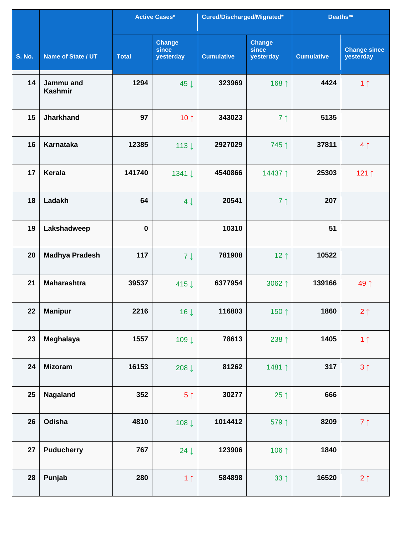|               |                             |              | <b>Active Cases*</b>                | Cured/Discharged/Migrated* |                                     | Deaths**          |                                  |
|---------------|-----------------------------|--------------|-------------------------------------|----------------------------|-------------------------------------|-------------------|----------------------------------|
| <b>S. No.</b> | Name of State / UT          | <b>Total</b> | <b>Change</b><br>since<br>yesterday | <b>Cumulative</b>          | <b>Change</b><br>since<br>yesterday | <b>Cumulative</b> | <b>Change since</b><br>yesterday |
| 14            | Jammu and<br><b>Kashmir</b> | 1294         | 45 J                                | 323969                     | 168 ↑                               | 4424              | 1 <sub>1</sub>                   |
| 15            | <b>Jharkhand</b>            | 97           | 10 $\uparrow$                       | 343023                     | 7 <sub>1</sub>                      | 5135              |                                  |
| 16            | <b>Karnataka</b>            | 12385        | 113↓                                | 2927029                    | 745↑                                | 37811             | 4 <sub>1</sub>                   |
| 17            | Kerala                      | 141740       | 1341 ↓                              | 4540866                    | 14437↑                              | 25303             | 121 $\uparrow$                   |
| 18            | Ladakh                      | 64           | $4 \downarrow$                      | 20541                      | 7 <sup>1</sup>                      | 207               |                                  |
| 19            | Lakshadweep                 | $\mathbf 0$  |                                     | 10310                      |                                     | 51                |                                  |
| 20            | <b>Madhya Pradesh</b>       | 117          | $7 \downarrow$                      | 781908                     | $12 \uparrow$                       | 10522             |                                  |
| 21            | <b>Maharashtra</b>          | 39537        | 415↓                                | 6377954                    | 3062↑                               | 139166            | 49↑                              |
| 22            | <b>Manipur</b>              | 2216         | $16 \downarrow$                     | 116803                     | 150↑                                | 1860              | $2 \uparrow$                     |
| 23            | Meghalaya                   | 1557         | 109↓                                | 78613                      | 238 ↑                               | 1405              | 1 <sub>1</sub>                   |
| 24            | <b>Mizoram</b>              | 16153        | 208 $\downarrow$                    | 81262                      | 1481↑                               | 317               | $3 \uparrow$                     |
| 25            | Nagaland                    | 352          | 5 <sup>†</sup>                      | 30277                      | 25 $\uparrow$                       | 666               |                                  |
| 26            | Odisha                      | 4810         | 108↓                                | 1014412                    | 579 1                               | 8209              | $7 \uparrow$                     |
| 27            | <b>Puducherry</b>           | 767          | 24 $\downarrow$                     | 123906                     | 106 ↑                               | 1840              |                                  |
| 28            | Punjab                      | 280          | 1 <sub>1</sub>                      | 584898                     | $33 \uparrow$                       | 16520             | $2 \uparrow$                     |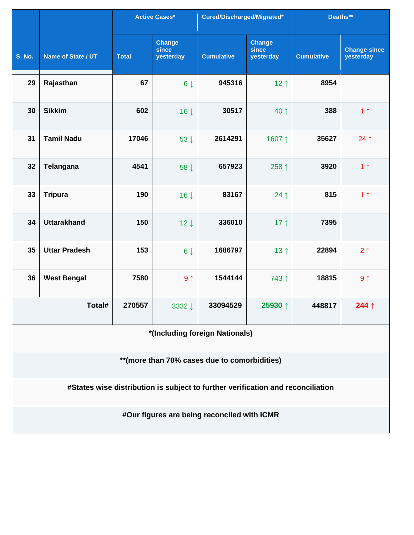|               |                                                                                 |              | <b>Active Cases*</b>                | Cured/Discharged/Migrated*                  |                                     | Deaths**          |                                  |  |  |  |
|---------------|---------------------------------------------------------------------------------|--------------|-------------------------------------|---------------------------------------------|-------------------------------------|-------------------|----------------------------------|--|--|--|
| <b>S. No.</b> | Name of State / UT                                                              | <b>Total</b> | <b>Change</b><br>since<br>yesterday | <b>Cumulative</b>                           | <b>Change</b><br>since<br>yesterday | <b>Cumulative</b> | <b>Change since</b><br>yesterday |  |  |  |
| 29            | Rajasthan                                                                       | 67           | $6 \downarrow$                      | 945316                                      | 12 $\uparrow$                       | 8954              |                                  |  |  |  |
| 30            | <b>Sikkim</b>                                                                   | 602          | $16 \downarrow$                     | 30517                                       | 40 ↑                                | 388               | 1 <sub>1</sub>                   |  |  |  |
| 31            | <b>Tamil Nadu</b>                                                               | 17046        | $53 \downarrow$                     | 2614291                                     | 1607↑                               | 35627             | $24 \uparrow$                    |  |  |  |
| 32            | Telangana                                                                       | 4541         | 58 J                                | 657923                                      | 258 ↑                               | 3920              | 1 <sub>1</sub>                   |  |  |  |
| 33            | <b>Tripura</b>                                                                  | 190          | $16 \downarrow$                     | 83167                                       | $24$ ↑                              | 815               | 1 <sub>1</sub>                   |  |  |  |
| 34            | <b>Uttarakhand</b>                                                              | 150          | $12 \downarrow$                     | 336010                                      | 17 $\uparrow$                       | 7395              |                                  |  |  |  |
| 35            | <b>Uttar Pradesh</b>                                                            | 153          | $6 \downarrow$                      | 1686797                                     | 13 <sup>†</sup>                     | 22894             | 2 <sub>1</sub>                   |  |  |  |
| 36            | <b>West Bengal</b>                                                              | 7580         | 9 <sub>1</sub>                      | 1544144                                     | 743↑                                | 18815             | 9 <sub>1</sub>                   |  |  |  |
|               | Total#                                                                          | 270557       | 3332↓                               | 33094529                                    | 25930↑                              | 448817            | 244 $\uparrow$                   |  |  |  |
|               | *(Including foreign Nationals)                                                  |              |                                     |                                             |                                     |                   |                                  |  |  |  |
|               | **(more than 70% cases due to comorbidities)                                    |              |                                     |                                             |                                     |                   |                                  |  |  |  |
|               | #States wise distribution is subject to further verification and reconciliation |              |                                     |                                             |                                     |                   |                                  |  |  |  |
|               |                                                                                 |              |                                     | #Our figures are being reconciled with ICMR |                                     |                   |                                  |  |  |  |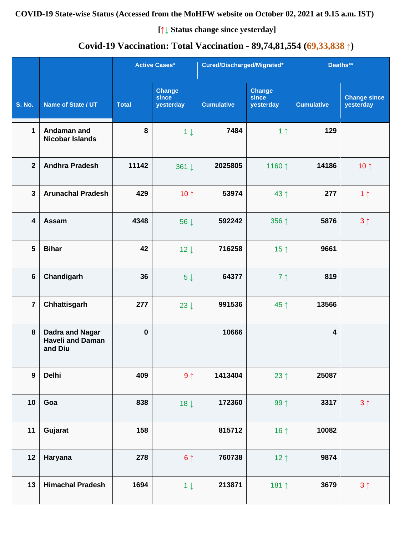#### **COVID-19 State-wise Status (Accessed from the MoHFW website on October 02, 2021 at 9.15 a.m. IST)**

**[↑↓ Status change since yesterday]**

## **Covid-19 Vaccination: Total Vaccination - 89,74,81,554 (69,33,838 ↑)**

|                  |                                                              |              | <b>Active Cases*</b>                | Cured/Discharged/Migrated* |                                     | Deaths**                |                                  |
|------------------|--------------------------------------------------------------|--------------|-------------------------------------|----------------------------|-------------------------------------|-------------------------|----------------------------------|
| <b>S. No.</b>    | Name of State / UT                                           | <b>Total</b> | <b>Change</b><br>since<br>yesterday | <b>Cumulative</b>          | <b>Change</b><br>since<br>yesterday | <b>Cumulative</b>       | <b>Change since</b><br>yesterday |
| $\mathbf{1}$     | Andaman and<br><b>Nicobar Islands</b>                        | $\pmb{8}$    | $1 \downarrow$                      | 7484                       | 1 <sub>1</sub>                      | 129                     |                                  |
| $\overline{2}$   | <b>Andhra Pradesh</b>                                        | 11142        | 361 ↓                               | 2025805                    | 1160↑                               | 14186                   | 10 $\uparrow$                    |
| $\mathbf{3}$     | <b>Arunachal Pradesh</b>                                     | 429          | 10 $\uparrow$                       | 53974                      | 43 ↑                                | 277                     | 1 <sub>1</sub>                   |
| 4                | Assam                                                        | 4348         | 56 J                                | 592242                     | 356 ↑                               | 5876                    | $3 \uparrow$                     |
| $5\phantom{1}$   | <b>Bihar</b>                                                 | 42           | $12 \downarrow$                     | 716258                     | 15 $\uparrow$                       | 9661                    |                                  |
| $6\phantom{1}$   | Chandigarh                                                   | 36           | $5\downarrow$                       | 64377                      | 7 <sup>†</sup>                      | 819                     |                                  |
| $\overline{7}$   | Chhattisgarh                                                 | 277          | $23 \downarrow$                     | 991536                     | 45 ↑                                | 13566                   |                                  |
| 8                | <b>Dadra and Nagar</b><br><b>Haveli and Daman</b><br>and Diu | $\pmb{0}$    |                                     | 10666                      |                                     | $\overline{\mathbf{4}}$ |                                  |
| $\boldsymbol{9}$ | <b>Delhi</b>                                                 | 409          | $9 \uparrow$                        | 1413404                    | 23 $\uparrow$                       | 25087                   |                                  |
| 10               | Goa                                                          | 838          | $18 \downarrow$                     | 172360                     | 99 ↑                                | 3317                    | $3 \uparrow$                     |
| 11               | Gujarat                                                      | 158          |                                     | 815712                     | 16 $\uparrow$                       | 10082                   |                                  |
| 12               | Haryana                                                      | 278          | $6 \uparrow$                        | 760738                     | $12 \uparrow$                       | 9874                    |                                  |
| 13               | <b>Himachal Pradesh</b>                                      | 1694         | $1 \downarrow$                      | 213871                     | 181 1                               | 3679                    | 3 <sup>1</sup>                   |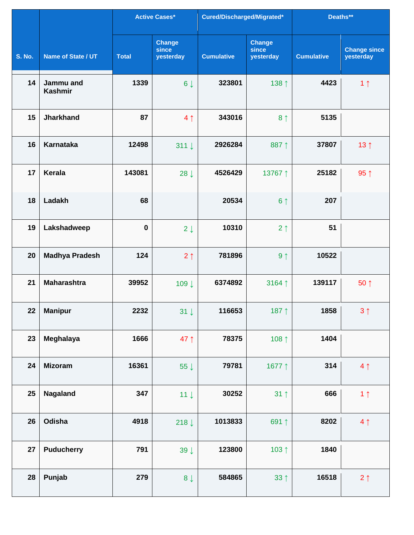|               |                             |              | <b>Active Cases*</b>                | Cured/Discharged/Migrated* |                                     | Deaths**          |                                  |
|---------------|-----------------------------|--------------|-------------------------------------|----------------------------|-------------------------------------|-------------------|----------------------------------|
| <b>S. No.</b> | Name of State / UT          | <b>Total</b> | <b>Change</b><br>since<br>yesterday | <b>Cumulative</b>          | <b>Change</b><br>since<br>yesterday | <b>Cumulative</b> | <b>Change since</b><br>yesterday |
| 14            | Jammu and<br><b>Kashmir</b> | 1339         | $6 \downarrow$                      | 323801                     | 138 ↑                               | 4423              | 1 <sub>1</sub>                   |
| 15            | <b>Jharkhand</b>            | 87           | 4 <sub>1</sub>                      | 343016                     | 8 <sup>†</sup>                      | 5135              |                                  |
| 16            | <b>Karnataka</b>            | 12498        | $311 \downarrow$                    | 2926284                    | 887↑                                | 37807             | 13 <sup>†</sup>                  |
| 17            | Kerala                      | 143081       | $28 \downarrow$                     | 4526429                    | 13767↑                              | 25182             | $95 \uparrow$                    |
| 18            | Ladakh                      | 68           |                                     | 20534                      | 6 <sup>1</sup>                      | 207               |                                  |
| 19            | Lakshadweep                 | $\bf{0}$     | $2 \downarrow$                      | 10310                      | 2 <sub>1</sub>                      | 51                |                                  |
| 20            | <b>Madhya Pradesh</b>       | 124          | 2 <sub>1</sub>                      | 781896                     | 9 <sub>1</sub>                      | 10522             |                                  |
| 21            | <b>Maharashtra</b>          | 39952        | 109↓                                | 6374892                    | 3164 ↑                              | 139117            | $50 \uparrow$                    |
| 22            | <b>Manipur</b>              | 2232         | $31 \downarrow$                     | 116653                     | 187 $\uparrow$                      | 1858              | $3 \uparrow$                     |
| 23            | Meghalaya                   | 1666         | 47 $\uparrow$                       | 78375                      | 108 ↑                               | 1404              |                                  |
| 24            | <b>Mizoram</b>              | 16361        | 55 $\downarrow$                     | 79781                      | 1677↑                               | 314               | 4 <sub>1</sub>                   |
| 25            | <b>Nagaland</b>             | 347          | $11 \downarrow$                     | 30252                      | $31 \uparrow$                       | 666               | 1 <sub>1</sub>                   |
| 26            | Odisha                      | 4918         | 218 $\downarrow$                    | 1013833                    | 691↑                                | 8202              | 4 <sub>1</sub>                   |
| 27            | <b>Puducherry</b>           | 791          | 39 $\downarrow$                     | 123800                     | 103 1                               | 1840              |                                  |
| 28            | Punjab                      | 279          | $8 \downarrow$                      | 584865                     | $33 \uparrow$                       | 16518             | $2 \uparrow$                     |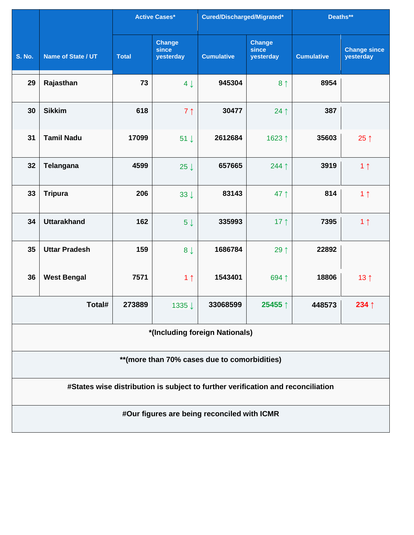|                                               |                                                                                 |              | <b>Active Cases*</b>                | Cured/Discharged/Migrated*                  |                                     | Deaths**          |                                  |  |  |  |  |
|-----------------------------------------------|---------------------------------------------------------------------------------|--------------|-------------------------------------|---------------------------------------------|-------------------------------------|-------------------|----------------------------------|--|--|--|--|
| <b>S. No.</b>                                 | Name of State / UT                                                              | <b>Total</b> | <b>Change</b><br>since<br>yesterday | <b>Cumulative</b>                           | <b>Change</b><br>since<br>yesterday | <b>Cumulative</b> | <b>Change since</b><br>yesterday |  |  |  |  |
| 29                                            | Rajasthan                                                                       | 73           | $4 \downarrow$                      | 945304                                      | 8 <sup>†</sup>                      | 8954              |                                  |  |  |  |  |
| 30                                            | <b>Sikkim</b>                                                                   | 618          | 7 <sub>1</sub>                      | 30477                                       | $24$ ↑                              | 387               |                                  |  |  |  |  |
| 31                                            | <b>Tamil Nadu</b>                                                               | 17099        | $51 \downarrow$                     | 2612684                                     | 1623↑                               | 35603             | 25 $\uparrow$                    |  |  |  |  |
| 32                                            | <b>Telangana</b>                                                                | 4599         | 25 $\downarrow$                     | 657665                                      | 244 $\uparrow$                      | 3919              | 1 <sub>1</sub>                   |  |  |  |  |
| 33                                            | <b>Tripura</b>                                                                  | 206          | $33 \downarrow$                     | 83143                                       | 47 $\uparrow$                       | 814               | 1 <sub>1</sub>                   |  |  |  |  |
| 34                                            | <b>Uttarakhand</b>                                                              | 162          | $5\downarrow$                       | 335993                                      | 17 $\uparrow$                       | 7395              | 1 <sub>1</sub>                   |  |  |  |  |
| 35                                            | <b>Uttar Pradesh</b>                                                            | 159          | 8 <sub>1</sub>                      | 1686784                                     | 29↑                                 | 22892             |                                  |  |  |  |  |
| 36                                            | <b>West Bengal</b>                                                              | 7571         | 1 <sub>1</sub>                      | 1543401                                     | 694↑                                | 18806             | 13 <sub>1</sub>                  |  |  |  |  |
|                                               | Total#                                                                          | 273889       | 1335↓                               | 33068599                                    | 25455 ↑                             | 448573            | 234 $\uparrow$                   |  |  |  |  |
|                                               | *(Including foreign Nationals)                                                  |              |                                     |                                             |                                     |                   |                                  |  |  |  |  |
| ** (more than 70% cases due to comorbidities) |                                                                                 |              |                                     |                                             |                                     |                   |                                  |  |  |  |  |
|                                               | #States wise distribution is subject to further verification and reconciliation |              |                                     |                                             |                                     |                   |                                  |  |  |  |  |
|                                               |                                                                                 |              |                                     | #Our figures are being reconciled with ICMR |                                     |                   |                                  |  |  |  |  |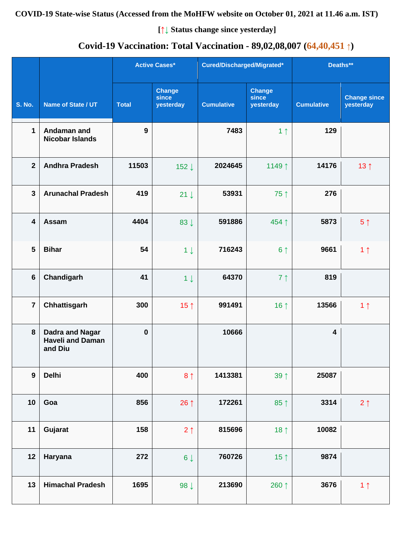#### **COVID-19 State-wise Status (Accessed from the MoHFW website on October 01, 2021 at 11.46 a.m. IST)**

**[↑↓ Status change since yesterday]**

## **Covid-19 Vaccination: Total Vaccination - 89,02,08,007 (64,40,451 ↑)**

|                         |                                                              |              | <b>Active Cases*</b>                | Cured/Discharged/Migrated* |                                     | Deaths**                |                                  |
|-------------------------|--------------------------------------------------------------|--------------|-------------------------------------|----------------------------|-------------------------------------|-------------------------|----------------------------------|
| <b>S. No.</b>           | Name of State / UT                                           | <b>Total</b> | <b>Change</b><br>since<br>yesterday | <b>Cumulative</b>          | <b>Change</b><br>since<br>yesterday | <b>Cumulative</b>       | <b>Change since</b><br>yesterday |
| $\mathbf{1}$            | Andaman and<br><b>Nicobar Islands</b>                        | 9            |                                     | 7483                       | 1 <sub>1</sub>                      | 129                     |                                  |
| $\overline{2}$          | <b>Andhra Pradesh</b>                                        | 11503        | 152↓                                | 2024645                    | 1149↑                               | 14176                   | 13 <sub>1</sub>                  |
| $\overline{3}$          | <b>Arunachal Pradesh</b>                                     | 419          | $21 \downarrow$                     | 53931                      | 75↑                                 | 276                     |                                  |
| $\overline{\mathbf{4}}$ | Assam                                                        | 4404         | 83 $\downarrow$                     | 591886                     | 454 ↑                               | 5873                    | 5 <sup>†</sup>                   |
| 5                       | <b>Bihar</b>                                                 | 54           | $1 \downarrow$                      | 716243                     | 6 <sup>†</sup>                      | 9661                    | 1 <sub>1</sub>                   |
| $6\phantom{a}$          | Chandigarh                                                   | 41           | $1 \downarrow$                      | 64370                      | 7 <sub>1</sub>                      | 819                     |                                  |
| $\overline{7}$          | Chhattisgarh                                                 | 300          | 15 $\uparrow$                       | 991491                     | 16 $\uparrow$                       | 13566                   | 1 <sub>1</sub>                   |
| 8                       | <b>Dadra and Nagar</b><br><b>Haveli and Daman</b><br>and Diu | $\bf{0}$     |                                     | 10666                      |                                     | $\overline{\mathbf{4}}$ |                                  |
| $\boldsymbol{9}$        | <b>Delhi</b>                                                 | 400          | 8 <sup>1</sup>                      | 1413381                    | 39 ↑                                | 25087                   |                                  |
| 10                      | Goa                                                          | 856          | 26 $\uparrow$                       | 172261                     | $85 \uparrow$                       | 3314                    | $2 \uparrow$                     |
| 11                      | Gujarat                                                      | 158          | $2 \uparrow$                        | 815696                     | 18 $\uparrow$                       | 10082                   |                                  |
| 12                      | Haryana                                                      | 272          | $6\downarrow$                       | 760726                     | 15 $\uparrow$                       | 9874                    |                                  |
| 13                      | <b>Himachal Pradesh</b>                                      | 1695         | 98 $\downarrow$                     | 213690                     | 260 ↑                               | 3676                    | 1 <sub>1</sub>                   |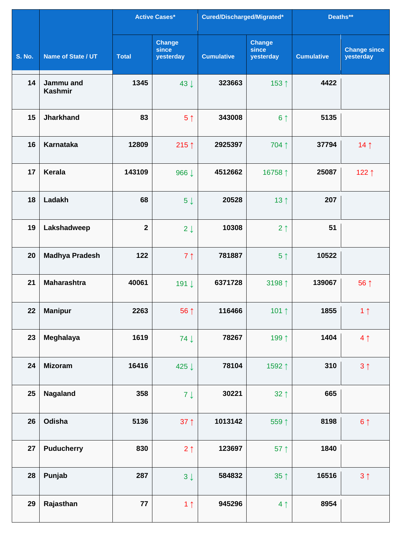|               |                             | Active Cases* |                                     | Cured/Discharged/Migrated* |                                     | Deaths**          |                                  |
|---------------|-----------------------------|---------------|-------------------------------------|----------------------------|-------------------------------------|-------------------|----------------------------------|
| <b>S. No.</b> | <b>Name of State / UT</b>   | <b>Total</b>  | <b>Change</b><br>since<br>yesterday | <b>Cumulative</b>          | <b>Change</b><br>since<br>yesterday | <b>Cumulative</b> | <b>Change since</b><br>yesterday |
| 14            | Jammu and<br><b>Kashmir</b> | 1345          | 43 J                                | 323663                     | 153↑                                | 4422              |                                  |
| 15            | <b>Jharkhand</b>            | 83            | 5 <sup>†</sup>                      | 343008                     | 6 <sup>†</sup>                      | 5135              |                                  |
| 16            | <b>Karnataka</b>            | 12809         | 215 $\uparrow$                      | 2925397                    | 704 1                               | 37794             | 14 <sub>1</sub>                  |
| 17            | Kerala                      | 143109        | 966 ↓                               | 4512662                    | 16758 ↑                             | 25087             | 122↑                             |
| 18            | Ladakh                      | 68            | 5 <sup>1</sup>                      | 20528                      | 13 $\uparrow$                       | 207               |                                  |
| 19            | Lakshadweep                 | $\mathbf{2}$  | $2 \downarrow$                      | 10308                      | 2 <sub>1</sub>                      | 51                |                                  |
| 20            | <b>Madhya Pradesh</b>       | 122           | 7 <sub>1</sub>                      | 781887                     | 5 <sup>†</sup>                      | 10522             |                                  |
| 21            | <b>Maharashtra</b>          | 40061         | 191↓                                | 6371728                    | 3198 ↑                              | 139067            | 56 ↑                             |
| 22            | <b>Manipur</b>              | 2263          | 56 ↑                                | 116466                     | 101 $\uparrow$                      | 1855              | $1 \uparrow$                     |
| 23            | Meghalaya                   | 1619          | $74 \downarrow$                     | 78267                      | 199 1                               | 1404              | 4 <sub>1</sub>                   |
| 24            | <b>Mizoram</b>              | 16416         | 425 ↓                               | 78104                      | 1592↑                               | 310               | 3 <sup>1</sup>                   |
| 25            | <b>Nagaland</b>             | 358           | $7 \downarrow$                      | 30221                      | $32 \uparrow$                       | 665               |                                  |
| 26            | Odisha                      | 5136          | $37 \uparrow$                       | 1013142                    | 559 1                               | 8198              | $6 \uparrow$                     |
| 27            | <b>Puducherry</b>           | 830           | $2 \uparrow$                        | 123697                     | $57$ ↑                              | 1840              |                                  |
| 28            | Punjab                      | 287           | $3 \downarrow$                      | 584832                     | $35 \uparrow$                       | 16516             | 3 <sub>1</sub>                   |
| 29            | Rajasthan                   | 77            | 1 <sub>1</sub>                      | 945296                     | 4 <sub>1</sub>                      | 8954              |                                  |